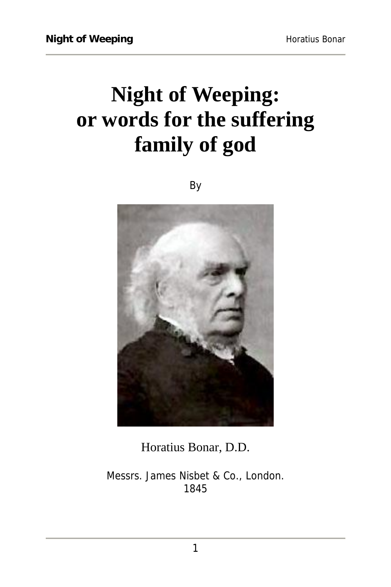# **Night of Weeping: or words for the suffering family of god**

By



Horatius Bonar, D.D.

Messrs. James Nisbet & Co., London. 1845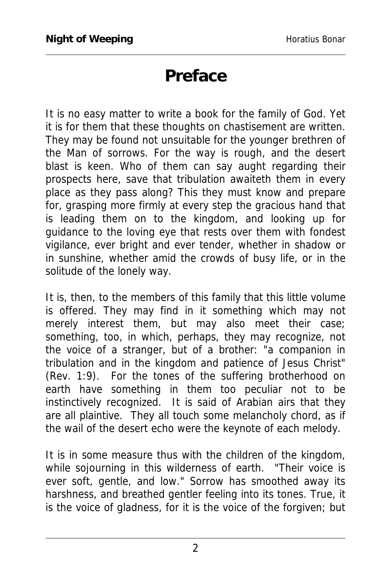### **Preface**

It is no easy matter to write a book for the family of God. Yet it is for them that these thoughts on chastisement are written. They may be found not unsuitable for the younger brethren of the Man of sorrows. For the way is rough, and the desert blast is keen. Who of them can say aught regarding their prospects here, save that tribulation awaiteth them in every place as they pass along? This they must know and prepare for, grasping more firmly at every step the gracious hand that is leading them on to the kingdom, and looking up for guidance to the loving eye that rests over them with fondest vigilance, ever bright and ever tender, whether in shadow or in sunshine, whether amid the crowds of busy life, or in the solitude of the lonely way.

It is, then, to the members of this family that this little volume is offered. They may find in it something which may not merely interest them, but may also meet their case; something, too, in which, perhaps, they may recognize, not the voice of a stranger, but of a brother: "a companion in tribulation and in the kingdom and patience of Jesus Christ" (Rev. 1:9). For the tones of the suffering brotherhood on earth have something in them too peculiar not to be instinctively recognized. It is said of Arabian airs that they are all plaintive. They all touch some melancholy chord, as if the wail of the desert echo were the keynote of each melody.

It is in some measure thus with the children of the kingdom, while sojourning in this wilderness of earth. "Their voice is ever soft, gentle, and low." Sorrow has smoothed away its harshness, and breathed gentler feeling into its tones. True, it is the voice of gladness, for it is the voice of the forgiven; but

2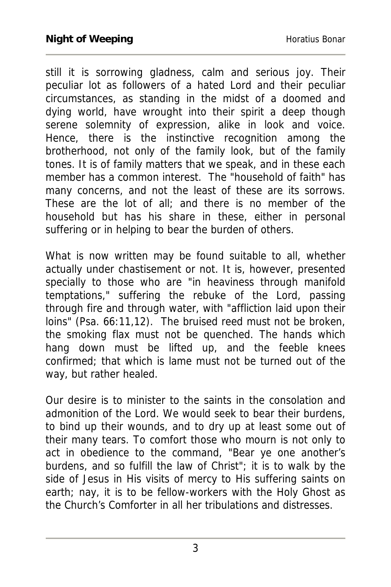still it is sorrowing gladness, calm and serious joy. Their peculiar lot as followers of a hated Lord and their peculiar circumstances, as standing in the midst of a doomed and dying world, have wrought into their spirit a deep though serene solemnity of expression, alike in look and voice. Hence, there is the instinctive recognition among the brotherhood, not only of the family look, but of the family tones. It is of family matters that we speak, and in these each member has a common interest. The "household of faith" has many concerns, and not the least of these are its sorrows. These are the lot of all; and there is no member of the household but has his share in these, either in personal suffering or in helping to bear the burden of others.

What is now written may be found suitable to all, whether actually under chastisement or not. It is, however, presented specially to those who are "in heaviness through manifold temptations," suffering the rebuke of the Lord, passing through fire and through water, with "affliction laid upon their loins" (Psa. 66:11,12). The bruised reed must not be broken, the smoking flax must not be quenched. The hands which hang down must be lifted up, and the feeble knees confirmed; that which is lame must not be turned out of the way, but rather healed.

Our desire is to minister to the saints in the consolation and admonition of the Lord. We would seek to bear their burdens, to bind up their wounds, and to dry up at least some out of their many tears. To comfort those who mourn is not only to act in obedience to the command, "Bear ye one another's burdens, and so fulfill the law of Christ"; it is to walk by the side of Jesus in His visits of mercy to His suffering saints on earth; nay, it is to be fellow-workers with the Holy Ghost as the Church's Comforter in all her tribulations and distresses.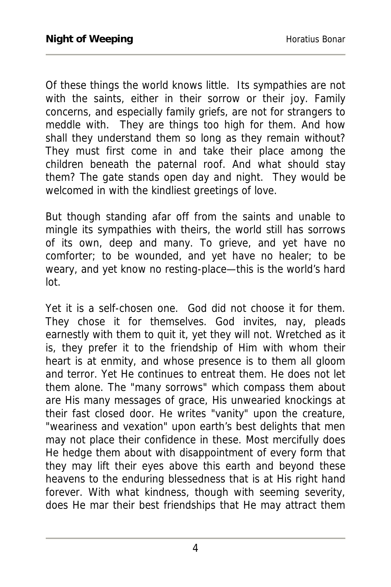Of these things the world knows little. Its sympathies are not with the saints, either in their sorrow or their joy. Family concerns, and especially family griefs, are not for strangers to meddle with. They are things too high for them. And how shall they understand them so long as they remain without? They must first come in and take their place among the children beneath the paternal roof. And what should stay them? The gate stands open day and night. They would be welcomed in with the kindliest greetings of love.

But though standing afar off from the saints and unable to mingle its sympathies with theirs, the world still has sorrows of its own, deep and many. To grieve, and yet have no comforter; to be wounded, and yet have no healer; to be weary, and yet know no resting-place—this is the world's hard lot.

Yet it is a self-chosen one. God did not choose it for them. They chose it for themselves. God invites, nay, pleads earnestly with them to quit it, yet they will not. Wretched as it is, they prefer it to the friendship of Him with whom their heart is at enmity, and whose presence is to them all gloom and terror. Yet He continues to entreat them. He does not let them alone. The "many sorrows" which compass them about are His many messages of grace, His unwearied knockings at their fast closed door. He writes "vanity" upon the creature, "weariness and vexation" upon earth's best delights that men may not place their confidence in these. Most mercifully does He hedge them about with disappointment of every form that they may lift their eyes above this earth and beyond these heavens to the enduring blessedness that is at His right hand forever. With what kindness, though with seeming severity, does He mar their best friendships that He may attract them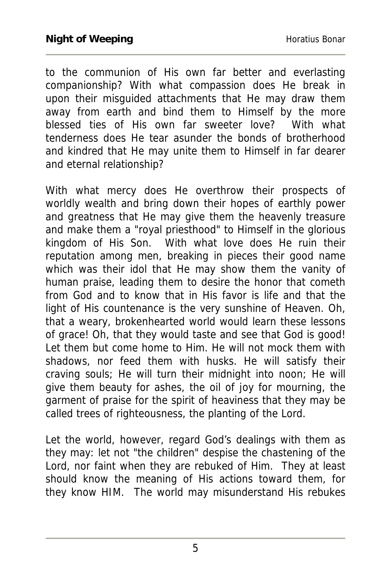to the communion of His own far better and everlasting companionship? With what compassion does He break in upon their misguided attachments that He may draw them away from earth and bind them to Himself by the more blessed ties of His own far sweeter love? With what tenderness does He tear asunder the bonds of brotherhood and kindred that He may unite them to Himself in far dearer and eternal relationship?

With what mercy does He overthrow their prospects of worldly wealth and bring down their hopes of earthly power and greatness that He may give them the heavenly treasure and make them a "royal priesthood" to Himself in the glorious kingdom of His Son. With what love does He ruin their reputation among men, breaking in pieces their good name which was their idol that He may show them the vanity of human praise, leading them to desire the honor that cometh from God and to know that in His favor is life and that the light of His countenance is the very sunshine of Heaven. Oh, that a weary, brokenhearted world would learn these lessons of grace! Oh, that they would taste and see that God is good! Let them but come home to Him. He will not mock them with shadows, nor feed them with husks. He will satisfy their craving souls; He will turn their midnight into noon; He will give them beauty for ashes, the oil of joy for mourning, the garment of praise for the spirit of heaviness that they may be called trees of righteousness, the planting of the Lord.

Let the world, however, regard God's dealings with them as they may: let not "the children" despise the chastening of the Lord, nor faint when they are rebuked of Him. They at least should know the meaning of His actions toward them, for they know HIM. The world may misunderstand His rebukes

5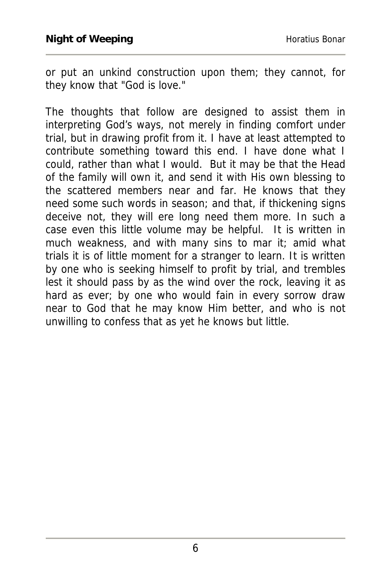or put an unkind construction upon them; they cannot, for they know that "God is love."

The thoughts that follow are designed to assist them in interpreting God's ways, not merely in finding comfort under trial, but in drawing profit from it. I have at least attempted to contribute something toward this end. I have done what I could, rather than what I would. But it may be that the Head of the family will own it, and send it with His own blessing to the scattered members near and far. He knows that they need some such words in season; and that, if thickening signs deceive not, they will ere long need them more. In such a case even this little volume may be helpful. It is written in much weakness, and with many sins to mar it; amid what trials it is of little moment for a stranger to learn. It is written by one who is seeking himself to profit by trial, and trembles lest it should pass by as the wind over the rock, leaving it as hard as ever; by one who would fain in every sorrow draw near to God that he may know Him better, and who is not unwilling to confess that as yet he knows but little.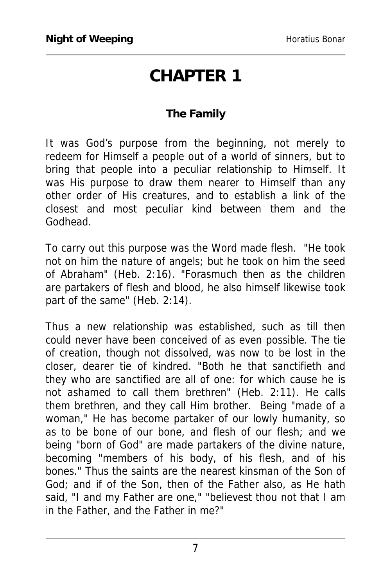### **CHAPTER 1**

#### **The Family**

It was God's purpose from the beginning, not merely to redeem for Himself a people out of a world of sinners, but to bring that people into a peculiar relationship to Himself. It was His purpose to draw them nearer to Himself than any other order of His creatures, and to establish a link of the closest and most peculiar kind between them and the Godhead.

To carry out this purpose was the Word made flesh. "He took not on him the nature of angels; but he took on him the seed of Abraham" (Heb. 2:16). "Forasmuch then as the children are partakers of flesh and blood, he also himself likewise took part of the same" (Heb. 2:14).

Thus a new relationship was established, such as till then could never have been conceived of as even possible. The tie of creation, though not dissolved, was now to be lost in the closer, dearer tie of kindred. "Both he that sanctifieth and they who are sanctified are all of one: for which cause he is not ashamed to call them brethren" (Heb. 2:11). He calls them brethren, and they call Him brother. Being "made of a woman," He has become partaker of our lowly humanity, so as to be bone of our bone, and flesh of our flesh; and we being "born of God" are made partakers of the divine nature, becoming "members of his body, of his flesh, and of his bones." Thus the saints are the nearest kinsman of the Son of God; and if of the Son, then of the Father also, as He hath said, "I and my Father are one," "believest thou not that I am in the Father, and the Father in me?"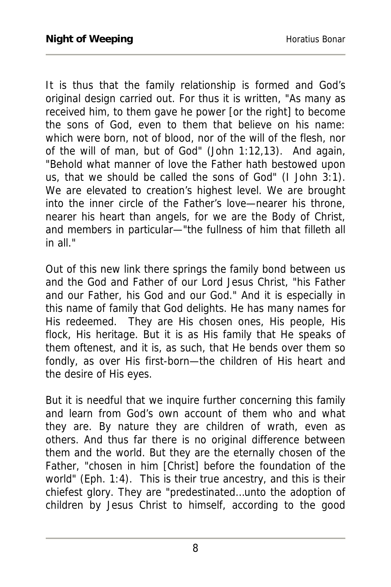It is thus that the family relationship is formed and God's original design carried out. For thus it is written, "As many as received him, to them gave he power [or the right] to become the sons of God, even to them that believe on his name: which were born, not of blood, nor of the will of the flesh, nor of the will of man, but of God" (John 1:12,13). And again, "Behold what manner of love the Father hath bestowed upon us, that we should be called the sons of God" (I John 3:1). We are elevated to creation's highest level. We are brought into the inner circle of the Father's love—nearer his throne, nearer his heart than angels, for we are the Body of Christ, and members in particular—"the fullness of him that filleth all in all."

Out of this new link there springs the family bond between us and the God and Father of our Lord Jesus Christ, "his Father and our Father, his God and our God." And it is especially in this name of family that God delights. He has many names for His redeemed. They are His chosen ones, His people, His flock, His heritage. But it is as His family that He speaks of them oftenest, and it is, as such, that He bends over them so fondly, as over His first-born—the children of His heart and the desire of His eyes.

But it is needful that we inquire further concerning this family and learn from God's own account of them who and what they are. By nature they are children of wrath, even as others. And thus far there is no original difference between them and the world. But they are the eternally chosen of the Father, "chosen in him [Christ] before the foundation of the world" (Eph. 1:4). This is their true ancestry, and this is their chiefest glory. They are "predestinated…unto the adoption of children by Jesus Christ to himself, according to the good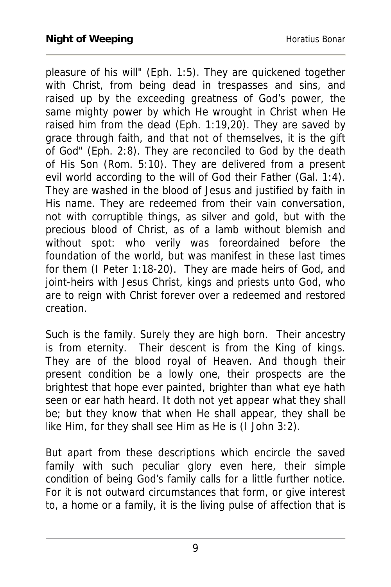pleasure of his will" (Eph. 1:5). They are quickened together with Christ, from being dead in trespasses and sins, and raised up by the exceeding greatness of God's power, the same mighty power by which He wrought in Christ when He raised him from the dead (Eph. 1:19,20). They are saved by grace through faith, and that not of themselves, it is the gift of God" (Eph. 2:8). They are reconciled to God by the death of His Son (Rom. 5:10). They are delivered from a present evil world according to the will of God their Father (Gal. 1:4). They are washed in the blood of Jesus and justified by faith in His name. They are redeemed from their vain conversation, not with corruptible things, as silver and gold, but with the precious blood of Christ, as of a lamb without blemish and without spot: who verily was foreordained before the foundation of the world, but was manifest in these last times for them (I Peter 1:18-20). They are made heirs of God, and joint-heirs with Jesus Christ, kings and priests unto God, who are to reign with Christ forever over a redeemed and restored creation.

Such is the family. Surely they are high born. Their ancestry is from eternity. Their descent is from the King of kings. They are of the blood royal of Heaven. And though their present condition be a lowly one, their prospects are the brightest that hope ever painted, brighter than what eye hath seen or ear hath heard. It doth not yet appear what they shall be; but they know that when He shall appear, they shall be like Him, for they shall see Him as He is (I John 3:2).

But apart from these descriptions which encircle the saved family with such peculiar glory even here, their simple condition of being God's family calls for a little further notice. For it is not outward circumstances that form, or give interest to, a home or a family, it is the living pulse of affection that is

9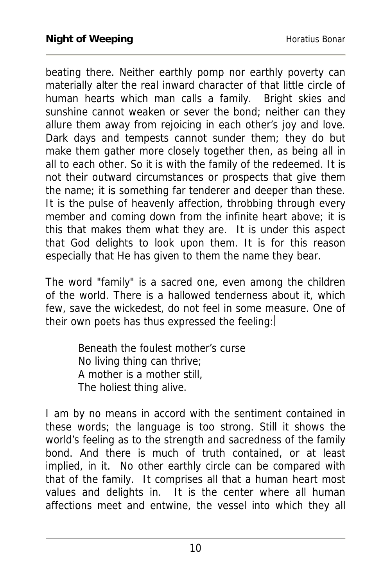beating there. Neither earthly pomp nor earthly poverty can materially alter the real inward character of that little circle of human hearts which man calls a family. Bright skies and sunshine cannot weaken or sever the bond; neither can they allure them away from rejoicing in each other's joy and love. Dark days and tempests cannot sunder them; they do but make them gather more closely together then, as being all in all to each other. So it is with the family of the redeemed. It is not their outward circumstances or prospects that give them the name; it is something far tenderer and deeper than these. It is the pulse of heavenly affection, throbbing through every member and coming down from the infinite heart above; it is this that makes them what they are. It is under this aspect that God delights to look upon them. It is for this reason especially that He has given to them the name they bear.

The word "family" is a sacred one, even among the children of the world. There is a hallowed tenderness about it, which few, save the wickedest, do not feel in some measure. One of their own poets has thus expressed the feeling:

> Beneath the foulest mother's curse No living thing can thrive; A mother is a mother still, The holiest thing alive.

I am by no means in accord with the sentiment contained in these words; the language is too strong. Still it shows the world's feeling as to the strength and sacredness of the family bond. And there is much of truth contained, or at least implied, in it. No other earthly circle can be compared with that of the family. It comprises all that a human heart most values and delights in. It is the center where all human affections meet and entwine, the vessel into which they all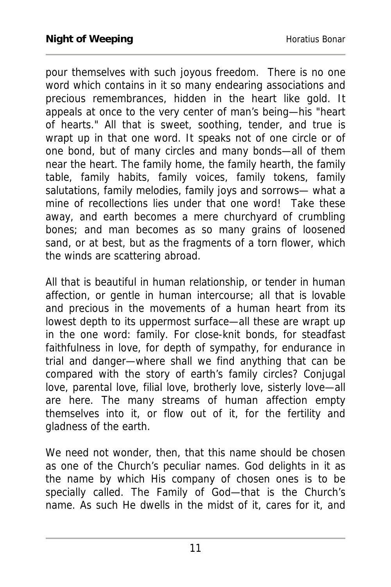pour themselves with such joyous freedom. There is no one word which contains in it so many endearing associations and precious remembrances, hidden in the heart like gold. It appeals at once to the very center of man's being—his "heart of hearts." All that is sweet, soothing, tender, and true is wrapt up in that one word. It speaks not of one circle or of one bond, but of many circles and many bonds—all of them near the heart. The family home, the family hearth, the family table, family habits, family voices, family tokens, family salutations, family melodies, family joys and sorrows— what a mine of recollections lies under that one word! Take these away, and earth becomes a mere churchyard of crumbling bones; and man becomes as so many grains of loosened sand, or at best, but as the fragments of a torn flower, which the winds are scattering abroad.

All that is beautiful in human relationship, or tender in human affection, or gentle in human intercourse; all that is lovable and precious in the movements of a human heart from its lowest depth to its uppermost surface—all these are wrapt up in the one word: family. For close-knit bonds, for steadfast faithfulness in love, for depth of sympathy, for endurance in trial and danger—where shall we find anything that can be compared with the story of earth's family circles? Conjugal love, parental love, filial love, brotherly love, sisterly love—all are here. The many streams of human affection empty themselves into it, or flow out of it, for the fertility and gladness of the earth.

We need not wonder, then, that this name should be chosen as one of the Church's peculiar names. God delights in it as the name by which His company of chosen ones is to be specially called. The Family of God—that is the Church's name. As such He dwells in the midst of it, cares for it, and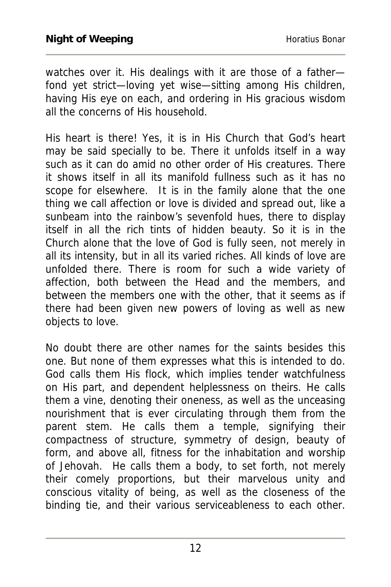watches over it. His dealings with it are those of a father fond yet strict—loving yet wise—sitting among His children, having His eye on each, and ordering in His gracious wisdom all the concerns of His household.

His heart is there! Yes, it is in His Church that God's heart may be said specially to be. There it unfolds itself in a way such as it can do amid no other order of His creatures. There it shows itself in all its manifold fullness such as it has no scope for elsewhere. It is in the family alone that the one thing we call affection or love is divided and spread out, like a sunbeam into the rainbow's sevenfold hues, there to display itself in all the rich tints of hidden beauty. So it is in the Church alone that the love of God is fully seen, not merely in all its intensity, but in all its varied riches. All kinds of love are unfolded there. There is room for such a wide variety of affection, both between the Head and the members, and between the members one with the other, that it seems as if there had been given new powers of loving as well as new objects to love.

No doubt there are other names for the saints besides this one. But none of them expresses what this is intended to do. God calls them His flock, which implies tender watchfulness on His part, and dependent helplessness on theirs. He calls them a vine, denoting their oneness, as well as the unceasing nourishment that is ever circulating through them from the parent stem. He calls them a temple, signifying their compactness of structure, symmetry of design, beauty of form, and above all, fitness for the inhabitation and worship of Jehovah. He calls them a body, to set forth, not merely their comely proportions, but their marvelous unity and conscious vitality of being, as well as the closeness of the binding tie, and their various serviceableness to each other.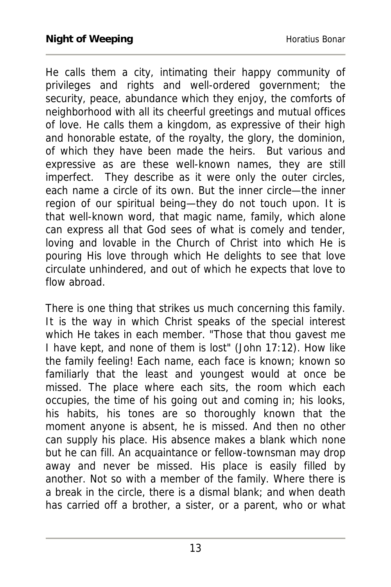He calls them a city, intimating their happy community of privileges and rights and well-ordered government; the security, peace, abundance which they enjoy, the comforts of neighborhood with all its cheerful greetings and mutual offices of love. He calls them a kingdom, as expressive of their high and honorable estate, of the royalty, the glory, the dominion, of which they have been made the heirs. But various and expressive as are these well-known names, they are still imperfect. They describe as it were only the outer circles, each name a circle of its own. But the inner circle—the inner region of our spiritual being—they do not touch upon. It is that well-known word, that magic name, family, which alone can express all that God sees of what is comely and tender, loving and lovable in the Church of Christ into which He is pouring His love through which He delights to see that love circulate unhindered, and out of which he expects that love to flow abroad.

There is one thing that strikes us much concerning this family. It is the way in which Christ speaks of the special interest which He takes in each member. "Those that thou gavest me I have kept, and none of them is lost" (John 17:12). How like the family feeling! Each name, each face is known; known so familiarly that the least and youngest would at once be missed. The place where each sits, the room which each occupies, the time of his going out and coming in; his looks, his habits, his tones are so thoroughly known that the moment anyone is absent, he is missed. And then no other can supply his place. His absence makes a blank which none but he can fill. An acquaintance or fellow-townsman may drop away and never be missed. His place is easily filled by another. Not so with a member of the family. Where there is a break in the circle, there is a dismal blank; and when death has carried off a brother, a sister, or a parent, who or what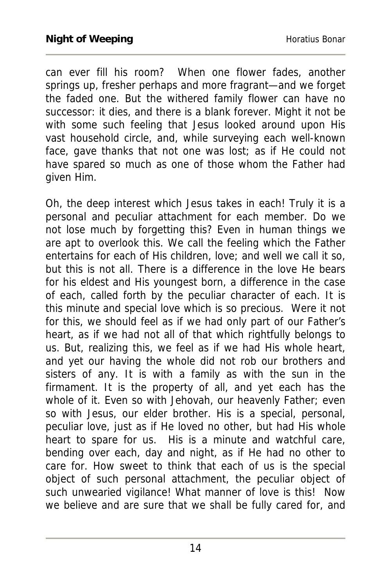can ever fill his room? When one flower fades, another springs up, fresher perhaps and more fragrant—and we forget the faded one. But the withered family flower can have no successor: it dies, and there is a blank forever. Might it not be with some such feeling that Jesus looked around upon His vast household circle, and, while surveying each well-known face, gave thanks that not one was lost; as if He could not have spared so much as one of those whom the Father had given Him.

Oh, the deep interest which Jesus takes in each! Truly it is a personal and peculiar attachment for each member. Do we not lose much by forgetting this? Even in human things we are apt to overlook this. We call the feeling which the Father entertains for each of His children, love; and well we call it so, but this is not all. There is a difference in the love He bears for his eldest and His youngest born, a difference in the case of each, called forth by the peculiar character of each. It is this minute and special love which is so precious. Were it not for this, we should feel as if we had only part of our Father's heart, as if we had not all of that which rightfully belongs to us. But, realizing this, we feel as if we had His whole heart, and yet our having the whole did not rob our brothers and sisters of any. It is with a family as with the sun in the firmament. It is the property of all, and yet each has the whole of it. Even so with Jehovah, our heavenly Father; even so with Jesus, our elder brother. His is a special, personal, peculiar love, just as if He loved no other, but had His whole heart to spare for us. His is a minute and watchful care, bending over each, day and night, as if He had no other to care for. How sweet to think that each of us is the special object of such personal attachment, the peculiar object of such unwearied vigilance! What manner of love is this! Now we believe and are sure that we shall be fully cared for, and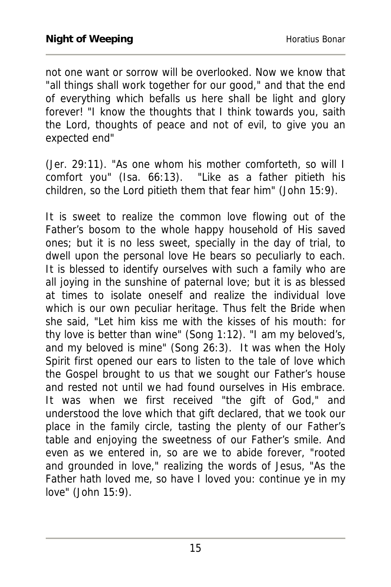not one want or sorrow will be overlooked. Now we know that "all things shall work together for our good," and that the end of everything which befalls us here shall be light and glory forever! "I know the thoughts that I think towards you, saith the Lord, thoughts of peace and not of evil, to give you an expected end"

(Jer. 29:11). "As one whom his mother comforteth, so will I comfort you" (Isa. 66:13). "Like as a father pitieth his children, so the Lord pitieth them that fear him" (John 15:9).

It is sweet to realize the common love flowing out of the Father's bosom to the whole happy household of His saved ones; but it is no less sweet, specially in the day of trial, to dwell upon the personal love He bears so peculiarly to each. It is blessed to identify ourselves with such a family who are all joying in the sunshine of paternal love; but it is as blessed at times to isolate oneself and realize the individual love which is our own peculiar heritage. Thus felt the Bride when she said, "Let him kiss me with the kisses of his mouth: for thy love is better than wine" (Song 1:12). "I am my beloved's, and my beloved is mine" (Song 26:3). It was when the Holy Spirit first opened our ears to listen to the tale of love which the Gospel brought to us that we sought our Father's house and rested not until we had found ourselves in His embrace. It was when we first received "the gift of God," and understood the love which that gift declared, that we took our place in the family circle, tasting the plenty of our Father's table and enjoying the sweetness of our Father's smile. And even as we entered in, so are we to abide forever, "rooted and grounded in love," realizing the words of Jesus, "As the Father hath loved me, so have I loved you: continue ye in my love" (John 15:9).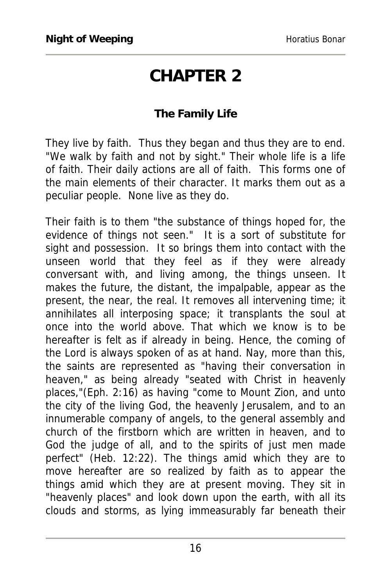# **CHAPTER 2**

#### **The Family Life**

They live by faith. Thus they began and thus they are to end. "We walk by faith and not by sight." Their whole life is a life of faith. Their daily actions are all of faith. This forms one of the main elements of their character. It marks them out as a peculiar people. None live as they do.

Their faith is to them "the substance of things hoped for, the evidence of things not seen." It is a sort of substitute for sight and possession. It so brings them into contact with the unseen world that they feel as if they were already conversant with, and living among, the things unseen. It makes the future, the distant, the impalpable, appear as the present, the near, the real. It removes all intervening time; it annihilates all interposing space; it transplants the soul at once into the world above. That which we know is to be hereafter is felt as if already in being. Hence, the coming of the Lord is always spoken of as at hand. Nay, more than this, the saints are represented as "having their conversation in heaven," as being already "seated with Christ in heavenly places,"(Eph. 2:16) as having "come to Mount Zion, and unto the city of the living God, the heavenly Jerusalem, and to an innumerable company of angels, to the general assembly and church of the firstborn which are written in heaven, and to God the judge of all, and to the spirits of just men made perfect" (Heb. 12:22). The things amid which they are to move hereafter are so realized by faith as to appear the things amid which they are at present moving. They sit in "heavenly places" and look down upon the earth, with all its clouds and storms, as lying immeasurably far beneath their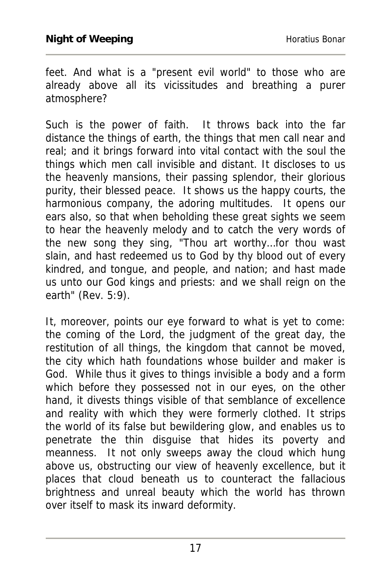feet. And what is a "present evil world" to those who are already above all its vicissitudes and breathing a purer atmosphere?

Such is the power of faith. It throws back into the far distance the things of earth, the things that men call near and real; and it brings forward into vital contact with the soul the things which men call invisible and distant. It discloses to us the heavenly mansions, their passing splendor, their glorious purity, their blessed peace. It shows us the happy courts, the harmonious company, the adoring multitudes. It opens our ears also, so that when beholding these great sights we seem to hear the heavenly melody and to catch the very words of the new song they sing, "Thou art worthy…for thou wast slain, and hast redeemed us to God by thy blood out of every kindred, and tongue, and people, and nation; and hast made us unto our God kings and priests: and we shall reign on the earth" (Rev. 5:9).

It, moreover, points our eye forward to what is yet to come: the coming of the Lord, the judgment of the great day, the restitution of all things, the kingdom that cannot be moved, the city which hath foundations whose builder and maker is God. While thus it gives to things invisible a body and a form which before they possessed not in our eyes, on the other hand, it divests things visible of that semblance of excellence and reality with which they were formerly clothed. It strips the world of its false but bewildering glow, and enables us to penetrate the thin disguise that hides its poverty and meanness. It not only sweeps away the cloud which hung above us, obstructing our view of heavenly excellence, but it places that cloud beneath us to counteract the fallacious brightness and unreal beauty which the world has thrown over itself to mask its inward deformity.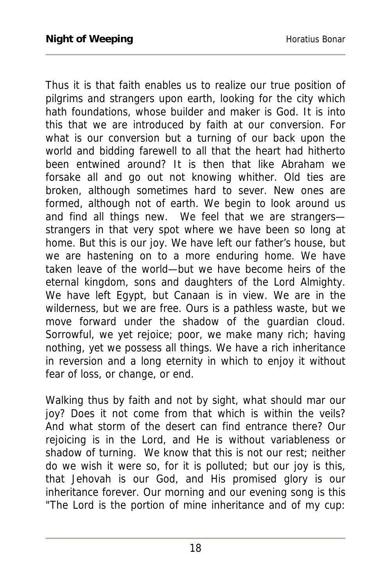Thus it is that faith enables us to realize our true position of pilgrims and strangers upon earth, looking for the city which hath foundations, whose builder and maker is God. It is into this that we are introduced by faith at our conversion. For what is our conversion but a turning of our back upon the world and bidding farewell to all that the heart had hitherto been entwined around? It is then that like Abraham we forsake all and go out not knowing whither. Old ties are broken, although sometimes hard to sever. New ones are formed, although not of earth. We begin to look around us and find all things new. We feel that we are strangers strangers in that very spot where we have been so long at home. But this is our joy. We have left our father's house, but we are hastening on to a more enduring home. We have taken leave of the world—but we have become heirs of the eternal kingdom, sons and daughters of the Lord Almighty. We have left Egypt, but Canaan is in view. We are in the wilderness, but we are free. Ours is a pathless waste, but we move forward under the shadow of the guardian cloud. Sorrowful, we yet rejoice; poor, we make many rich; having nothing, yet we possess all things. We have a rich inheritance in reversion and a long eternity in which to enjoy it without fear of loss, or change, or end.

Walking thus by faith and not by sight, what should mar our joy? Does it not come from that which is within the veils? And what storm of the desert can find entrance there? Our rejoicing is in the Lord, and He is without variableness or shadow of turning. We know that this is not our rest; neither do we wish it were so, for it is polluted; but our joy is this, that Jehovah is our God, and His promised glory is our inheritance forever. Our morning and our evening song is this "The Lord is the portion of mine inheritance and of my cup: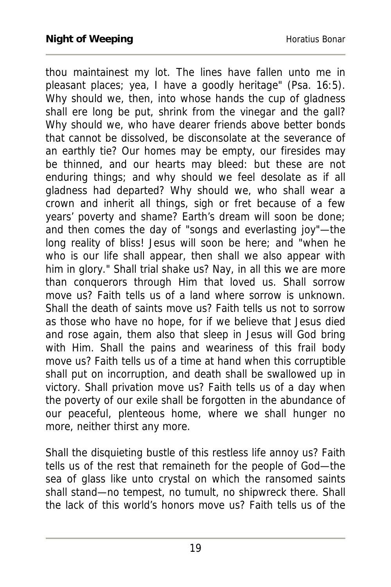thou maintainest my lot. The lines have fallen unto me in pleasant places; yea, I have a goodly heritage" (Psa. 16:5). Why should we, then, into whose hands the cup of gladness shall ere long be put, shrink from the vinegar and the gall? Why should we, who have dearer friends above better bonds that cannot be dissolved, be disconsolate at the severance of an earthly tie? Our homes may be empty, our firesides may be thinned, and our hearts may bleed: but these are not enduring things; and why should we feel desolate as if all gladness had departed? Why should we, who shall wear a crown and inherit all things, sigh or fret because of a few years' poverty and shame? Earth's dream will soon be done; and then comes the day of "songs and everlasting joy"—the long reality of bliss! Jesus will soon be here; and "when he who is our life shall appear, then shall we also appear with him in glory." Shall trial shake us? Nay, in all this we are more than conquerors through Him that loved us. Shall sorrow move us? Faith tells us of a land where sorrow is unknown. Shall the death of saints move us? Faith tells us not to sorrow as those who have no hope, for if we believe that Jesus died and rose again, them also that sleep in Jesus will God bring with Him. Shall the pains and weariness of this frail body move us? Faith tells us of a time at hand when this corruptible shall put on incorruption, and death shall be swallowed up in victory. Shall privation move us? Faith tells us of a day when the poverty of our exile shall be forgotten in the abundance of our peaceful, plenteous home, where we shall hunger no more, neither thirst any more.

Shall the disquieting bustle of this restless life annoy us? Faith tells us of the rest that remaineth for the people of God—the sea of glass like unto crystal on which the ransomed saints shall stand—no tempest, no tumult, no shipwreck there. Shall the lack of this world's honors move us? Faith tells us of the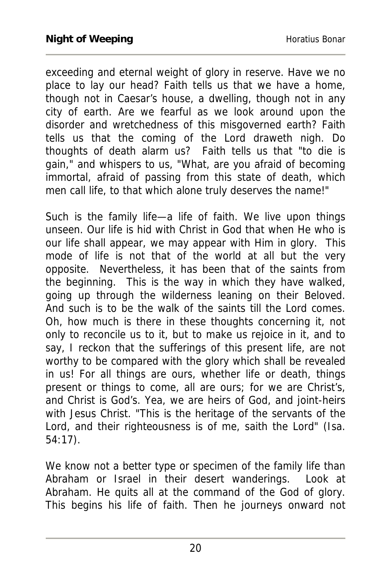exceeding and eternal weight of glory in reserve. Have we no place to lay our head? Faith tells us that we have a home, though not in Caesar's house, a dwelling, though not in any city of earth. Are we fearful as we look around upon the disorder and wretchedness of this misgoverned earth? Faith tells us that the coming of the Lord draweth nigh. Do thoughts of death alarm us? Faith tells us that "to die is gain," and whispers to us, "What, are you afraid of becoming immortal, afraid of passing from this state of death, which men call life, to that which alone truly deserves the name!"

Such is the family life—a life of faith. We live upon things unseen. Our life is hid with Christ in God that when He who is our life shall appear, we may appear with Him in glory. This mode of life is not that of the world at all but the very opposite. Nevertheless, it has been that of the saints from the beginning. This is the way in which they have walked, going up through the wilderness leaning on their Beloved. And such is to be the walk of the saints till the Lord comes. Oh, how much is there in these thoughts concerning it, not only to reconcile us to it, but to make us rejoice in it, and to say, I reckon that the sufferings of this present life, are not worthy to be compared with the glory which shall be revealed in us! For all things are ours, whether life or death, things present or things to come, all are ours; for we are Christ's, and Christ is God's. Yea, we are heirs of God, and joint-heirs with Jesus Christ. "This is the heritage of the servants of the Lord, and their righteousness is of me, saith the Lord" (Isa. 54:17).

We know not a better type or specimen of the family life than Abraham or Israel in their desert wanderings. Look at Abraham. He quits all at the command of the God of glory. This begins his life of faith. Then he journeys onward not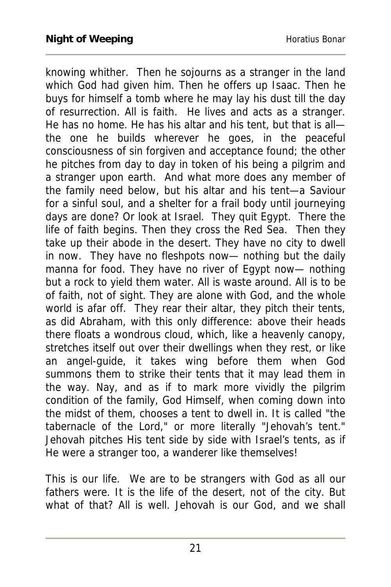knowing whither. Then he sojourns as a stranger in the land which God had given him. Then he offers up Isaac. Then he buys for himself a tomb where he may lay his dust till the day of resurrection. All is faith. He lives and acts as a stranger. He has no home. He has his altar and his tent, but that is allthe one he builds wherever he goes, in the peaceful consciousness of sin forgiven and acceptance found; the other he pitches from day to day in token of his being a pilgrim and a stranger upon earth. And what more does any member of the family need below, but his altar and his tent—a Saviour for a sinful soul, and a shelter for a frail body until journeying days are done? Or look at Israel. They quit Egypt. There the life of faith begins. Then they cross the Red Sea. Then they take up their abode in the desert. They have no city to dwell in now. They have no fleshpots now— nothing but the daily manna for food. They have no river of Egypt now— nothing but a rock to yield them water. All is waste around. All is to be of faith, not of sight. They are alone with God, and the whole world is afar off. They rear their altar, they pitch their tents, as did Abraham, with this only difference: above their heads there floats a wondrous cloud, which, like a heavenly canopy, stretches itself out over their dwellings when they rest, or like an angel-guide, it takes wing before them when God summons them to strike their tents that it may lead them in the way. Nay, and as if to mark more vividly the pilgrim condition of the family, God Himself, when coming down into the midst of them, chooses a tent to dwell in. It is called "the tabernacle of the Lord," or more literally "Jehovah's tent." Jehovah pitches His tent side by side with Israel's tents, as if He were a stranger too, a wanderer like themselves!

This is our life. We are to be strangers with God as all our fathers were. It is the life of the desert, not of the city. But what of that? All is well. Jehovah is our God, and we shall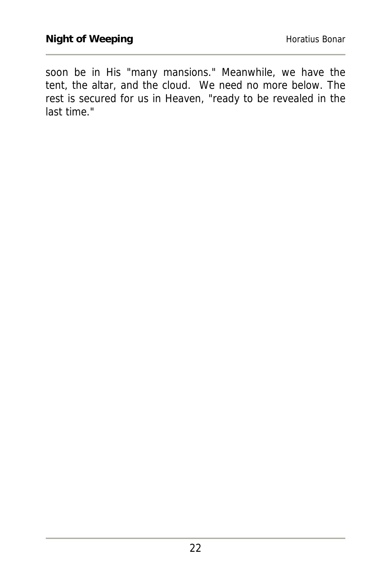soon be in His "many mansions." Meanwhile, we have the tent, the altar, and the cloud. We need no more below. The rest is secured for us in Heaven, "ready to be revealed in the last time."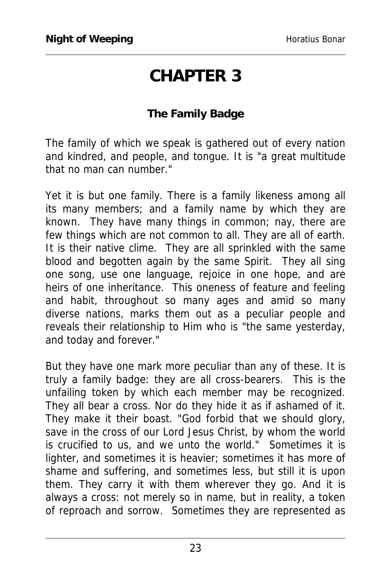# **CHAPTER 3**

#### **The Family Badge**

The family of which we speak is gathered out of every nation and kindred, and people, and tongue. It is "a great multitude that no man can number."

Yet it is but one family. There is a family likeness among all its many members; and a family name by which they are known. They have many things in common; nay, there are few things which are not common to all. They are all of earth. It is their native clime. They are all sprinkled with the same blood and begotten again by the same Spirit. They all sing one song, use one language, rejoice in one hope, and are heirs of one inheritance. This oneness of feature and feeling and habit, throughout so many ages and amid so many diverse nations, marks them out as a peculiar people and reveals their relationship to Him who is "the same yesterday, and today and forever."

But they have one mark more peculiar than any of these. It is truly a family badge: they are all cross-bearers. This is the unfailing token by which each member may be recognized. They all bear a cross. Nor do they hide it as if ashamed of it. They make it their boast. "God forbid that we should glory, save in the cross of our Lord Jesus Christ, by whom the world is crucified to us, and we unto the world." Sometimes it is lighter, and sometimes it is heavier; sometimes it has more of shame and suffering, and sometimes less, but still it is upon them. They carry it with them wherever they go. And it is always a cross: not merely so in name, but in reality, a token of reproach and sorrow. Sometimes they are represented as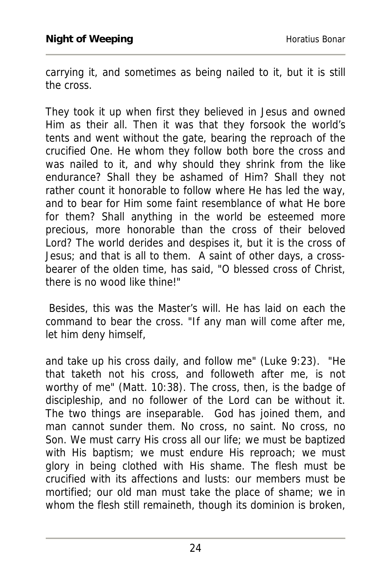carrying it, and sometimes as being nailed to it, but it is still the cross.

They took it up when first they believed in Jesus and owned Him as their all. Then it was that they forsook the world's tents and went without the gate, bearing the reproach of the crucified One. He whom they follow both bore the cross and was nailed to it, and why should they shrink from the like endurance? Shall they be ashamed of Him? Shall they not rather count it honorable to follow where He has led the way, and to bear for Him some faint resemblance of what He bore for them? Shall anything in the world be esteemed more precious, more honorable than the cross of their beloved Lord? The world derides and despises it, but it is the cross of Jesus; and that is all to them. A saint of other days, a crossbearer of the olden time, has said, "O blessed cross of Christ, there is no wood like thine!"

 Besides, this was the Master's will. He has laid on each the command to bear the cross. "If any man will come after me, let him deny himself,

and take up his cross daily, and follow me" (Luke 9:23). "He that taketh not his cross, and followeth after me, is not worthy of me" (Matt. 10:38). The cross, then, is the badge of discipleship, and no follower of the Lord can be without it. The two things are inseparable. God has joined them, and man cannot sunder them. No cross, no saint. No cross, no Son. We must carry His cross all our life; we must be baptized with His baptism; we must endure His reproach; we must glory in being clothed with His shame. The flesh must be crucified with its affections and lusts: our members must be mortified; our old man must take the place of shame; we in whom the flesh still remaineth, though its dominion is broken,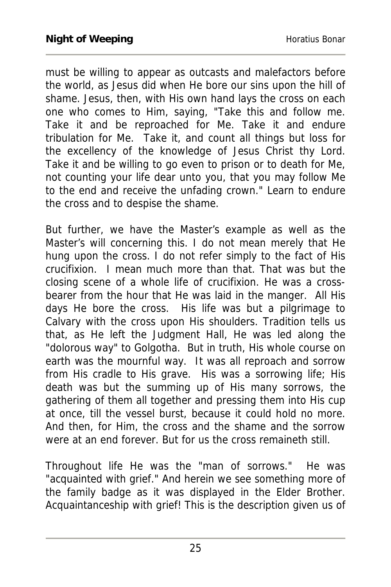must be willing to appear as outcasts and malefactors before the world, as Jesus did when He bore our sins upon the hill of shame. Jesus, then, with His own hand lays the cross on each one who comes to Him, saying, "Take this and follow me. Take it and be reproached for Me. Take it and endure tribulation for Me. Take it, and count all things but loss for the excellency of the knowledge of Jesus Christ thy Lord. Take it and be willing to go even to prison or to death for Me, not counting your life dear unto you, that you may follow Me to the end and receive the unfading crown." Learn to endure the cross and to despise the shame.

But further, we have the Master's example as well as the Master's will concerning this. I do not mean merely that He hung upon the cross. I do not refer simply to the fact of His crucifixion. I mean much more than that. That was but the closing scene of a whole life of crucifixion. He was a crossbearer from the hour that He was laid in the manger. All His days He bore the cross. His life was but a pilgrimage to Calvary with the cross upon His shoulders. Tradition tells us that, as He left the Judgment Hall, He was led along the "dolorous way" to Golgotha. But in truth, His whole course on earth was the mournful way. It was all reproach and sorrow from His cradle to His grave. His was a sorrowing life; His death was but the summing up of His many sorrows, the gathering of them all together and pressing them into His cup at once, till the vessel burst, because it could hold no more. And then, for Him, the cross and the shame and the sorrow were at an end forever. But for us the cross remaineth still.

Throughout life He was the "man of sorrows." He was "acquainted with grief." And herein we see something more of the family badge as it was displayed in the Elder Brother. Acquaintanceship with grief! This is the description given us of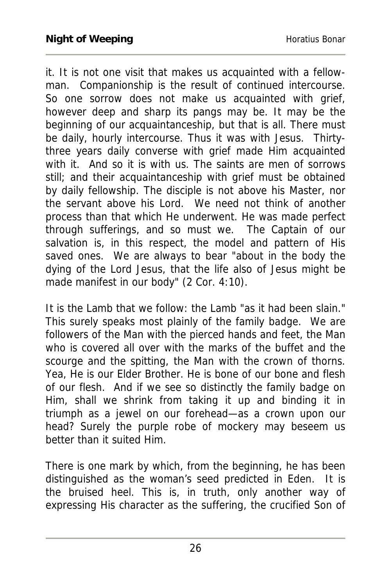it. It is not one visit that makes us acquainted with a fellowman. Companionship is the result of continued intercourse. So one sorrow does not make us acquainted with grief, however deep and sharp its pangs may be. It may be the beginning of our acquaintanceship, but that is all. There must be daily, hourly intercourse. Thus it was with Jesus. Thirtythree years daily converse with grief made Him acquainted with it. And so it is with us. The saints are men of sorrows still; and their acquaintanceship with grief must be obtained by daily fellowship. The disciple is not above his Master, nor the servant above his Lord. We need not think of another process than that which He underwent. He was made perfect through sufferings, and so must we. The Captain of our salvation is, in this respect, the model and pattern of His saved ones. We are always to bear "about in the body the dying of the Lord Jesus, that the life also of Jesus might be made manifest in our body" (2 Cor. 4:10).

It is the Lamb that we follow: the Lamb "as it had been slain." This surely speaks most plainly of the family badge. We are followers of the Man with the pierced hands and feet, the Man who is covered all over with the marks of the buffet and the scourge and the spitting, the Man with the crown of thorns. Yea, He is our Elder Brother. He is bone of our bone and flesh of our flesh. And if we see so distinctly the family badge on Him, shall we shrink from taking it up and binding it in triumph as a jewel on our forehead—as a crown upon our head? Surely the purple robe of mockery may beseem us better than it suited Him.

There is one mark by which, from the beginning, he has been distinguished as the woman's seed predicted in Eden. It is the bruised heel. This is, in truth, only another way of expressing His character as the suffering, the crucified Son of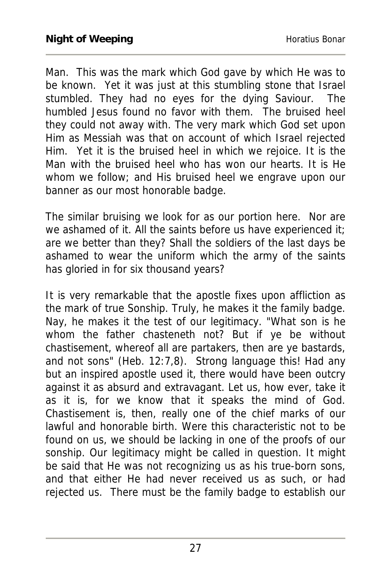Man. This was the mark which God gave by which He was to be known. Yet it was just at this stumbling stone that Israel stumbled. They had no eyes for the dying Saviour. The humbled Jesus found no favor with them. The bruised heel they could not away with. The very mark which God set upon Him as Messiah was that on account of which Israel rejected Him. Yet it is the bruised heel in which we rejoice. It is the Man with the bruised heel who has won our hearts. It is He whom we follow; and His bruised heel we engrave upon our banner as our most honorable badge.

The similar bruising we look for as our portion here. Nor are we ashamed of it. All the saints before us have experienced it; are we better than they? Shall the soldiers of the last days be ashamed to wear the uniform which the army of the saints has gloried in for six thousand years?

It is very remarkable that the apostle fixes upon affliction as the mark of true Sonship. Truly, he makes it the family badge. Nay, he makes it the test of our legitimacy. "What son is he whom the father chasteneth not? But if ye be without chastisement, whereof all are partakers, then are ye bastards, and not sons" (Heb. 12:7,8). Strong language this! Had any but an inspired apostle used it, there would have been outcry against it as absurd and extravagant. Let us, how ever, take it as it is, for we know that it speaks the mind of God. Chastisement is, then, really one of the chief marks of our lawful and honorable birth. Were this characteristic not to be found on us, we should be lacking in one of the proofs of our sonship. Our legitimacy might be called in question. It might be said that He was not recognizing us as his true-born sons, and that either He had never received us as such, or had rejected us. There must be the family badge to establish our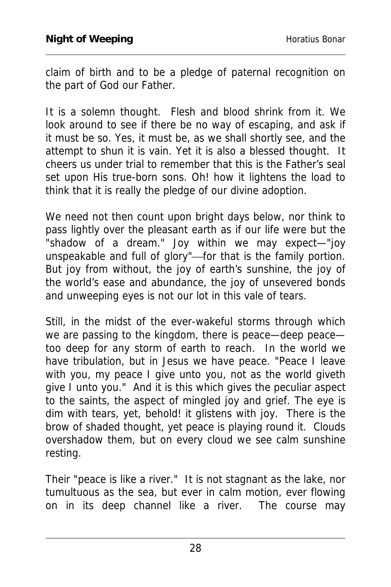claim of birth and to be a pledge of paternal recognition on the part of God our Father.

It is a solemn thought. Flesh and blood shrink from it. We look around to see if there be no way of escaping, and ask if it must be so. Yes, it must be, as we shall shortly see, and the attempt to shun it is vain. Yet it is also a blessed thought. It cheers us under trial to remember that this is the Father's seal set upon His true-born sons. Oh! how it lightens the load to think that it is really the pledge of our divine adoption.

We need not then count upon bright days below, nor think to pass lightly over the pleasant earth as if our life were but the "shadow of a dream." Joy within we may expect—"joy unspeakable and full of glory"—for that is the family portion. But joy from without, the joy of earth's sunshine, the joy of the world's ease and abundance, the joy of unsevered bonds and unweeping eyes is not our lot in this vale of tears.

Still, in the midst of the ever-wakeful storms through which we are passing to the kingdom, there is peace—deep peace too deep for any storm of earth to reach. In the world we have tribulation, but in Jesus we have peace. "Peace I leave with you, my peace I give unto you, not as the world giveth give I unto you." And it is this which gives the peculiar aspect to the saints, the aspect of mingled joy and grief. The eye is dim with tears, yet, behold! it glistens with joy. There is the brow of shaded thought, yet peace is playing round it. Clouds overshadow them, but on every cloud we see calm sunshine resting.

Their "peace is like a river." It is not stagnant as the lake, nor tumultuous as the sea, but ever in calm motion, ever flowing on in its deep channel like a river. The course may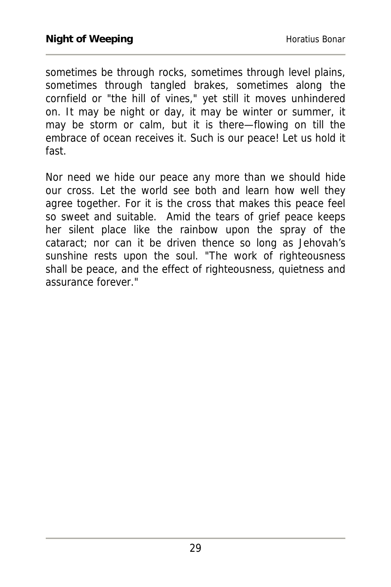sometimes be through rocks, sometimes through level plains, sometimes through tangled brakes, sometimes along the cornfield or "the hill of vines," yet still it moves unhindered on. It may be night or day, it may be winter or summer, it may be storm or calm, but it is there—flowing on till the embrace of ocean receives it. Such is our peace! Let us hold it fast.

Nor need we hide our peace any more than we should hide our cross. Let the world see both and learn how well they agree together. For it is the cross that makes this peace feel so sweet and suitable. Amid the tears of grief peace keeps her silent place like the rainbow upon the spray of the cataract; nor can it be driven thence so long as Jehovah's sunshine rests upon the soul. "The work of righteousness shall be peace, and the effect of righteousness, quietness and assurance forever."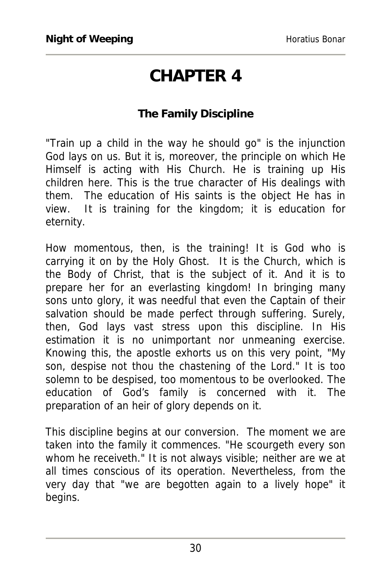# **CHAPTER 4**

#### **The Family Discipline**

"Train up a child in the way he should go" is the injunction God lays on us. But it is, moreover, the principle on which He Himself is acting with His Church. He is training up His children here. This is the true character of His dealings with them. The education of His saints is the object He has in view. It is training for the kingdom; it is education for eternity.

How momentous, then, is the training! It is God who is carrying it on by the Holy Ghost. It is the Church, which is the Body of Christ, that is the subject of it. And it is to prepare her for an everlasting kingdom! In bringing many sons unto glory, it was needful that even the Captain of their salvation should be made perfect through suffering. Surely, then, God lays vast stress upon this discipline. In His estimation it is no unimportant nor unmeaning exercise. Knowing this, the apostle exhorts us on this very point, "My son, despise not thou the chastening of the Lord." It is too solemn to be despised, too momentous to be overlooked. The education of God's family is concerned with it. The preparation of an heir of glory depends on it.

This discipline begins at our conversion. The moment we are taken into the family it commences. "He scourgeth every son whom he receiveth." It is not always visible; neither are we at all times conscious of its operation. Nevertheless, from the very day that "we are begotten again to a lively hope" it begins.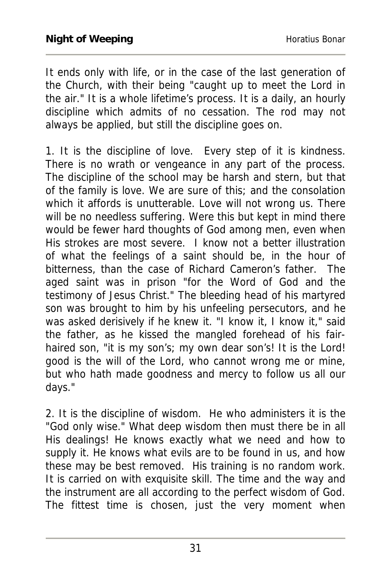It ends only with life, or in the case of the last generation of the Church, with their being "caught up to meet the Lord in the air." It is a whole lifetime's process. It is a daily, an hourly discipline which admits of no cessation. The rod may not always be applied, but still the discipline goes on.

1. It is the discipline of love. Every step of it is kindness. There is no wrath or vengeance in any part of the process. The discipline of the school may be harsh and stern, but that of the family is love. We are sure of this; and the consolation which it affords is unutterable. Love will not wrong us. There will be no needless suffering. Were this but kept in mind there would be fewer hard thoughts of God among men, even when His strokes are most severe. I know not a better illustration of what the feelings of a saint should be, in the hour of bitterness, than the case of Richard Cameron's father. The aged saint was in prison "for the Word of God and the testimony of Jesus Christ." The bleeding head of his martyred son was brought to him by his unfeeling persecutors, and he was asked derisively if he knew it. "I know it, I know it," said the father, as he kissed the mangled forehead of his fairhaired son, "it is my son's; my own dear son's! It is the Lord! good is the will of the Lord, who cannot wrong me or mine, but who hath made goodness and mercy to follow us all our days."

2. It is the discipline of wisdom. He who administers it is the "God only wise." What deep wisdom then must there be in all His dealings! He knows exactly what we need and how to supply it. He knows what evils are to be found in us, and how these may be best removed. His training is no random work. It is carried on with exquisite skill. The time and the way and the instrument are all according to the perfect wisdom of God. The fittest time is chosen, just the very moment when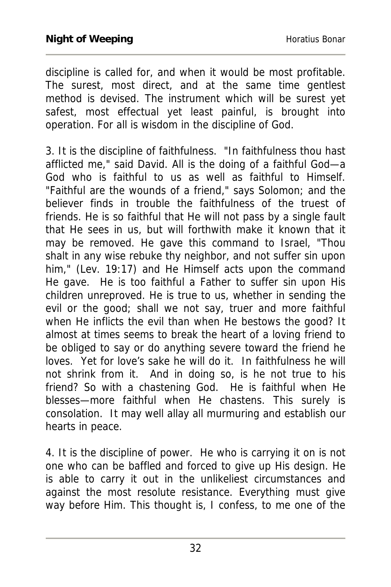discipline is called for, and when it would be most profitable. The surest, most direct, and at the same time gentlest method is devised. The instrument which will be surest yet safest, most effectual yet least painful, is brought into operation. For all is wisdom in the discipline of God.

3. It is the discipline of faithfulness. "In faithfulness thou hast afflicted me," said David. All is the doing of a faithful God—a God who is faithful to us as well as faithful to Himself. "Faithful are the wounds of a friend," says Solomon; and the believer finds in trouble the faithfulness of the truest of friends. He is so faithful that He will not pass by a single fault that He sees in us, but will forthwith make it known that it may be removed. He gave this command to Israel, "Thou shalt in any wise rebuke thy neighbor, and not suffer sin upon him," (Lev. 19:17) and He Himself acts upon the command He gave. He is too faithful a Father to suffer sin upon His children unreproved. He is true to us, whether in sending the evil or the good; shall we not say, truer and more faithful when He inflicts the evil than when He bestows the good? It almost at times seems to break the heart of a loving friend to be obliged to say or do anything severe toward the friend he loves. Yet for love's sake he will do it. In faithfulness he will not shrink from it. And in doing so, is he not true to his friend? So with a chastening God. He is faithful when He blesses—more faithful when He chastens. This surely is consolation. It may well allay all murmuring and establish our hearts in peace.

4. It is the discipline of power. He who is carrying it on is not one who can be baffled and forced to give up His design. He is able to carry it out in the unlikeliest circumstances and against the most resolute resistance. Everything must give way before Him. This thought is, I confess, to me one of the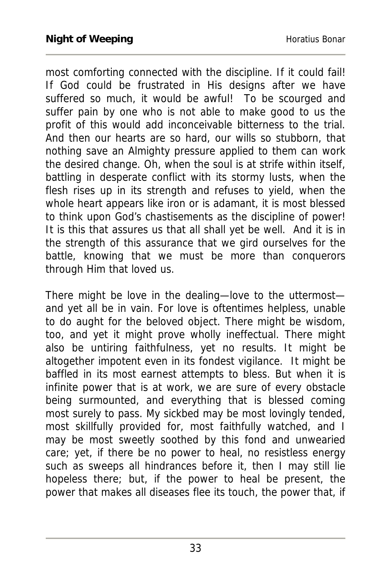most comforting connected with the discipline. If it could fail! If God could be frustrated in His designs after we have suffered so much, it would be awful! To be scourged and suffer pain by one who is not able to make good to us the profit of this would add inconceivable bitterness to the trial. And then our hearts are so hard, our wills so stubborn, that nothing save an Almighty pressure applied to them can work the desired change. Oh, when the soul is at strife within itself, battling in desperate conflict with its stormy lusts, when the flesh rises up in its strength and refuses to yield, when the whole heart appears like iron or is adamant, it is most blessed to think upon God's chastisements as the discipline of power! It is this that assures us that all shall yet be well. And it is in the strength of this assurance that we gird ourselves for the battle, knowing that we must be more than conquerors through Him that loved us.

There might be love in the dealing—love to the uttermost and yet all be in vain. For love is oftentimes helpless, unable to do aught for the beloved object. There might be wisdom, too, and yet it might prove wholly ineffectual. There might also be untiring faithfulness, yet no results. It might be altogether impotent even in its fondest vigilance. It might be baffled in its most earnest attempts to bless. But when it is infinite power that is at work, we are sure of every obstacle being surmounted, and everything that is blessed coming most surely to pass. My sickbed may be most lovingly tended, most skillfully provided for, most faithfully watched, and I may be most sweetly soothed by this fond and unwearied care; yet, if there be no power to heal, no resistless energy such as sweeps all hindrances before it, then I may still lie hopeless there; but, if the power to heal be present, the power that makes all diseases flee its touch, the power that, if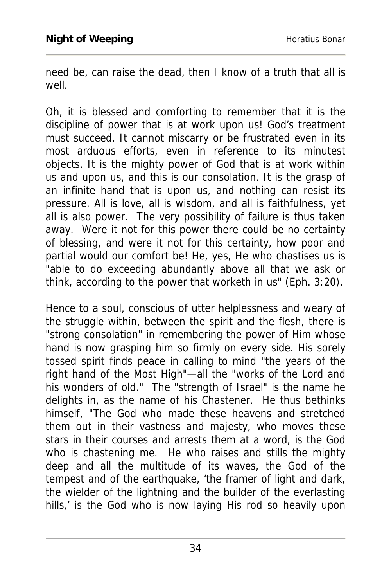need be, can raise the dead, then I know of a truth that all is well.

Oh, it is blessed and comforting to remember that it is the discipline of power that is at work upon us! God's treatment must succeed. It cannot miscarry or be frustrated even in its most arduous efforts, even in reference to its minutest objects. It is the mighty power of God that is at work within us and upon us, and this is our consolation. It is the grasp of an infinite hand that is upon us, and nothing can resist its pressure. All is love, all is wisdom, and all is faithfulness, yet all is also power. The very possibility of failure is thus taken away. Were it not for this power there could be no certainty of blessing, and were it not for this certainty, how poor and partial would our comfort be! He, yes, He who chastises us is "able to do exceeding abundantly above all that we ask or think, according to the power that worketh in us" (Eph. 3:20).

Hence to a soul, conscious of utter helplessness and weary of the struggle within, between the spirit and the flesh, there is "strong consolation" in remembering the power of Him whose hand is now grasping him so firmly on every side. His sorely tossed spirit finds peace in calling to mind "the years of the right hand of the Most High"—all the "works of the Lord and his wonders of old." The "strength of Israel" is the name he delights in, as the name of his Chastener. He thus bethinks himself, "The God who made these heavens and stretched them out in their vastness and majesty, who moves these stars in their courses and arrests them at a word, is the God who is chastening me. He who raises and stills the mighty deep and all the multitude of its waves, the God of the tempest and of the earthquake, 'the framer of light and dark, the wielder of the lightning and the builder of the everlasting hills,' is the God who is now laying His rod so heavily upon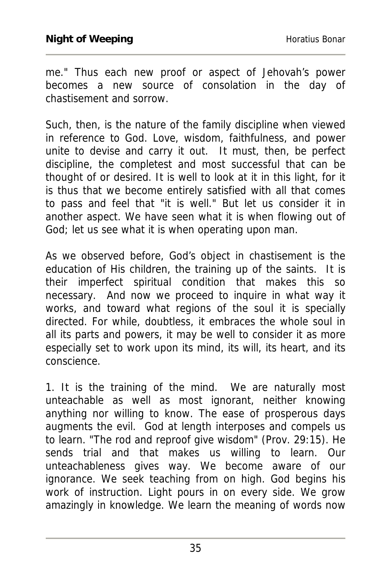me." Thus each new proof or aspect of Jehovah's power becomes a new source of consolation in the day of chastisement and sorrow.

Such, then, is the nature of the family discipline when viewed in reference to God. Love, wisdom, faithfulness, and power unite to devise and carry it out. It must, then, be perfect discipline, the completest and most successful that can be thought of or desired. It is well to look at it in this light, for it is thus that we become entirely satisfied with all that comes to pass and feel that "it is well." But let us consider it in another aspect. We have seen what it is when flowing out of God; let us see what it is when operating upon man.

As we observed before, God's object in chastisement is the education of His children, the training up of the saints. It is their imperfect spiritual condition that makes this so necessary. And now we proceed to inquire in what way it works, and toward what regions of the soul it is specially directed. For while, doubtless, it embraces the whole soul in all its parts and powers, it may be well to consider it as more especially set to work upon its mind, its will, its heart, and its conscience.

1. It is the training of the mind. We are naturally most unteachable as well as most ignorant, neither knowing anything nor willing to know. The ease of prosperous days augments the evil. God at length interposes and compels us to learn. "The rod and reproof give wisdom" (Prov. 29:15). He sends trial and that makes us willing to learn. Our unteachableness gives way. We become aware of our ignorance. We seek teaching from on high. God begins his work of instruction. Light pours in on every side. We grow amazingly in knowledge. We learn the meaning of words now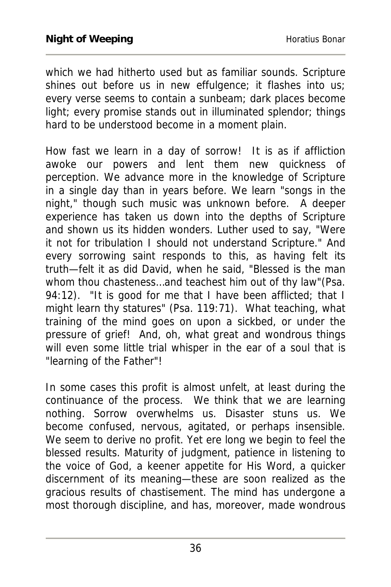which we had hitherto used but as familiar sounds. Scripture shines out before us in new effulgence; it flashes into us; every verse seems to contain a sunbeam; dark places become light; every promise stands out in illuminated splendor; things hard to be understood become in a moment plain.

How fast we learn in a day of sorrow! It is as if affliction awoke our powers and lent them new quickness of perception. We advance more in the knowledge of Scripture in a single day than in years before. We learn "songs in the night," though such music was unknown before. A deeper experience has taken us down into the depths of Scripture and shown us its hidden wonders. Luther used to say, "Were it not for tribulation I should not understand Scripture." And every sorrowing saint responds to this, as having felt its truth—felt it as did David, when he said, "Blessed is the man whom thou chasteness…and teachest him out of thy law"(Psa. 94:12). "It is good for me that I have been afflicted; that I might learn thy statures" (Psa. 119:71). What teaching, what training of the mind goes on upon a sickbed, or under the pressure of grief! And, oh, what great and wondrous things will even some little trial whisper in the ear of a soul that is "learning of the Father"!

In some cases this profit is almost unfelt, at least during the continuance of the process. We think that we are learning nothing. Sorrow overwhelms us. Disaster stuns us. We become confused, nervous, agitated, or perhaps insensible. We seem to derive no profit. Yet ere long we begin to feel the blessed results. Maturity of judgment, patience in listening to the voice of God, a keener appetite for His Word, a quicker discernment of its meaning—these are soon realized as the gracious results of chastisement. The mind has undergone a most thorough discipline, and has, moreover, made wondrous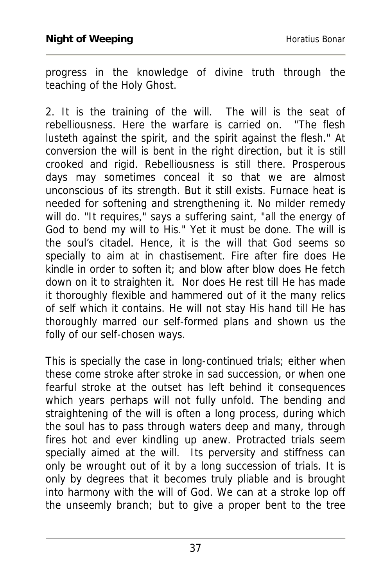progress in the knowledge of divine truth through the teaching of the Holy Ghost.

2. It is the training of the will. The will is the seat of rebelliousness. Here the warfare is carried on. "The flesh lusteth against the spirit, and the spirit against the flesh." At conversion the will is bent in the right direction, but it is still crooked and rigid. Rebelliousness is still there. Prosperous days may sometimes conceal it so that we are almost unconscious of its strength. But it still exists. Furnace heat is needed for softening and strengthening it. No milder remedy will do. "It requires," says a suffering saint, "all the energy of God to bend my will to His." Yet it must be done. The will is the soul's citadel. Hence, it is the will that God seems so specially to aim at in chastisement. Fire after fire does He kindle in order to soften it; and blow after blow does He fetch down on it to straighten it. Nor does He rest till He has made it thoroughly flexible and hammered out of it the many relics of self which it contains. He will not stay His hand till He has thoroughly marred our self-formed plans and shown us the folly of our self-chosen ways.

This is specially the case in long-continued trials; either when these come stroke after stroke in sad succession, or when one fearful stroke at the outset has left behind it consequences which years perhaps will not fully unfold. The bending and straightening of the will is often a long process, during which the soul has to pass through waters deep and many, through fires hot and ever kindling up anew. Protracted trials seem specially aimed at the will. Its perversity and stiffness can only be wrought out of it by a long succession of trials. It is only by degrees that it becomes truly pliable and is brought into harmony with the will of God. We can at a stroke lop off the unseemly branch; but to give a proper bent to the tree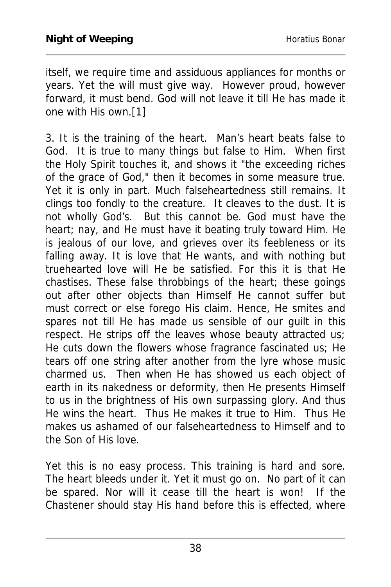itself, we require time and assiduous appliances for months or years. Yet the will must give way. However proud, however forward, it must bend. God will not leave it till He has made it one with His own.[1]

3. It is the training of the heart. Man's heart beats false to God. It is true to many things but false to Him. When first the Holy Spirit touches it, and shows it "the exceeding riches of the grace of God," then it becomes in some measure true. Yet it is only in part. Much falseheartedness still remains. It clings too fondly to the creature. It cleaves to the dust. It is not wholly God's. But this cannot be. God must have the heart; nay, and He must have it beating truly toward Him. He is jealous of our love, and grieves over its feebleness or its falling away. It is love that He wants, and with nothing but truehearted love will He be satisfied. For this it is that He chastises. These false throbbings of the heart; these goings out after other objects than Himself He cannot suffer but must correct or else forego His claim. Hence, He smites and spares not till He has made us sensible of our guilt in this respect. He strips off the leaves whose beauty attracted us; He cuts down the flowers whose fragrance fascinated us; He tears off one string after another from the lyre whose music charmed us. Then when He has showed us each object of earth in its nakedness or deformity, then He presents Himself to us in the brightness of His own surpassing glory. And thus He wins the heart. Thus He makes it true to Him. Thus He makes us ashamed of our falseheartedness to Himself and to the Son of His love.

Yet this is no easy process. This training is hard and sore. The heart bleeds under it. Yet it must go on. No part of it can be spared. Nor will it cease till the heart is won! If the Chastener should stay His hand before this is effected, where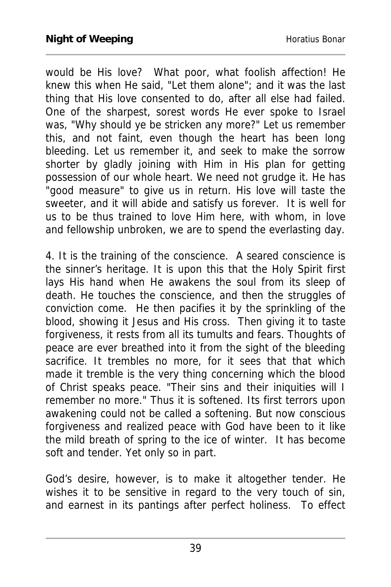would be His love? What poor, what foolish affection! He knew this when He said, "Let them alone"; and it was the last thing that His love consented to do, after all else had failed. One of the sharpest, sorest words He ever spoke to Israel was, "Why should ye be stricken any more?" Let us remember this, and not faint, even though the heart has been long bleeding. Let us remember it, and seek to make the sorrow shorter by gladly joining with Him in His plan for getting possession of our whole heart. We need not grudge it. He has "good measure" to give us in return. His love will taste the sweeter, and it will abide and satisfy us forever. It is well for us to be thus trained to love Him here, with whom, in love and fellowship unbroken, we are to spend the everlasting day.

4. It is the training of the conscience. A seared conscience is the sinner's heritage. It is upon this that the Holy Spirit first lays His hand when He awakens the soul from its sleep of death. He touches the conscience, and then the struggles of conviction come. He then pacifies it by the sprinkling of the blood, showing it Jesus and His cross. Then giving it to taste forgiveness, it rests from all its tumults and fears. Thoughts of peace are ever breathed into it from the sight of the bleeding sacrifice. It trembles no more, for it sees that that which made it tremble is the very thing concerning which the blood of Christ speaks peace. "Their sins and their iniquities will I remember no more." Thus it is softened. Its first terrors upon awakening could not be called a softening. But now conscious forgiveness and realized peace with God have been to it like the mild breath of spring to the ice of winter. It has become soft and tender. Yet only so in part.

God's desire, however, is to make it altogether tender. He wishes it to be sensitive in regard to the very touch of sin, and earnest in its pantings after perfect holiness. To effect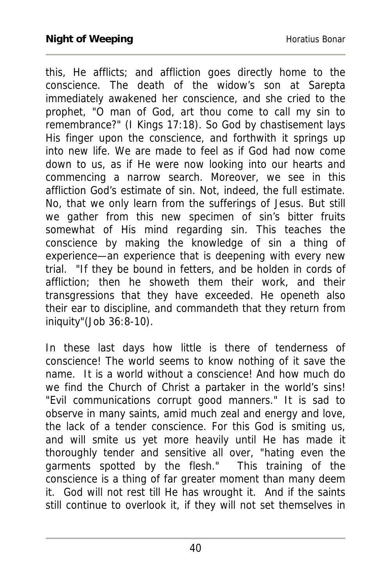this, He afflicts; and affliction goes directly home to the conscience. The death of the widow's son at Sarepta immediately awakened her conscience, and she cried to the prophet, "O man of God, art thou come to call my sin to remembrance?" (I Kings 17:18). So God by chastisement lays His finger upon the conscience, and forthwith it springs up into new life. We are made to feel as if God had now come down to us, as if He were now looking into our hearts and commencing a narrow search. Moreover, we see in this affliction God's estimate of sin. Not, indeed, the full estimate. No, that we only learn from the sufferings of Jesus. But still we gather from this new specimen of sin's bitter fruits somewhat of His mind regarding sin. This teaches the conscience by making the knowledge of sin a thing of experience—an experience that is deepening with every new trial. "If they be bound in fetters, and be holden in cords of affliction; then he showeth them their work, and their transgressions that they have exceeded. He openeth also their ear to discipline, and commandeth that they return from iniquity"(Job 36:8-10).

In these last days how little is there of tenderness of conscience! The world seems to know nothing of it save the name. It is a world without a conscience! And how much do we find the Church of Christ a partaker in the world's sins! "Evil communications corrupt good manners." It is sad to observe in many saints, amid much zeal and energy and love, the lack of a tender conscience. For this God is smiting us, and will smite us yet more heavily until He has made it thoroughly tender and sensitive all over, "hating even the garments spotted by the flesh." This training of the conscience is a thing of far greater moment than many deem it. God will not rest till He has wrought it. And if the saints still continue to overlook it, if they will not set themselves in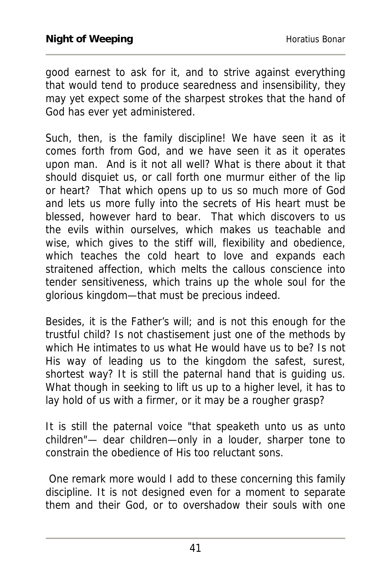good earnest to ask for it, and to strive against everything that would tend to produce searedness and insensibility, they may yet expect some of the sharpest strokes that the hand of God has ever yet administered.

Such, then, is the family discipline! We have seen it as it comes forth from God, and we have seen it as it operates upon man. And is it not all well? What is there about it that should disquiet us, or call forth one murmur either of the lip or heart? That which opens up to us so much more of God and lets us more fully into the secrets of His heart must be blessed, however hard to bear. That which discovers to us the evils within ourselves, which makes us teachable and wise, which gives to the stiff will, flexibility and obedience, which teaches the cold heart to love and expands each straitened affection, which melts the callous conscience into tender sensitiveness, which trains up the whole soul for the glorious kingdom—that must be precious indeed.

Besides, it is the Father's will; and is not this enough for the trustful child? Is not chastisement just one of the methods by which He intimates to us what He would have us to be? Is not His way of leading us to the kingdom the safest, surest, shortest way? It is still the paternal hand that is guiding us. What though in seeking to lift us up to a higher level, it has to lay hold of us with a firmer, or it may be a rougher grasp?

It is still the paternal voice "that speaketh unto us as unto children"— dear children—only in a louder, sharper tone to constrain the obedience of His too reluctant sons.

 One remark more would I add to these concerning this family discipline. It is not designed even for a moment to separate them and their God, or to overshadow their souls with one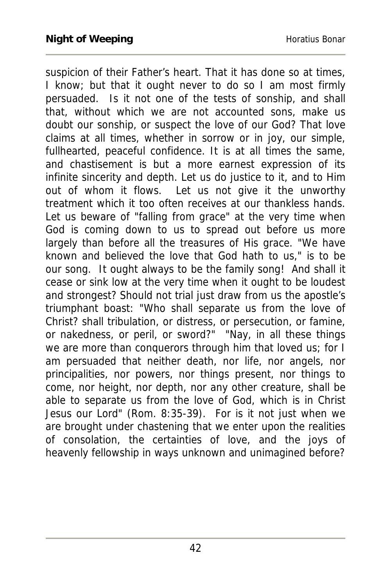suspicion of their Father's heart. That it has done so at times, I know; but that it ought never to do so I am most firmly persuaded. Is it not one of the tests of sonship, and shall that, without which we are not accounted sons, make us doubt our sonship, or suspect the love of our God? That love claims at all times, whether in sorrow or in joy, our simple, fullhearted, peaceful confidence. It is at all times the same, and chastisement is but a more earnest expression of its infinite sincerity and depth. Let us do justice to it, and to Him out of whom it flows. Let us not give it the unworthy treatment which it too often receives at our thankless hands. Let us beware of "falling from grace" at the very time when God is coming down to us to spread out before us more largely than before all the treasures of His grace. "We have known and believed the love that God hath to us," is to be our song. It ought always to be the family song! And shall it cease or sink low at the very time when it ought to be loudest and strongest? Should not trial just draw from us the apostle's triumphant boast: "Who shall separate us from the love of Christ? shall tribulation, or distress, or persecution, or famine, or nakedness, or peril, or sword?" "Nay, in all these things we are more than conquerors through him that loved us; for I am persuaded that neither death, nor life, nor angels, nor principalities, nor powers, nor things present, nor things to come, nor height, nor depth, nor any other creature, shall be able to separate us from the love of God, which is in Christ Jesus our Lord" (Rom. 8:35-39). For is it not just when we are brought under chastening that we enter upon the realities of consolation, the certainties of love, and the joys of heavenly fellowship in ways unknown and unimagined before?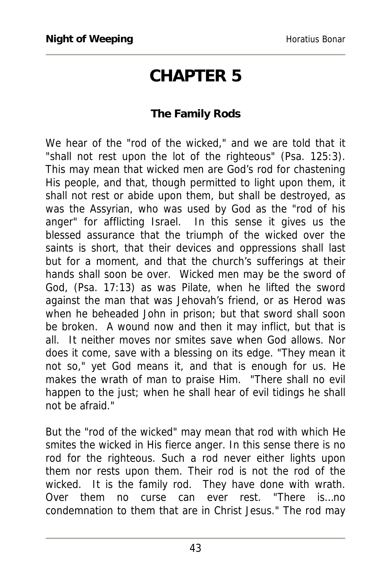## **CHAPTER 5**

### **The Family Rods**

We hear of the "rod of the wicked," and we are told that it "shall not rest upon the lot of the righteous" (Psa. 125:3). This may mean that wicked men are God's rod for chastening His people, and that, though permitted to light upon them, it shall not rest or abide upon them, but shall be destroyed, as was the Assyrian, who was used by God as the "rod of his anger" for afflicting Israel. In this sense it gives us the blessed assurance that the triumph of the wicked over the saints is short, that their devices and oppressions shall last but for a moment, and that the church's sufferings at their hands shall soon be over. Wicked men may be the sword of God, (Psa. 17:13) as was Pilate, when he lifted the sword against the man that was Jehovah's friend, or as Herod was when he beheaded John in prison; but that sword shall soon be broken. A wound now and then it may inflict, but that is all. It neither moves nor smites save when God allows. Nor does it come, save with a blessing on its edge. "They mean it not so," yet God means it, and that is enough for us. He makes the wrath of man to praise Him. "There shall no evil happen to the just; when he shall hear of evil tidings he shall not be afraid."

But the "rod of the wicked" may mean that rod with which He smites the wicked in His fierce anger. In this sense there is no rod for the righteous. Such a rod never either lights upon them nor rests upon them. Their rod is not the rod of the wicked. It is the family rod. They have done with wrath. Over them no curse can ever rest. "There is…no condemnation to them that are in Christ Jesus." The rod may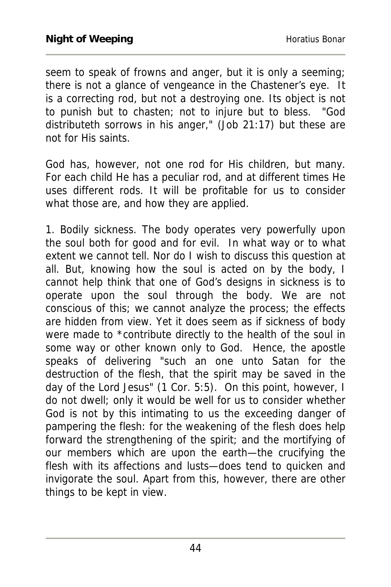seem to speak of frowns and anger, but it is only a seeming; there is not a glance of vengeance in the Chastener's eye. It is a correcting rod, but not a destroying one. Its object is not to punish but to chasten; not to injure but to bless. "God distributeth sorrows in his anger," (Job 21:17) but these are not for His saints.

God has, however, not one rod for His children, but many. For each child He has a peculiar rod, and at different times He uses different rods. It will be profitable for us to consider what those are, and how they are applied.

1. Bodily sickness. The body operates very powerfully upon the soul both for good and for evil. In what way or to what extent we cannot tell. Nor do I wish to discuss this question at all. But, knowing how the soul is acted on by the body, I cannot help think that one of God's designs in sickness is to operate upon the soul through the body. We are not conscious of this; we cannot analyze the process; the effects are hidden from view. Yet it does seem as if sickness of body were made to \*contribute directly to the health of the soul in some way or other known only to God. Hence, the apostle speaks of delivering "such an one unto Satan for the destruction of the flesh, that the spirit may be saved in the day of the Lord Jesus" (1 Cor. 5:5). On this point, however, I do not dwell; only it would be well for us to consider whether God is not by this intimating to us the exceeding danger of pampering the flesh: for the weakening of the flesh does help forward the strengthening of the spirit; and the mortifying of our members which are upon the earth—the crucifying the flesh with its affections and lusts—does tend to quicken and invigorate the soul. Apart from this, however, there are other things to be kept in view.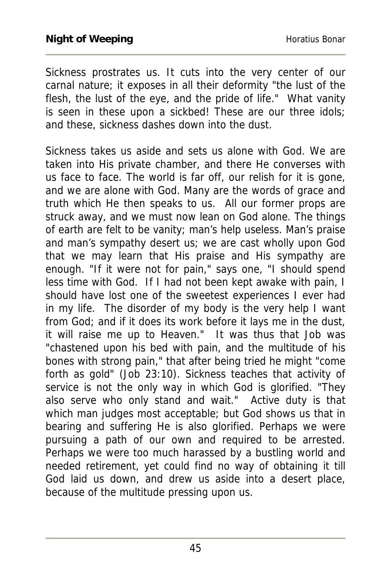Sickness prostrates us. It cuts into the very center of our carnal nature; it exposes in all their deformity "the lust of the flesh, the lust of the eye, and the pride of life." What vanity is seen in these upon a sickbed! These are our three idols; and these, sickness dashes down into the dust.

Sickness takes us aside and sets us alone with God. We are taken into His private chamber, and there He converses with us face to face. The world is far off, our relish for it is gone, and we are alone with God. Many are the words of grace and truth which He then speaks to us. All our former props are struck away, and we must now lean on God alone. The things of earth are felt to be vanity; man's help useless. Man's praise and man's sympathy desert us; we are cast wholly upon God that we may learn that His praise and His sympathy are enough. "If it were not for pain," says one, "I should spend less time with God. If I had not been kept awake with pain, I should have lost one of the sweetest experiences I ever had in my life. The disorder of my body is the very help I want from God; and if it does its work before it lays me in the dust, it will raise me up to Heaven." It was thus that Job was "chastened upon his bed with pain, and the multitude of his bones with strong pain," that after being tried he might "come forth as gold" (Job 23:10). Sickness teaches that activity of service is not the only way in which God is glorified. "They also serve who only stand and wait." Active duty is that which man judges most acceptable; but God shows us that in bearing and suffering He is also glorified. Perhaps we were pursuing a path of our own and required to be arrested. Perhaps we were too much harassed by a bustling world and needed retirement, yet could find no way of obtaining it till God laid us down, and drew us aside into a desert place, because of the multitude pressing upon us.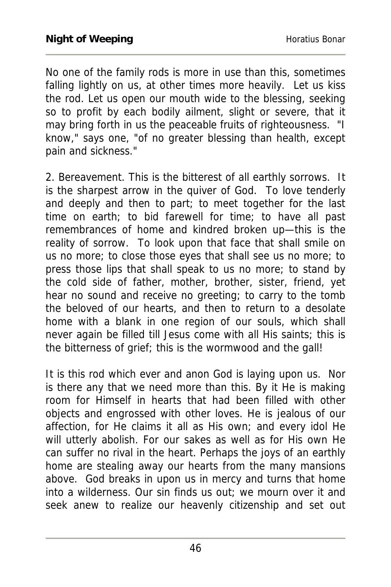No one of the family rods is more in use than this, sometimes falling lightly on us, at other times more heavily. Let us kiss the rod. Let us open our mouth wide to the blessing, seeking so to profit by each bodily ailment, slight or severe, that it may bring forth in us the peaceable fruits of righteousness. "I know," says one, "of no greater blessing than health, except pain and sickness."

2. Bereavement. This is the bitterest of all earthly sorrows. It is the sharpest arrow in the quiver of God. To love tenderly and deeply and then to part; to meet together for the last time on earth; to bid farewell for time; to have all past remembrances of home and kindred broken up—this is the reality of sorrow. To look upon that face that shall smile on us no more; to close those eyes that shall see us no more; to press those lips that shall speak to us no more; to stand by the cold side of father, mother, brother, sister, friend, yet hear no sound and receive no greeting; to carry to the tomb the beloved of our hearts, and then to return to a desolate home with a blank in one region of our souls, which shall never again be filled till Jesus come with all His saints; this is the bitterness of grief; this is the wormwood and the gall!

It is this rod which ever and anon God is laying upon us. Nor is there any that we need more than this. By it He is making room for Himself in hearts that had been filled with other objects and engrossed with other loves. He is jealous of our affection, for He claims it all as His own; and every idol He will utterly abolish. For our sakes as well as for His own He can suffer no rival in the heart. Perhaps the joys of an earthly home are stealing away our hearts from the many mansions above. God breaks in upon us in mercy and turns that home into a wilderness. Our sin finds us out; we mourn over it and seek anew to realize our heavenly citizenship and set out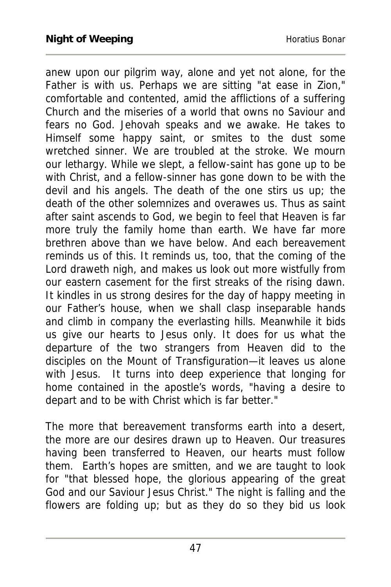anew upon our pilgrim way, alone and yet not alone, for the Father is with us. Perhaps we are sitting "at ease in Zion," comfortable and contented, amid the afflictions of a suffering Church and the miseries of a world that owns no Saviour and fears no God. Jehovah speaks and we awake. He takes to Himself some happy saint, or smites to the dust some wretched sinner. We are troubled at the stroke. We mourn our lethargy. While we slept, a fellow-saint has gone up to be with Christ, and a fellow-sinner has gone down to be with the devil and his angels. The death of the one stirs us up; the death of the other solemnizes and overawes us. Thus as saint after saint ascends to God, we begin to feel that Heaven is far more truly the family home than earth. We have far more brethren above than we have below. And each bereavement reminds us of this. It reminds us, too, that the coming of the Lord draweth nigh, and makes us look out more wistfully from our eastern casement for the first streaks of the rising dawn. It kindles in us strong desires for the day of happy meeting in our Father's house, when we shall clasp inseparable hands and climb in company the everlasting hills. Meanwhile it bids us give our hearts to Jesus only. It does for us what the departure of the two strangers from Heaven did to the disciples on the Mount of Transfiguration—it leaves us alone with Jesus. It turns into deep experience that longing for home contained in the apostle's words, "having a desire to depart and to be with Christ which is far better."

The more that bereavement transforms earth into a desert, the more are our desires drawn up to Heaven. Our treasures having been transferred to Heaven, our hearts must follow them. Earth's hopes are smitten, and we are taught to look for "that blessed hope, the glorious appearing of the great God and our Saviour Jesus Christ." The night is falling and the flowers are folding up; but as they do so they bid us look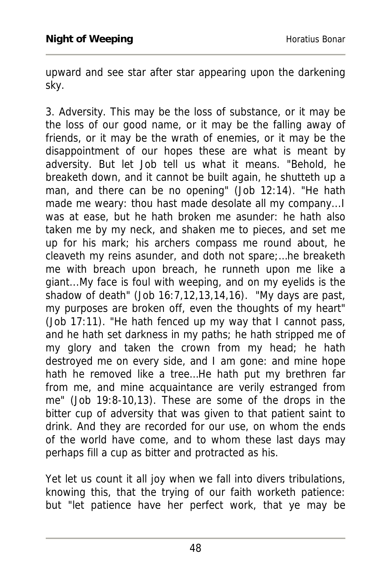upward and see star after star appearing upon the darkening sky.

3. Adversity. This may be the loss of substance, or it may be the loss of our good name, or it may be the falling away of friends, or it may be the wrath of enemies, or it may be the disappointment of our hopes these are what is meant by adversity. But let Job tell us what it means. "Behold, he breaketh down, and it cannot be built again, he shutteth up a man, and there can be no opening" (Job 12:14). "He hath made me weary: thou hast made desolate all my company...I was at ease, but he hath broken me asunder: he hath also taken me by my neck, and shaken me to pieces, and set me up for his mark; his archers compass me round about, he cleaveth my reins asunder, and doth not spare;…he breaketh me with breach upon breach, he runneth upon me like a giant...My face is foul with weeping, and on my eyelids is the shadow of death" (Job 16:7,12,13,14,16). "My days are past, my purposes are broken off, even the thoughts of my heart" (Job 17:11). "He hath fenced up my way that I cannot pass, and he hath set darkness in my paths; he hath stripped me of my glory and taken the crown from my head; he hath destroyed me on every side, and I am gone: and mine hope hath he removed like a tree…He hath put my brethren far from me, and mine acquaintance are verily estranged from me" (Job 19:8-10,13). These are some of the drops in the bitter cup of adversity that was given to that patient saint to drink. And they are recorded for our use, on whom the ends of the world have come, and to whom these last days may perhaps fill a cup as bitter and protracted as his.

Yet let us count it all joy when we fall into divers tribulations, knowing this, that the trying of our faith worketh patience: but "let patience have her perfect work, that ye may be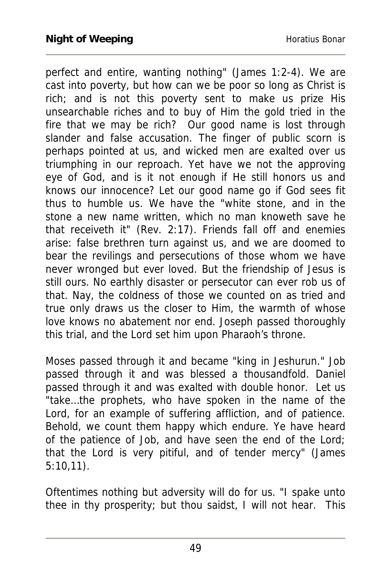perfect and entire, wanting nothing" (James 1:2-4). We are cast into poverty, but how can we be poor so long as Christ is rich; and is not this poverty sent to make us prize His unsearchable riches and to buy of Him the gold tried in the fire that we may be rich? Our good name is lost through slander and false accusation. The finger of public scorn is perhaps pointed at us, and wicked men are exalted over us triumphing in our reproach. Yet have we not the approving eye of God, and is it not enough if He still honors us and knows our innocence? Let our good name go if God sees fit thus to humble us. We have the "white stone, and in the stone a new name written, which no man knoweth save he that receiveth it" (Rev. 2:17). Friends fall off and enemies arise: false brethren turn against us, and we are doomed to bear the revilings and persecutions of those whom we have never wronged but ever loved. But the friendship of Jesus is still ours. No earthly disaster or persecutor can ever rob us of that. Nay, the coldness of those we counted on as tried and true only draws us the closer to Him, the warmth of whose love knows no abatement nor end. Joseph passed thoroughly this trial, and the Lord set him upon Pharaoh's throne.

Moses passed through it and became "king in Jeshurun." Job passed through it and was blessed a thousandfold. Daniel passed through it and was exalted with double honor. Let us "take…the prophets, who have spoken in the name of the Lord, for an example of suffering affliction, and of patience. Behold, we count them happy which endure. Ye have heard of the patience of Job, and have seen the end of the Lord; that the Lord is very pitiful, and of tender mercy" (James 5:10,11).

Oftentimes nothing but adversity will do for us. "I spake unto thee in thy prosperity; but thou saidst, I will not hear. This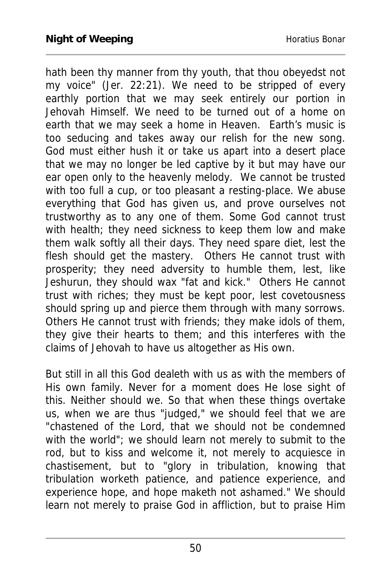hath been thy manner from thy youth, that thou obeyedst not my voice" (Jer. 22:21). We need to be stripped of every earthly portion that we may seek entirely our portion in Jehovah Himself. We need to be turned out of a home on earth that we may seek a home in Heaven. Earth's music is too seducing and takes away our relish for the new song. God must either hush it or take us apart into a desert place that we may no longer be led captive by it but may have our ear open only to the heavenly melody. We cannot be trusted with too full a cup, or too pleasant a resting-place. We abuse everything that God has given us, and prove ourselves not trustworthy as to any one of them. Some God cannot trust with health; they need sickness to keep them low and make them walk softly all their days. They need spare diet, lest the flesh should get the mastery. Others He cannot trust with prosperity; they need adversity to humble them, lest, like Jeshurun, they should wax "fat and kick." Others He cannot trust with riches; they must be kept poor, lest covetousness should spring up and pierce them through with many sorrows. Others He cannot trust with friends; they make idols of them, they give their hearts to them; and this interferes with the claims of Jehovah to have us altogether as His own.

But still in all this God dealeth with us as with the members of His own family. Never for a moment does He lose sight of this. Neither should we. So that when these things overtake us, when we are thus "judged," we should feel that we are "chastened of the Lord, that we should not be condemned with the world"; we should learn not merely to submit to the rod, but to kiss and welcome it, not merely to acquiesce in chastisement, but to "glory in tribulation, knowing that tribulation worketh patience, and patience experience, and experience hope, and hope maketh not ashamed." We should learn not merely to praise God in affliction, but to praise Him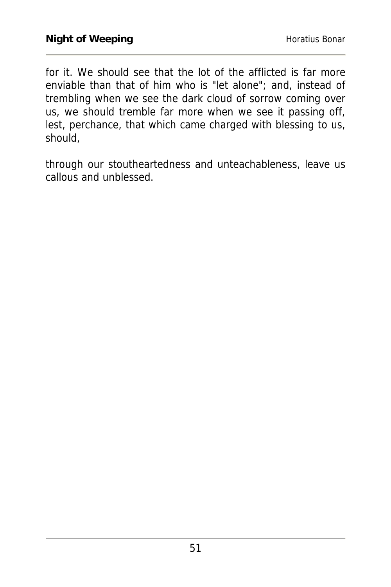for it. We should see that the lot of the afflicted is far more enviable than that of him who is "let alone"; and, instead of trembling when we see the dark cloud of sorrow coming over us, we should tremble far more when we see it passing off, lest, perchance, that which came charged with blessing to us, should,

through our stoutheartedness and unteachableness, leave us callous and unblessed.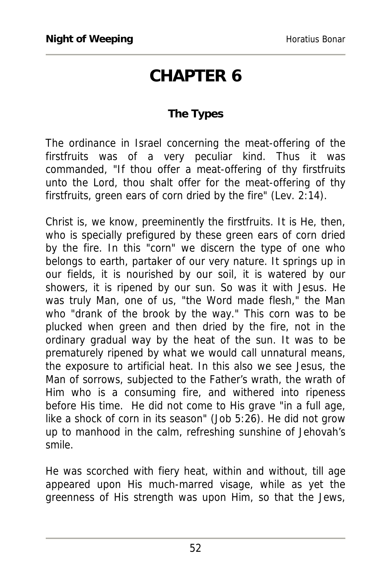# **CHAPTER 6**

### **The Types**

The ordinance in Israel concerning the meat-offering of the firstfruits was of a very peculiar kind. Thus it was commanded, "If thou offer a meat-offering of thy firstfruits unto the Lord, thou shalt offer for the meat-offering of thy firstfruits, green ears of corn dried by the fire" (Lev. 2:14).

Christ is, we know, preeminently the firstfruits. It is He, then, who is specially prefigured by these green ears of corn dried by the fire. In this "corn" we discern the type of one who belongs to earth, partaker of our very nature. It springs up in our fields, it is nourished by our soil, it is watered by our showers, it is ripened by our sun. So was it with Jesus. He was truly Man, one of us, "the Word made flesh," the Man who "drank of the brook by the way." This corn was to be plucked when green and then dried by the fire, not in the ordinary gradual way by the heat of the sun. It was to be prematurely ripened by what we would call unnatural means, the exposure to artificial heat. In this also we see Jesus, the Man of sorrows, subjected to the Father's wrath, the wrath of Him who is a consuming fire, and withered into ripeness before His time. He did not come to His grave "in a full age, like a shock of corn in its season" (Job 5:26). He did not grow up to manhood in the calm, refreshing sunshine of Jehovah's smile.

He was scorched with fiery heat, within and without, till age appeared upon His much-marred visage, while as yet the greenness of His strength was upon Him, so that the Jews,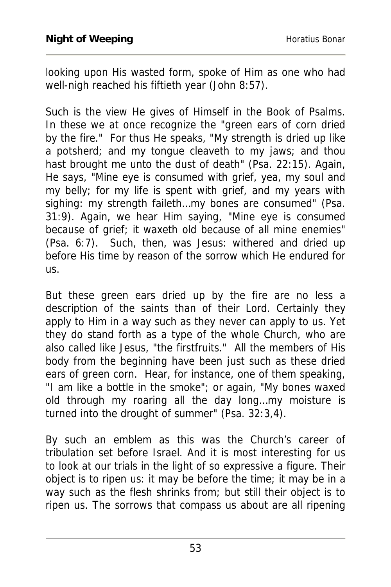looking upon His wasted form, spoke of Him as one who had well-nigh reached his fiftieth year (John 8:57).

Such is the view He gives of Himself in the Book of Psalms. In these we at once recognize the "green ears of corn dried by the fire." For thus He speaks, "My strength is dried up like a potsherd; and my tongue cleaveth to my jaws; and thou hast brought me unto the dust of death" (Psa. 22:15). Again, He says, "Mine eye is consumed with grief, yea, my soul and my belly; for my life is spent with grief, and my years with sighing: my strength faileth…my bones are consumed" (Psa. 31:9). Again, we hear Him saying, "Mine eye is consumed because of grief; it waxeth old because of all mine enemies" (Psa. 6:7). Such, then, was Jesus: withered and dried up before His time by reason of the sorrow which He endured for us.

But these green ears dried up by the fire are no less a description of the saints than of their Lord. Certainly they apply to Him in a way such as they never can apply to us. Yet they do stand forth as a type of the whole Church, who are also called like Jesus, "the firstfruits." All the members of His body from the beginning have been just such as these dried ears of green corn. Hear, for instance, one of them speaking, "I am like a bottle in the smoke"; or again, "My bones waxed old through my roaring all the day long…my moisture is turned into the drought of summer" (Psa. 32:3,4).

By such an emblem as this was the Church's career of tribulation set before Israel. And it is most interesting for us to look at our trials in the light of so expressive a figure. Their object is to ripen us: it may be before the time; it may be in a way such as the flesh shrinks from; but still their object is to ripen us. The sorrows that compass us about are all ripening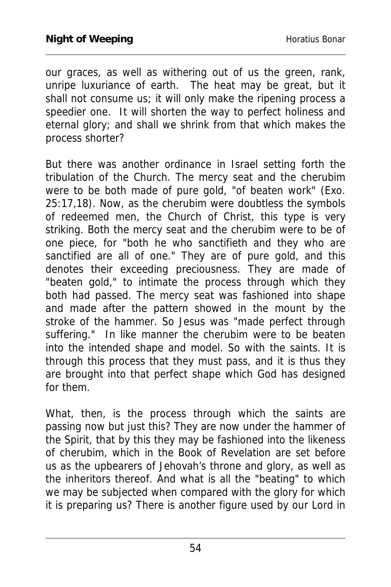our graces, as well as withering out of us the green, rank, unripe luxuriance of earth. The heat may be great, but it shall not consume us; it will only make the ripening process a speedier one. It will shorten the way to perfect holiness and eternal glory; and shall we shrink from that which makes the process shorter?

But there was another ordinance in Israel setting forth the tribulation of the Church. The mercy seat and the cherubim were to be both made of pure gold, "of beaten work" (Exo. 25:17,18). Now, as the cherubim were doubtless the symbols of redeemed men, the Church of Christ, this type is very striking. Both the mercy seat and the cherubim were to be of one piece, for "both he who sanctifieth and they who are sanctified are all of one." They are of pure gold, and this denotes their exceeding preciousness. They are made of "beaten gold," to intimate the process through which they both had passed. The mercy seat was fashioned into shape and made after the pattern showed in the mount by the stroke of the hammer. So Jesus was "made perfect through suffering." In like manner the cherubim were to be beaten into the intended shape and model. So with the saints. It is through this process that they must pass, and it is thus they are brought into that perfect shape which God has designed for them.

What, then, is the process through which the saints are passing now but just this? They are now under the hammer of the Spirit, that by this they may be fashioned into the likeness of cherubim, which in the Book of Revelation are set before us as the upbearers of Jehovah's throne and glory, as well as the inheritors thereof. And what is all the "beating" to which we may be subjected when compared with the glory for which it is preparing us? There is another figure used by our Lord in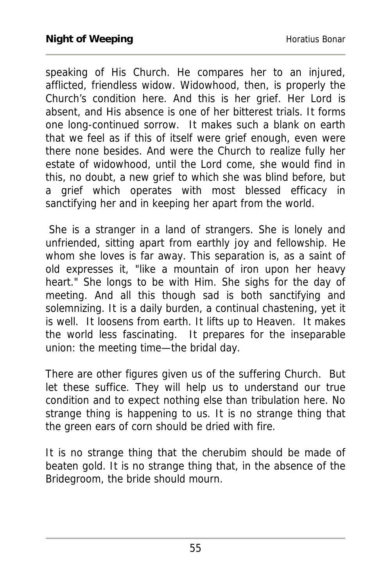speaking of His Church. He compares her to an injured, afflicted, friendless widow. Widowhood, then, is properly the Church's condition here. And this is her grief. Her Lord is absent, and His absence is one of her bitterest trials. It forms one long-continued sorrow. It makes such a blank on earth that we feel as if this of itself were grief enough, even were there none besides. And were the Church to realize fully her estate of widowhood, until the Lord come, she would find in this, no doubt, a new grief to which she was blind before, but a grief which operates with most blessed efficacy in sanctifying her and in keeping her apart from the world.

 She is a stranger in a land of strangers. She is lonely and unfriended, sitting apart from earthly joy and fellowship. He whom she loves is far away. This separation is, as a saint of old expresses it, "like a mountain of iron upon her heavy heart." She longs to be with Him. She sighs for the day of meeting. And all this though sad is both sanctifying and solemnizing. It is a daily burden, a continual chastening, yet it is well. It loosens from earth. It lifts up to Heaven. It makes the world less fascinating. It prepares for the inseparable union: the meeting time—the bridal day.

There are other figures given us of the suffering Church. But let these suffice. They will help us to understand our true condition and to expect nothing else than tribulation here. No strange thing is happening to us. It is no strange thing that the green ears of corn should be dried with fire.

It is no strange thing that the cherubim should be made of beaten gold. It is no strange thing that, in the absence of the Bridegroom, the bride should mourn.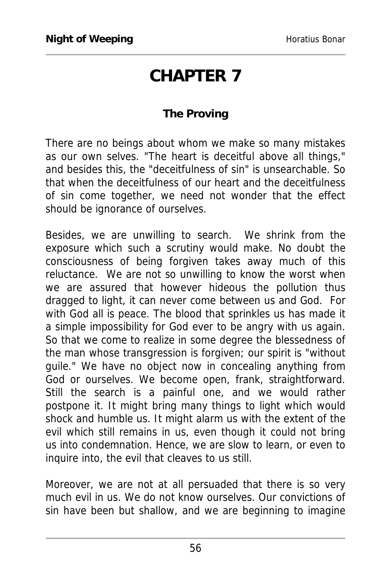# **CHAPTER 7**

### **The Proving**

There are no beings about whom we make so many mistakes as our own selves. "The heart is deceitful above all things," and besides this, the "deceitfulness of sin" is unsearchable. So that when the deceitfulness of our heart and the deceitfulness of sin come together, we need not wonder that the effect should be ignorance of ourselves.

Besides, we are unwilling to search. We shrink from the exposure which such a scrutiny would make. No doubt the consciousness of being forgiven takes away much of this reluctance. We are not so unwilling to know the worst when we are assured that however hideous the pollution thus dragged to light, it can never come between us and God. For with God all is peace. The blood that sprinkles us has made it a simple impossibility for God ever to be angry with us again. So that we come to realize in some degree the blessedness of the man whose transgression is forgiven; our spirit is "without guile." We have no object now in concealing anything from God or ourselves. We become open, frank, straightforward. Still the search is a painful one, and we would rather postpone it. It might bring many things to light which would shock and humble us. It might alarm us with the extent of the evil which still remains in us, even though it could not bring us into condemnation. Hence, we are slow to learn, or even to inquire into, the evil that cleaves to us still.

Moreover, we are not at all persuaded that there is so very much evil in us. We do not know ourselves. Our convictions of sin have been but shallow, and we are beginning to imagine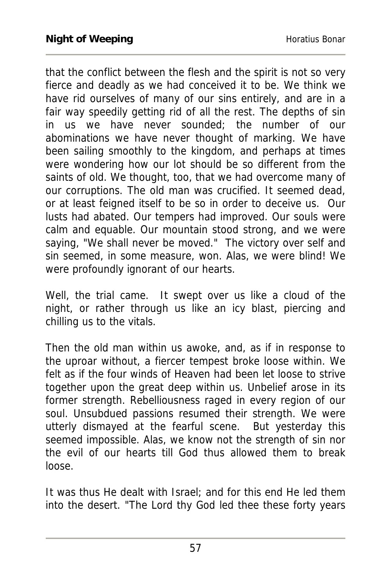that the conflict between the flesh and the spirit is not so very fierce and deadly as we had conceived it to be. We think we have rid ourselves of many of our sins entirely, and are in a fair way speedily getting rid of all the rest. The depths of sin in us we have never sounded; the number of our abominations we have never thought of marking. We have been sailing smoothly to the kingdom, and perhaps at times were wondering how our lot should be so different from the saints of old. We thought, too, that we had overcome many of our corruptions. The old man was crucified. It seemed dead, or at least feigned itself to be so in order to deceive us. Our lusts had abated. Our tempers had improved. Our souls were calm and equable. Our mountain stood strong, and we were saying, "We shall never be moved." The victory over self and sin seemed, in some measure, won. Alas, we were blind! We were profoundly ignorant of our hearts.

Well, the trial came. It swept over us like a cloud of the night, or rather through us like an icy blast, piercing and chilling us to the vitals.

Then the old man within us awoke, and, as if in response to the uproar without, a fiercer tempest broke loose within. We felt as if the four winds of Heaven had been let loose to strive together upon the great deep within us. Unbelief arose in its former strength. Rebelliousness raged in every region of our soul. Unsubdued passions resumed their strength. We were utterly dismayed at the fearful scene. But yesterday this seemed impossible. Alas, we know not the strength of sin nor the evil of our hearts till God thus allowed them to break loose.

It was thus He dealt with Israel; and for this end He led them into the desert. "The Lord thy God led thee these forty years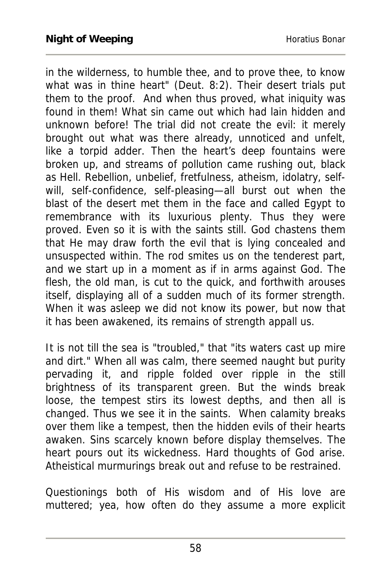in the wilderness, to humble thee, and to prove thee, to know what was in thine heart" (Deut. 8:2). Their desert trials put them to the proof. And when thus proved, what iniquity was found in them! What sin came out which had lain hidden and unknown before! The trial did not create the evil: it merely brought out what was there already, unnoticed and unfelt, like a torpid adder. Then the heart's deep fountains were broken up, and streams of pollution came rushing out, black as Hell. Rebellion, unbelief, fretfulness, atheism, idolatry, selfwill, self-confidence, self-pleasing—all burst out when the blast of the desert met them in the face and called Egypt to remembrance with its luxurious plenty. Thus they were proved. Even so it is with the saints still. God chastens them that He may draw forth the evil that is lying concealed and unsuspected within. The rod smites us on the tenderest part, and we start up in a moment as if in arms against God. The flesh, the old man, is cut to the quick, and forthwith arouses itself, displaying all of a sudden much of its former strength. When it was asleep we did not know its power, but now that it has been awakened, its remains of strength appall us.

It is not till the sea is "troubled," that "its waters cast up mire and dirt." When all was calm, there seemed naught but purity pervading it, and ripple folded over ripple in the still brightness of its transparent green. But the winds break loose, the tempest stirs its lowest depths, and then all is changed. Thus we see it in the saints. When calamity breaks over them like a tempest, then the hidden evils of their hearts awaken. Sins scarcely known before display themselves. The heart pours out its wickedness. Hard thoughts of God arise. Atheistical murmurings break out and refuse to be restrained.

Questionings both of His wisdom and of His love are muttered; yea, how often do they assume a more explicit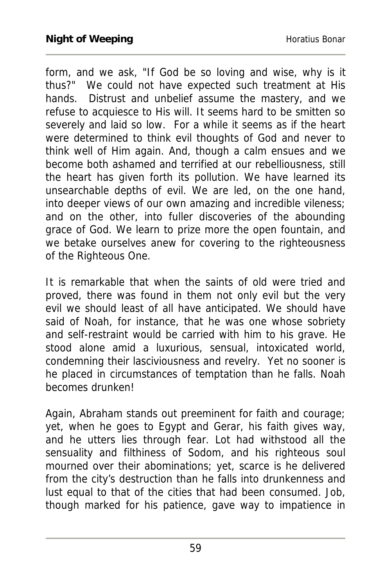form, and we ask, "If God be so loving and wise, why is it thus?" We could not have expected such treatment at His hands. Distrust and unbelief assume the mastery, and we refuse to acquiesce to His will. It seems hard to be smitten so severely and laid so low. For a while it seems as if the heart were determined to think evil thoughts of God and never to think well of Him again. And, though a calm ensues and we become both ashamed and terrified at our rebelliousness, still the heart has given forth its pollution. We have learned its unsearchable depths of evil. We are led, on the one hand, into deeper views of our own amazing and incredible vileness; and on the other, into fuller discoveries of the abounding grace of God. We learn to prize more the open fountain, and we betake ourselves anew for covering to the righteousness of the Righteous One.

It is remarkable that when the saints of old were tried and proved, there was found in them not only evil but the very evil we should least of all have anticipated. We should have said of Noah, for instance, that he was one whose sobriety and self-restraint would be carried with him to his grave. He stood alone amid a luxurious, sensual, intoxicated world, condemning their lasciviousness and revelry. Yet no sooner is he placed in circumstances of temptation than he falls. Noah becomes drunken!

Again, Abraham stands out preeminent for faith and courage; yet, when he goes to Egypt and Gerar, his faith gives way, and he utters lies through fear. Lot had withstood all the sensuality and filthiness of Sodom, and his righteous soul mourned over their abominations; yet, scarce is he delivered from the city's destruction than he falls into drunkenness and lust equal to that of the cities that had been consumed. Job, though marked for his patience, gave way to impatience in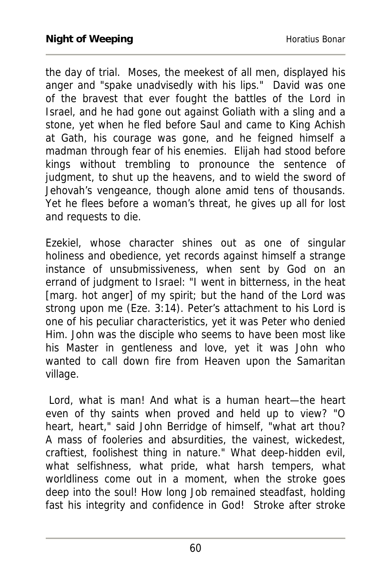the day of trial. Moses, the meekest of all men, displayed his anger and "spake unadvisedly with his lips." David was one of the bravest that ever fought the battles of the Lord in Israel, and he had gone out against Goliath with a sling and a stone, yet when he fled before Saul and came to King Achish at Gath, his courage was gone, and he feigned himself a madman through fear of his enemies. Elijah had stood before kings without trembling to pronounce the sentence of judgment, to shut up the heavens, and to wield the sword of Jehovah's vengeance, though alone amid tens of thousands. Yet he flees before a woman's threat, he gives up all for lost and requests to die.

Ezekiel, whose character shines out as one of singular holiness and obedience, yet records against himself a strange instance of unsubmissiveness, when sent by God on an errand of judgment to Israel: "I went in bitterness, in the heat [marg. hot anger] of my spirit; but the hand of the Lord was strong upon me (Eze. 3:14). Peter's attachment to his Lord is one of his peculiar characteristics, yet it was Peter who denied Him. John was the disciple who seems to have been most like his Master in gentleness and love, yet it was John who wanted to call down fire from Heaven upon the Samaritan village.

 Lord, what is man! And what is a human heart—the heart even of thy saints when proved and held up to view? "O heart, heart," said John Berridge of himself, "what art thou? A mass of fooleries and absurdities, the vainest, wickedest, craftiest, foolishest thing in nature." What deep-hidden evil, what selfishness, what pride, what harsh tempers, what worldliness come out in a moment, when the stroke goes deep into the soul! How long Job remained steadfast, holding fast his integrity and confidence in God! Stroke after stroke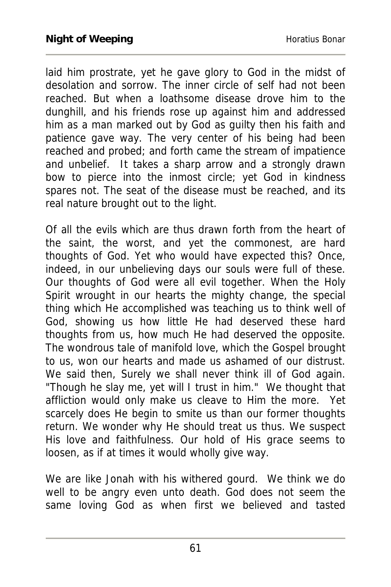laid him prostrate, yet he gave glory to God in the midst of desolation and sorrow. The inner circle of self had not been reached. But when a loathsome disease drove him to the dunghill, and his friends rose up against him and addressed him as a man marked out by God as guilty then his faith and patience gave way. The very center of his being had been reached and probed; and forth came the stream of impatience and unbelief. It takes a sharp arrow and a strongly drawn bow to pierce into the inmost circle; yet God in kindness spares not. The seat of the disease must be reached, and its real nature brought out to the light.

Of all the evils which are thus drawn forth from the heart of the saint, the worst, and yet the commonest, are hard thoughts of God. Yet who would have expected this? Once, indeed, in our unbelieving days our souls were full of these. Our thoughts of God were all evil together. When the Holy Spirit wrought in our hearts the mighty change, the special thing which He accomplished was teaching us to think well of God, showing us how little He had deserved these hard thoughts from us, how much He had deserved the opposite. The wondrous tale of manifold love, which the Gospel brought to us, won our hearts and made us ashamed of our distrust. We said then, Surely we shall never think ill of God again. "Though he slay me, yet will I trust in him." We thought that affliction would only make us cleave to Him the more. Yet scarcely does He begin to smite us than our former thoughts return. We wonder why He should treat us thus. We suspect His love and faithfulness. Our hold of His grace seems to loosen, as if at times it would wholly give way.

We are like Jonah with his withered gourd. We think we do well to be angry even unto death. God does not seem the same loving God as when first we believed and tasted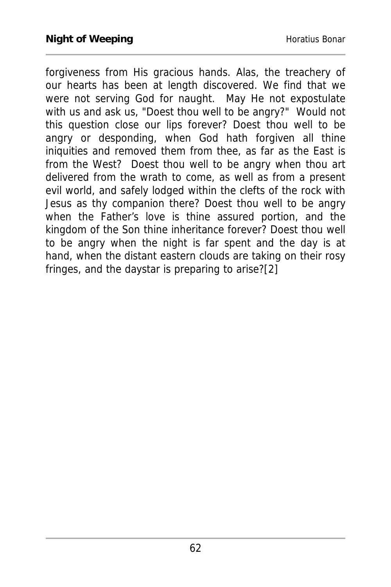forgiveness from His gracious hands. Alas, the treachery of our hearts has been at length discovered. We find that we were not serving God for naught. May He not expostulate with us and ask us, "Doest thou well to be angry?" Would not this question close our lips forever? Doest thou well to be angry or desponding, when God hath forgiven all thine iniquities and removed them from thee, as far as the East is from the West? Doest thou well to be angry when thou art delivered from the wrath to come, as well as from a present evil world, and safely lodged within the clefts of the rock with Jesus as thy companion there? Doest thou well to be angry when the Father's love is thine assured portion, and the kingdom of the Son thine inheritance forever? Doest thou well to be angry when the night is far spent and the day is at hand, when the distant eastern clouds are taking on their rosy fringes, and the daystar is preparing to arise?[2]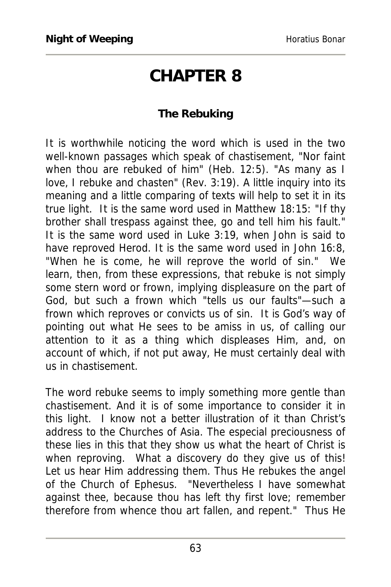# **CHAPTER 8**

### **The Rebuking**

It is worthwhile noticing the word which is used in the two well-known passages which speak of chastisement, "Nor faint when thou are rebuked of him" (Heb. 12:5). "As many as I love, I rebuke and chasten" (Rev. 3:19). A little inquiry into its meaning and a little comparing of texts will help to set it in its true light. It is the same word used in Matthew 18:15: "If thy brother shall trespass against thee, go and tell him his fault." It is the same word used in Luke 3:19, when John is said to have reproved Herod. It is the same word used in John 16:8, "When he is come, he will reprove the world of sin." We learn, then, from these expressions, that rebuke is not simply some stern word or frown, implying displeasure on the part of God, but such a frown which "tells us our faults"—such a frown which reproves or convicts us of sin. It is God's way of pointing out what He sees to be amiss in us, of calling our attention to it as a thing which displeases Him, and, on account of which, if not put away, He must certainly deal with us in chastisement.

The word rebuke seems to imply something more gentle than chastisement. And it is of some importance to consider it in this light. I know not a better illustration of it than Christ's address to the Churches of Asia. The especial preciousness of these lies in this that they show us what the heart of Christ is when reproving. What a discovery do they give us of this! Let us hear Him addressing them. Thus He rebukes the angel of the Church of Ephesus. "Nevertheless I have somewhat against thee, because thou has left thy first love; remember therefore from whence thou art fallen, and repent." Thus He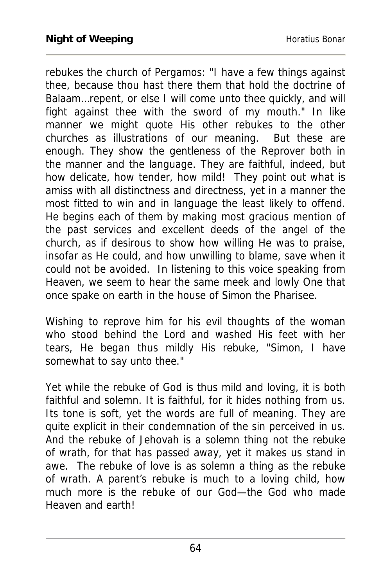rebukes the church of Pergamos: "I have a few things against thee, because thou hast there them that hold the doctrine of Balaam…repent, or else I will come unto thee quickly, and will fight against thee with the sword of my mouth." In like manner we might quote His other rebukes to the other churches as illustrations of our meaning. But these are enough. They show the gentleness of the Reprover both in the manner and the language. They are faithful, indeed, but how delicate, how tender, how mild! They point out what is amiss with all distinctness and directness, yet in a manner the most fitted to win and in language the least likely to offend. He begins each of them by making most gracious mention of the past services and excellent deeds of the angel of the church, as if desirous to show how willing He was to praise, insofar as He could, and how unwilling to blame, save when it could not be avoided. In listening to this voice speaking from Heaven, we seem to hear the same meek and lowly One that once spake on earth in the house of Simon the Pharisee.

Wishing to reprove him for his evil thoughts of the woman who stood behind the Lord and washed His feet with her tears, He began thus mildly His rebuke, "Simon, I have somewhat to say unto thee."

Yet while the rebuke of God is thus mild and loving, it is both faithful and solemn. It is faithful, for it hides nothing from us. Its tone is soft, yet the words are full of meaning. They are quite explicit in their condemnation of the sin perceived in us. And the rebuke of Jehovah is a solemn thing not the rebuke of wrath, for that has passed away, yet it makes us stand in awe. The rebuke of love is as solemn a thing as the rebuke of wrath. A parent's rebuke is much to a loving child, how much more is the rebuke of our God—the God who made Heaven and earth!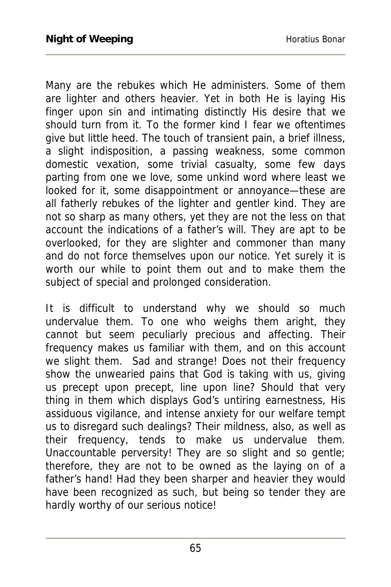Many are the rebukes which He administers. Some of them are lighter and others heavier. Yet in both He is laying His finger upon sin and intimating distinctly His desire that we should turn from it. To the former kind I fear we oftentimes give but little heed. The touch of transient pain, a brief illness, a slight indisposition, a passing weakness, some common domestic vexation, some trivial casualty, some few days parting from one we love, some unkind word where least we looked for it, some disappointment or annoyance—these are all fatherly rebukes of the lighter and gentler kind. They are not so sharp as many others, yet they are not the less on that account the indications of a father's will. They are apt to be overlooked, for they are slighter and commoner than many and do not force themselves upon our notice. Yet surely it is worth our while to point them out and to make them the subject of special and prolonged consideration.

It is difficult to understand why we should so much undervalue them. To one who weighs them aright, they cannot but seem peculiarly precious and affecting. Their frequency makes us familiar with them, and on this account we slight them. Sad and strange! Does not their frequency show the unwearied pains that God is taking with us, giving us precept upon precept, line upon line? Should that very thing in them which displays God's untiring earnestness, His assiduous vigilance, and intense anxiety for our welfare tempt us to disregard such dealings? Their mildness, also, as well as their frequency, tends to make us undervalue them. Unaccountable perversity! They are so slight and so gentle; therefore, they are not to be owned as the laying on of a father's hand! Had they been sharper and heavier they would have been recognized as such, but being so tender they are hardly worthy of our serious notice!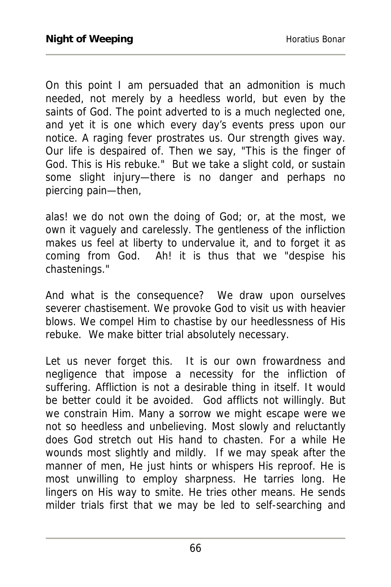On this point I am persuaded that an admonition is much needed, not merely by a heedless world, but even by the saints of God. The point adverted to is a much neglected one, and yet it is one which every day's events press upon our notice. A raging fever prostrates us. Our strength gives way. Our life is despaired of. Then we say, "This is the finger of God. This is His rebuke." But we take a slight cold, or sustain some slight injury—there is no danger and perhaps no piercing pain—then,

alas! we do not own the doing of God; or, at the most, we own it vaguely and carelessly. The gentleness of the infliction makes us feel at liberty to undervalue it, and to forget it as coming from God. Ah! it is thus that we "despise his chastenings."

And what is the consequence? We draw upon ourselves severer chastisement. We provoke God to visit us with heavier blows. We compel Him to chastise by our heedlessness of His rebuke. We make bitter trial absolutely necessary.

Let us never forget this. It is our own frowardness and negligence that impose a necessity for the infliction of suffering. Affliction is not a desirable thing in itself. It would be better could it be avoided. God afflicts not willingly. But we constrain Him. Many a sorrow we might escape were we not so heedless and unbelieving. Most slowly and reluctantly does God stretch out His hand to chasten. For a while He wounds most slightly and mildly. If we may speak after the manner of men, He just hints or whispers His reproof. He is most unwilling to employ sharpness. He tarries long. He lingers on His way to smite. He tries other means. He sends milder trials first that we may be led to self-searching and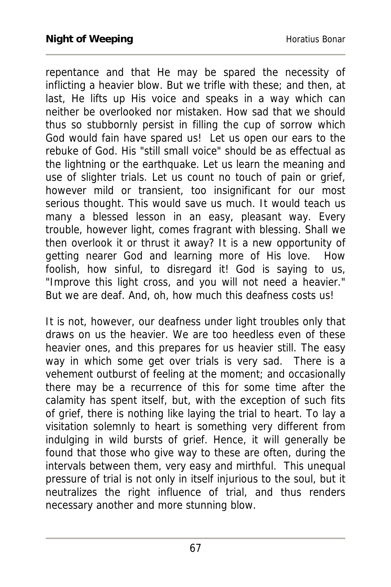repentance and that He may be spared the necessity of inflicting a heavier blow. But we trifle with these; and then, at last, He lifts up His voice and speaks in a way which can neither be overlooked nor mistaken. How sad that we should thus so stubbornly persist in filling the cup of sorrow which God would fain have spared us! Let us open our ears to the rebuke of God. His "still small voice" should be as effectual as the lightning or the earthquake. Let us learn the meaning and use of slighter trials. Let us count no touch of pain or grief, however mild or transient, too insignificant for our most serious thought. This would save us much. It would teach us many a blessed lesson in an easy, pleasant way. Every trouble, however light, comes fragrant with blessing. Shall we then overlook it or thrust it away? It is a new opportunity of getting nearer God and learning more of His love. How foolish, how sinful, to disregard it! God is saying to us, "Improve this light cross, and you will not need a heavier." But we are deaf. And, oh, how much this deafness costs us!

It is not, however, our deafness under light troubles only that draws on us the heavier. We are too heedless even of these heavier ones, and this prepares for us heavier still. The easy way in which some get over trials is very sad. There is a vehement outburst of feeling at the moment; and occasionally there may be a recurrence of this for some time after the calamity has spent itself, but, with the exception of such fits of grief, there is nothing like laying the trial to heart. To lay a visitation solemnly to heart is something very different from indulging in wild bursts of grief. Hence, it will generally be found that those who give way to these are often, during the intervals between them, very easy and mirthful. This unequal pressure of trial is not only in itself injurious to the soul, but it neutralizes the right influence of trial, and thus renders necessary another and more stunning blow.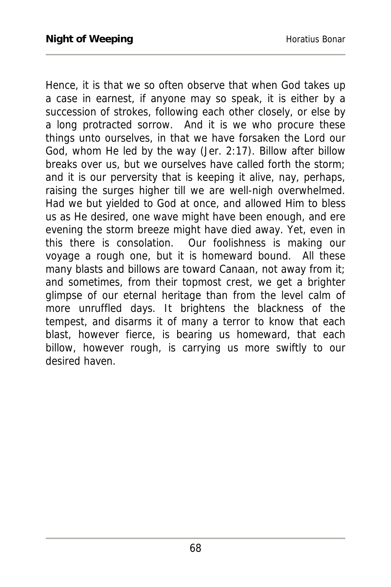Hence, it is that we so often observe that when God takes up a case in earnest, if anyone may so speak, it is either by a succession of strokes, following each other closely, or else by a long protracted sorrow. And it is we who procure these things unto ourselves, in that we have forsaken the Lord our God, whom He led by the way (Jer. 2:17). Billow after billow breaks over us, but we ourselves have called forth the storm; and it is our perversity that is keeping it alive, nay, perhaps, raising the surges higher till we are well-nigh overwhelmed. Had we but yielded to God at once, and allowed Him to bless us as He desired, one wave might have been enough, and ere evening the storm breeze might have died away. Yet, even in this there is consolation. Our foolishness is making our voyage a rough one, but it is homeward bound. All these many blasts and billows are toward Canaan, not away from it; and sometimes, from their topmost crest, we get a brighter glimpse of our eternal heritage than from the level calm of more unruffled days. It brightens the blackness of the tempest, and disarms it of many a terror to know that each blast, however fierce, is bearing us homeward, that each billow, however rough, is carrying us more swiftly to our desired haven.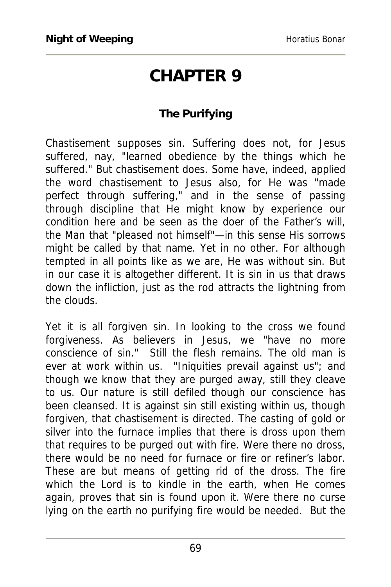## **CHAPTER 9**

### **The Purifying**

Chastisement supposes sin. Suffering does not, for Jesus suffered, nay, "learned obedience by the things which he suffered." But chastisement does. Some have, indeed, applied the word chastisement to Jesus also, for He was "made perfect through suffering," and in the sense of passing through discipline that He might know by experience our condition here and be seen as the doer of the Father's will, the Man that "pleased not himself"—in this sense His sorrows might be called by that name. Yet in no other. For although tempted in all points like as we are, He was without sin. But in our case it is altogether different. It is sin in us that draws down the infliction, just as the rod attracts the lightning from the clouds.

Yet it is all forgiven sin. In looking to the cross we found forgiveness. As believers in Jesus, we "have no more conscience of sin." Still the flesh remains. The old man is ever at work within us. "Iniquities prevail against us"; and though we know that they are purged away, still they cleave to us. Our nature is still defiled though our conscience has been cleansed. It is against sin still existing within us, though forgiven, that chastisement is directed. The casting of gold or silver into the furnace implies that there is dross upon them that requires to be purged out with fire. Were there no dross, there would be no need for furnace or fire or refiner's labor. These are but means of getting rid of the dross. The fire which the Lord is to kindle in the earth, when He comes again, proves that sin is found upon it. Were there no curse lying on the earth no purifying fire would be needed. But the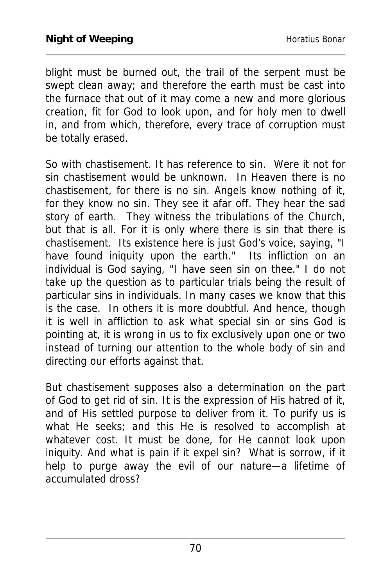blight must be burned out, the trail of the serpent must be swept clean away; and therefore the earth must be cast into the furnace that out of it may come a new and more glorious creation, fit for God to look upon, and for holy men to dwell in, and from which, therefore, every trace of corruption must be totally erased.

So with chastisement. It has reference to sin. Were it not for sin chastisement would be unknown. In Heaven there is no chastisement, for there is no sin. Angels know nothing of it, for they know no sin. They see it afar off. They hear the sad story of earth. They witness the tribulations of the Church, but that is all. For it is only where there is sin that there is chastisement. Its existence here is just God's voice, saying, "I have found iniquity upon the earth." Its infliction on an individual is God saying, "I have seen sin on thee." I do not take up the question as to particular trials being the result of particular sins in individuals. In many cases we know that this is the case. In others it is more doubtful. And hence, though it is well in affliction to ask what special sin or sins God is pointing at, it is wrong in us to fix exclusively upon one or two instead of turning our attention to the whole body of sin and directing our efforts against that.

But chastisement supposes also a determination on the part of God to get rid of sin. It is the expression of His hatred of it, and of His settled purpose to deliver from it. To purify us is what He seeks; and this He is resolved to accomplish at whatever cost. It must be done, for He cannot look upon iniquity. And what is pain if it expel sin? What is sorrow, if it help to purge away the evil of our nature—a lifetime of accumulated dross?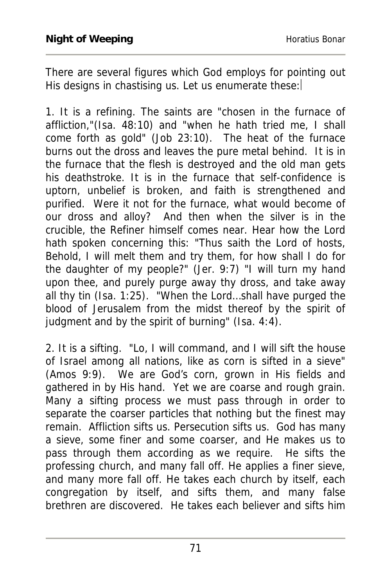There are several figures which God employs for pointing out His designs in chastising us. Let us enumerate these:

1. It is a refining. The saints are "chosen in the furnace of affliction,"(Isa. 48:10) and "when he hath tried me, I shall come forth as gold" (Job 23:10). The heat of the furnace burns out the dross and leaves the pure metal behind. It is in the furnace that the flesh is destroyed and the old man gets his deathstroke. It is in the furnace that self-confidence is uptorn, unbelief is broken, and faith is strengthened and purified. Were it not for the furnace, what would become of our dross and alloy? And then when the silver is in the crucible, the Refiner himself comes near. Hear how the Lord hath spoken concerning this: "Thus saith the Lord of hosts, Behold, I will melt them and try them, for how shall I do for the daughter of my people?" (Jer. 9:7) "I will turn my hand upon thee, and purely purge away thy dross, and take away all thy tin (Isa. 1:25). "When the Lord…shall have purged the blood of Jerusalem from the midst thereof by the spirit of judgment and by the spirit of burning" (Isa. 4:4).

2. It is a sifting. "Lo, I will command, and I will sift the house of Israel among all nations, like as corn is sifted in a sieve" (Amos 9:9). We are God's corn, grown in His fields and gathered in by His hand. Yet we are coarse and rough grain. Many a sifting process we must pass through in order to separate the coarser particles that nothing but the finest may remain. Affliction sifts us. Persecution sifts us. God has many a sieve, some finer and some coarser, and He makes us to pass through them according as we require. He sifts the professing church, and many fall off. He applies a finer sieve, and many more fall off. He takes each church by itself, each congregation by itself, and sifts them, and many false brethren are discovered. He takes each believer and sifts him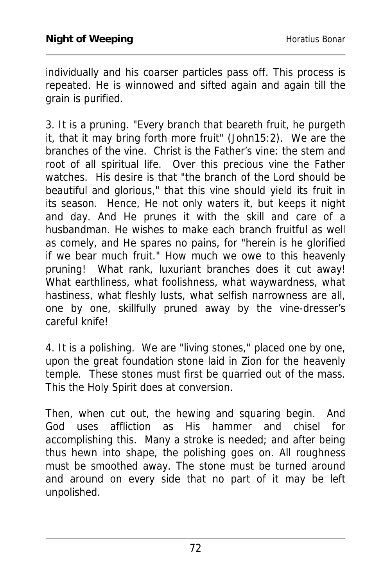individually and his coarser particles pass off. This process is repeated. He is winnowed and sifted again and again till the grain is purified.

3. It is a pruning. "Every branch that beareth fruit, he purgeth it, that it may bring forth more fruit" (John15:2). We are the branches of the vine. Christ is the Father's vine: the stem and root of all spiritual life. Over this precious vine the Father watches. His desire is that "the branch of the Lord should be beautiful and glorious," that this vine should yield its fruit in its season. Hence, He not only waters it, but keeps it night and day. And He prunes it with the skill and care of a husbandman. He wishes to make each branch fruitful as well as comely, and He spares no pains, for "herein is he glorified if we bear much fruit." How much we owe to this heavenly pruning! What rank, luxuriant branches does it cut away! What earthliness, what foolishness, what waywardness, what hastiness, what fleshly lusts, what selfish narrowness are all, one by one, skillfully pruned away by the vine-dresser's careful knife!

4. It is a polishing. We are "living stones," placed one by one, upon the great foundation stone laid in Zion for the heavenly temple. These stones must first be quarried out of the mass. This the Holy Spirit does at conversion.

Then, when cut out, the hewing and squaring begin. And God uses affliction as His hammer and chisel for accomplishing this. Many a stroke is needed; and after being thus hewn into shape, the polishing goes on. All roughness must be smoothed away. The stone must be turned around and around on every side that no part of it may be left unpolished.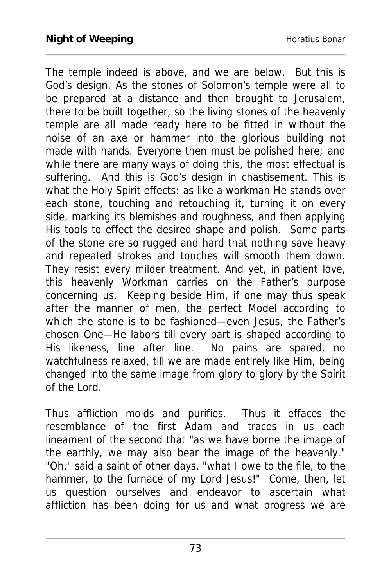The temple indeed is above, and we are below. But this is God's design. As the stones of Solomon's temple were all to be prepared at a distance and then brought to Jerusalem, there to be built together, so the living stones of the heavenly temple are all made ready here to be fitted in without the noise of an axe or hammer into the glorious building not made with hands. Everyone then must be polished here; and while there are many ways of doing this, the most effectual is suffering. And this is God's design in chastisement. This is what the Holy Spirit effects: as like a workman He stands over each stone, touching and retouching it, turning it on every side, marking its blemishes and roughness, and then applying His tools to effect the desired shape and polish. Some parts of the stone are so rugged and hard that nothing save heavy and repeated strokes and touches will smooth them down. They resist every milder treatment. And yet, in patient love, this heavenly Workman carries on the Father's purpose concerning us. Keeping beside Him, if one may thus speak after the manner of men, the perfect Model according to which the stone is to be fashioned—even Jesus, the Father's chosen One—He labors till every part is shaped according to His likeness, line after line. No pains are spared, no watchfulness relaxed, till we are made entirely like Him, being changed into the same image from glory to glory by the Spirit of the Lord.

Thus affliction molds and purifies. Thus it effaces the resemblance of the first Adam and traces in us each lineament of the second that "as we have borne the image of the earthly, we may also bear the image of the heavenly." "Oh," said a saint of other days, "what I owe to the file, to the hammer, to the furnace of my Lord Jesus!" Come, then, let us question ourselves and endeavor to ascertain what affliction has been doing for us and what progress we are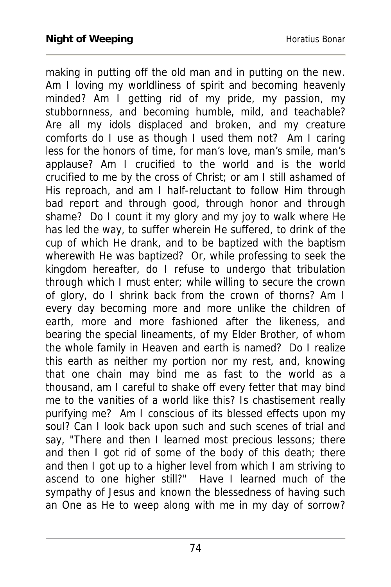making in putting off the old man and in putting on the new. Am I loving my worldliness of spirit and becoming heavenly minded? Am I getting rid of my pride, my passion, my stubbornness, and becoming humble, mild, and teachable? Are all my idols displaced and broken, and my creature comforts do I use as though I used them not? Am I caring less for the honors of time, for man's love, man's smile, man's applause? Am I crucified to the world and is the world crucified to me by the cross of Christ; or am I still ashamed of His reproach, and am I half-reluctant to follow Him through bad report and through good, through honor and through shame? Do I count it my glory and my joy to walk where He has led the way, to suffer wherein He suffered, to drink of the cup of which He drank, and to be baptized with the baptism wherewith He was baptized? Or, while professing to seek the kingdom hereafter, do I refuse to undergo that tribulation through which I must enter; while willing to secure the crown of glory, do I shrink back from the crown of thorns? Am I every day becoming more and more unlike the children of earth, more and more fashioned after the likeness, and bearing the special lineaments, of my Elder Brother, of whom the whole family in Heaven and earth is named? Do I realize this earth as neither my portion nor my rest, and, knowing that one chain may bind me as fast to the world as a thousand, am I careful to shake off every fetter that may bind me to the vanities of a world like this? Is chastisement really purifying me? Am I conscious of its blessed effects upon my soul? Can I look back upon such and such scenes of trial and say, "There and then I learned most precious lessons; there and then I got rid of some of the body of this death; there and then I got up to a higher level from which I am striving to ascend to one higher still?" Have I learned much of the sympathy of Jesus and known the blessedness of having such an One as He to weep along with me in my day of sorrow?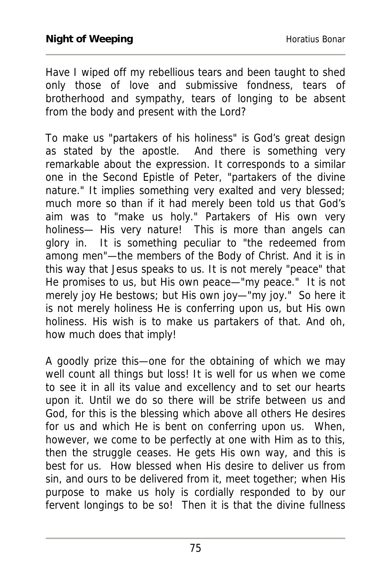Have I wiped off my rebellious tears and been taught to shed only those of love and submissive fondness, tears of brotherhood and sympathy, tears of longing to be absent from the body and present with the Lord?

To make us "partakers of his holiness" is God's great design as stated by the apostle. And there is something very remarkable about the expression. It corresponds to a similar one in the Second Epistle of Peter, "partakers of the divine nature." It implies something very exalted and very blessed; much more so than if it had merely been told us that God's aim was to "make us holy." Partakers of His own very holiness— His very nature! This is more than angels can glory in. It is something peculiar to "the redeemed from among men"—the members of the Body of Christ. And it is in this way that Jesus speaks to us. It is not merely "peace" that He promises to us, but His own peace—"my peace." It is not merely joy He bestows; but His own joy—"my joy." So here it is not merely holiness He is conferring upon us, but His own holiness. His wish is to make us partakers of that. And oh, how much does that imply!

A goodly prize this—one for the obtaining of which we may well count all things but loss! It is well for us when we come to see it in all its value and excellency and to set our hearts upon it. Until we do so there will be strife between us and God, for this is the blessing which above all others He desires for us and which He is bent on conferring upon us. When, however, we come to be perfectly at one with Him as to this, then the struggle ceases. He gets His own way, and this is best for us. How blessed when His desire to deliver us from sin, and ours to be delivered from it, meet together; when His purpose to make us holy is cordially responded to by our fervent longings to be so! Then it is that the divine fullness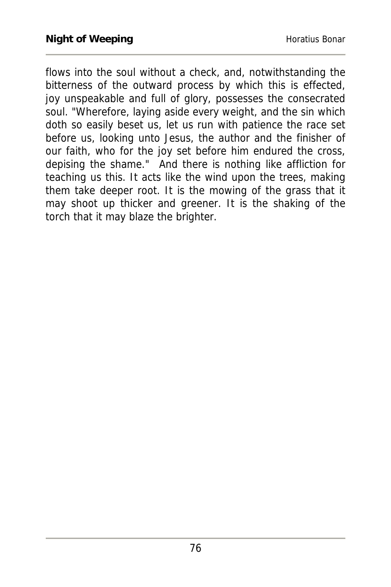flows into the soul without a check, and, notwithstanding the bitterness of the outward process by which this is effected, joy unspeakable and full of glory, possesses the consecrated soul. "Wherefore, laying aside every weight, and the sin which doth so easily beset us, let us run with patience the race set before us, looking unto Jesus, the author and the finisher of our faith, who for the joy set before him endured the cross, depising the shame." And there is nothing like affliction for teaching us this. It acts like the wind upon the trees, making them take deeper root. It is the mowing of the grass that it may shoot up thicker and greener. It is the shaking of the torch that it may blaze the brighter.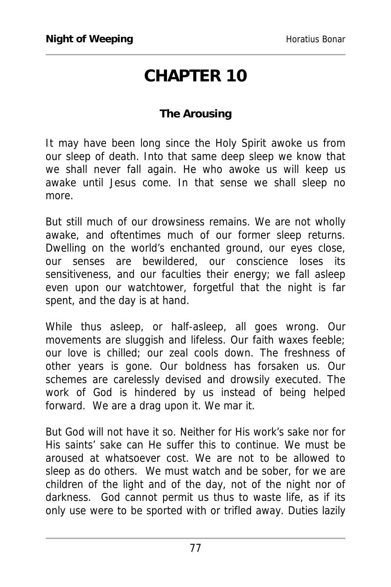### **CHAPTER 10**

#### **The Arousing**

It may have been long since the Holy Spirit awoke us from our sleep of death. Into that same deep sleep we know that we shall never fall again. He who awoke us will keep us awake until Jesus come. In that sense we shall sleep no more.

But still much of our drowsiness remains. We are not wholly awake, and oftentimes much of our former sleep returns. Dwelling on the world's enchanted ground, our eyes close, our senses are bewildered, our conscience loses its sensitiveness, and our faculties their energy; we fall asleep even upon our watchtower, forgetful that the night is far spent, and the day is at hand.

While thus asleep, or half-asleep, all goes wrong. Our movements are sluggish and lifeless. Our faith waxes feeble; our love is chilled; our zeal cools down. The freshness of other years is gone. Our boldness has forsaken us. Our schemes are carelessly devised and drowsily executed. The work of God is hindered by us instead of being helped forward. We are a drag upon it. We mar it.

But God will not have it so. Neither for His work's sake nor for His saints' sake can He suffer this to continue. We must be aroused at whatsoever cost. We are not to be allowed to sleep as do others. We must watch and be sober, for we are children of the light and of the day, not of the night nor of darkness. God cannot permit us thus to waste life, as if its only use were to be sported with or trifled away. Duties lazily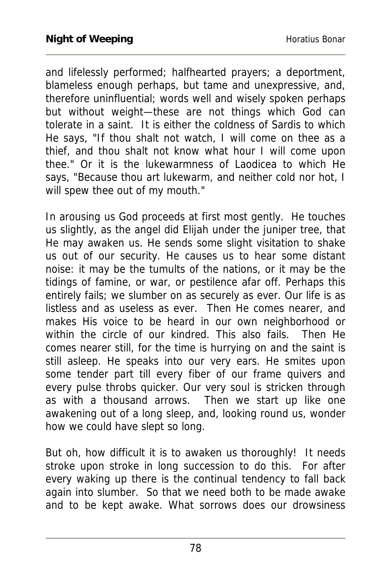and lifelessly performed; halfhearted prayers; a deportment, blameless enough perhaps, but tame and unexpressive, and, therefore uninfluential; words well and wisely spoken perhaps but without weight—these are not things which God can tolerate in a saint. It is either the coldness of Sardis to which He says, "If thou shalt not watch, I will come on thee as a thief, and thou shalt not know what hour I will come upon thee." Or it is the lukewarmness of Laodicea to which He says, "Because thou art lukewarm, and neither cold nor hot, I will spew thee out of my mouth."

In arousing us God proceeds at first most gently. He touches us slightly, as the angel did Elijah under the juniper tree, that He may awaken us. He sends some slight visitation to shake us out of our security. He causes us to hear some distant noise: it may be the tumults of the nations, or it may be the tidings of famine, or war, or pestilence afar off. Perhaps this entirely fails; we slumber on as securely as ever. Our life is as listless and as useless as ever. Then He comes nearer, and makes His voice to be heard in our own neighborhood or within the circle of our kindred. This also fails. Then He comes nearer still, for the time is hurrying on and the saint is still asleep. He speaks into our very ears. He smites upon some tender part till every fiber of our frame quivers and every pulse throbs quicker. Our very soul is stricken through as with a thousand arrows. Then we start up like one awakening out of a long sleep, and, looking round us, wonder how we could have slept so long.

But oh, how difficult it is to awaken us thoroughly! It needs stroke upon stroke in long succession to do this. For after every waking up there is the continual tendency to fall back again into slumber. So that we need both to be made awake and to be kept awake. What sorrows does our drowsiness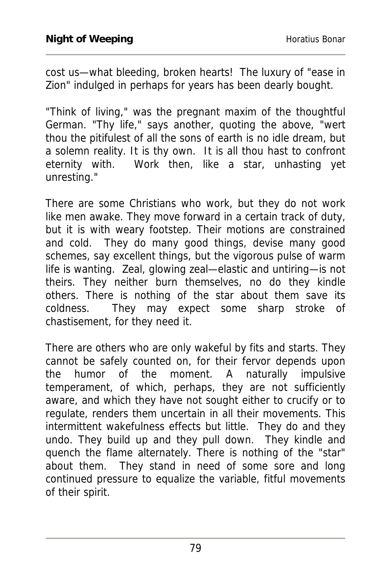cost us—what bleeding, broken hearts! The luxury of "ease in Zion" indulged in perhaps for years has been dearly bought.

"Think of living," was the pregnant maxim of the thoughtful German. "Thy life," says another, quoting the above, "wert thou the pitifulest of all the sons of earth is no idle dream, but a solemn reality. It is thy own. It is all thou hast to confront eternity with. Work then, like a star, unhasting yet unresting."

There are some Christians who work, but they do not work like men awake. They move forward in a certain track of duty, but it is with weary footstep. Their motions are constrained and cold. They do many good things, devise many good schemes, say excellent things, but the vigorous pulse of warm life is wanting. Zeal, glowing zeal—elastic and untiring—is not theirs. They neither burn themselves, no do they kindle others. There is nothing of the star about them save its coldness. They may expect some sharp stroke of chastisement, for they need it.

There are others who are only wakeful by fits and starts. They cannot be safely counted on, for their fervor depends upon the humor of the moment. A naturally impulsive temperament, of which, perhaps, they are not sufficiently aware, and which they have not sought either to crucify or to regulate, renders them uncertain in all their movements. This intermittent wakefulness effects but little. They do and they undo. They build up and they pull down. They kindle and quench the flame alternately. There is nothing of the "star" about them. They stand in need of some sore and long continued pressure to equalize the variable, fitful movements of their spirit.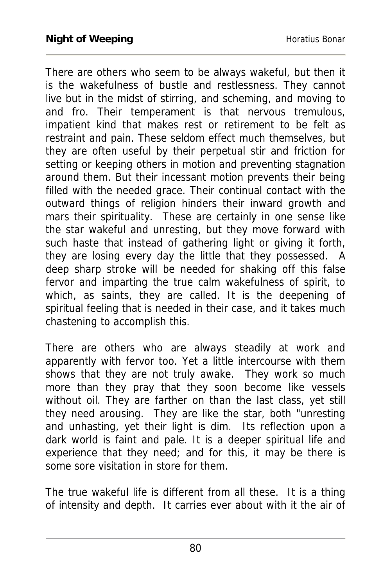There are others who seem to be always wakeful, but then it is the wakefulness of bustle and restlessness. They cannot live but in the midst of stirring, and scheming, and moving to and fro. Their temperament is that nervous tremulous, impatient kind that makes rest or retirement to be felt as restraint and pain. These seldom effect much themselves, but they are often useful by their perpetual stir and friction for setting or keeping others in motion and preventing stagnation around them. But their incessant motion prevents their being filled with the needed grace. Their continual contact with the outward things of religion hinders their inward growth and mars their spirituality. These are certainly in one sense like the star wakeful and unresting, but they move forward with such haste that instead of gathering light or giving it forth, they are losing every day the little that they possessed. A deep sharp stroke will be needed for shaking off this false fervor and imparting the true calm wakefulness of spirit, to which, as saints, they are called. It is the deepening of spiritual feeling that is needed in their case, and it takes much chastening to accomplish this.

There are others who are always steadily at work and apparently with fervor too. Yet a little intercourse with them shows that they are not truly awake. They work so much more than they pray that they soon become like vessels without oil. They are farther on than the last class, yet still they need arousing. They are like the star, both "unresting and unhasting, yet their light is dim. Its reflection upon a dark world is faint and pale. It is a deeper spiritual life and experience that they need; and for this, it may be there is some sore visitation in store for them.

The true wakeful life is different from all these. It is a thing of intensity and depth. It carries ever about with it the air of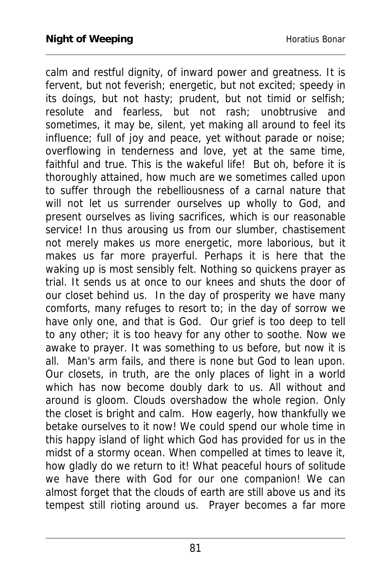calm and restful dignity, of inward power and greatness. It is fervent, but not feverish; energetic, but not excited; speedy in its doings, but not hasty; prudent, but not timid or selfish; resolute and fearless, but not rash; unobtrusive and sometimes, it may be, silent, yet making all around to feel its influence; full of joy and peace, yet without parade or noise; overflowing in tenderness and love, yet at the same time, faithful and true. This is the wakeful life! But oh, before it is thoroughly attained, how much are we sometimes called upon to suffer through the rebelliousness of a carnal nature that will not let us surrender ourselves up wholly to God, and present ourselves as living sacrifices, which is our reasonable service! In thus arousing us from our slumber, chastisement not merely makes us more energetic, more laborious, but it makes us far more prayerful. Perhaps it is here that the waking up is most sensibly felt. Nothing so quickens prayer as trial. It sends us at once to our knees and shuts the door of our closet behind us. In the day of prosperity we have many comforts, many refuges to resort to; in the day of sorrow we have only one, and that is God. Our grief is too deep to tell to any other; it is too heavy for any other to soothe. Now we awake to prayer. It was something to us before, but now it is all. Man's arm fails, and there is none but God to lean upon. Our closets, in truth, are the only places of light in a world which has now become doubly dark to us. All without and around is gloom. Clouds overshadow the whole region. Only the closet is bright and calm. How eagerly, how thankfully we betake ourselves to it now! We could spend our whole time in this happy island of light which God has provided for us in the midst of a stormy ocean. When compelled at times to leave it, how gladly do we return to it! What peaceful hours of solitude we have there with God for our one companion! We can almost forget that the clouds of earth are still above us and its tempest still rioting around us. Prayer becomes a far more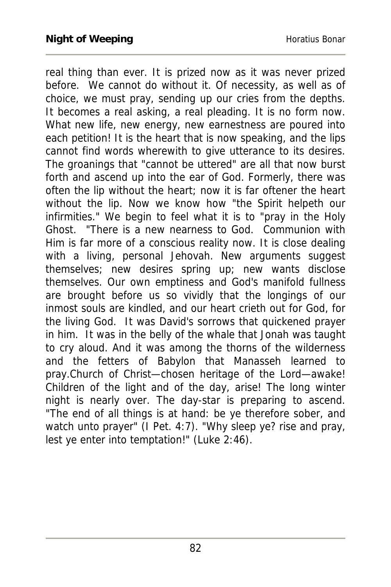real thing than ever. It is prized now as it was never prized before. We cannot do without it. Of necessity, as well as of choice, we must pray, sending up our cries from the depths. It becomes a real asking, a real pleading. It is no form now. What new life, new energy, new earnestness are poured into each petition! It is the heart that is now speaking, and the lips cannot find words wherewith to give utterance to its desires. The groanings that "cannot be uttered" are all that now burst forth and ascend up into the ear of God. Formerly, there was often the lip without the heart; now it is far oftener the heart without the lip. Now we know how "the Spirit helpeth our infirmities." We begin to feel what it is to "pray in the Holy Ghost. "There is a new nearness to God. Communion with Him is far more of a conscious reality now. It is close dealing with a living, personal Jehovah. New arguments suggest themselves; new desires spring up; new wants disclose themselves. Our own emptiness and God's manifold fullness are brought before us so vividly that the longings of our inmost souls are kindled, and our heart crieth out for God, for the living God. It was David's sorrows that quickened prayer in him. It was in the belly of the whale that Jonah was taught to cry aloud. And it was among the thorns of the wilderness and the fetters of Babylon that Manasseh learned to pray.Church of Christ—chosen heritage of the Lord—awake! Children of the light and of the day, arise! The long winter night is nearly over. The day-star is preparing to ascend. "The end of all things is at hand: be ye therefore sober, and watch unto prayer" (I Pet. 4:7). "Why sleep ye? rise and pray, lest ye enter into temptation!" (Luke 2:46).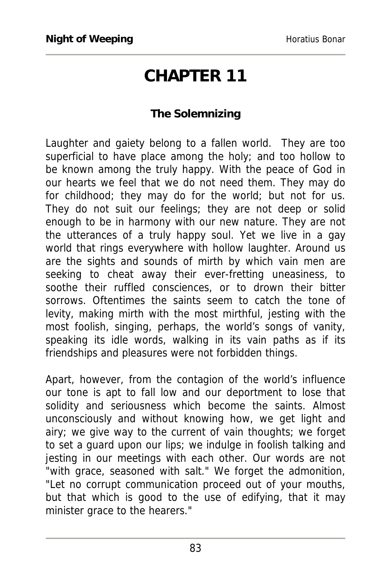# **CHAPTER 11**

#### **The Solemnizing**

Laughter and gaiety belong to a fallen world. They are too superficial to have place among the holy; and too hollow to be known among the truly happy. With the peace of God in our hearts we feel that we do not need them. They may do for childhood; they may do for the world; but not for us. They do not suit our feelings; they are not deep or solid enough to be in harmony with our new nature. They are not the utterances of a truly happy soul. Yet we live in a gay world that rings everywhere with hollow laughter. Around us are the sights and sounds of mirth by which vain men are seeking to cheat away their ever-fretting uneasiness, to soothe their ruffled consciences, or to drown their bitter sorrows. Oftentimes the saints seem to catch the tone of levity, making mirth with the most mirthful, jesting with the most foolish, singing, perhaps, the world's songs of vanity, speaking its idle words, walking in its vain paths as if its friendships and pleasures were not forbidden things.

Apart, however, from the contagion of the world's influence our tone is apt to fall low and our deportment to lose that solidity and seriousness which become the saints. Almost unconsciously and without knowing how, we get light and airy; we give way to the current of vain thoughts; we forget to set a guard upon our lips; we indulge in foolish talking and jesting in our meetings with each other. Our words are not "with grace, seasoned with salt." We forget the admonition, "Let no corrupt communication proceed out of your mouths, but that which is good to the use of edifying, that it may minister grace to the hearers."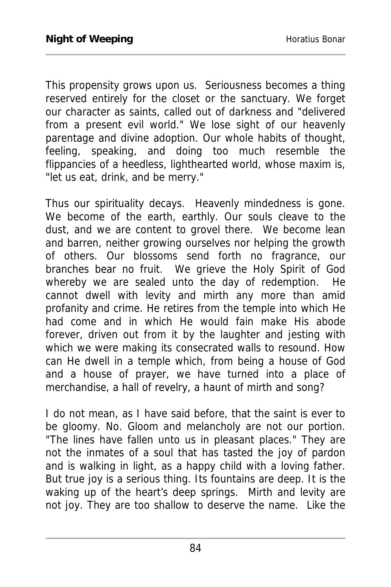This propensity grows upon us. Seriousness becomes a thing reserved entirely for the closet or the sanctuary. We forget our character as saints, called out of darkness and "delivered from a present evil world." We lose sight of our heavenly parentage and divine adoption. Our whole habits of thought, feeling, speaking, and doing too much resemble the flippancies of a heedless, lighthearted world, whose maxim is, "let us eat, drink, and be merry."

Thus our spirituality decays. Heavenly mindedness is gone. We become of the earth, earthly. Our souls cleave to the dust, and we are content to grovel there. We become lean and barren, neither growing ourselves nor helping the growth of others. Our blossoms send forth no fragrance, our branches bear no fruit. We grieve the Holy Spirit of God whereby we are sealed unto the day of redemption. He cannot dwell with levity and mirth any more than amid profanity and crime. He retires from the temple into which He had come and in which He would fain make His abode forever, driven out from it by the laughter and jesting with which we were making its consecrated walls to resound. How can He dwell in a temple which, from being a house of God and a house of prayer, we have turned into a place of merchandise, a hall of revelry, a haunt of mirth and song?

I do not mean, as I have said before, that the saint is ever to be gloomy. No. Gloom and melancholy are not our portion. "The lines have fallen unto us in pleasant places." They are not the inmates of a soul that has tasted the joy of pardon and is walking in light, as a happy child with a loving father. But true joy is a serious thing. Its fountains are deep. It is the waking up of the heart's deep springs. Mirth and levity are not joy. They are too shallow to deserve the name. Like the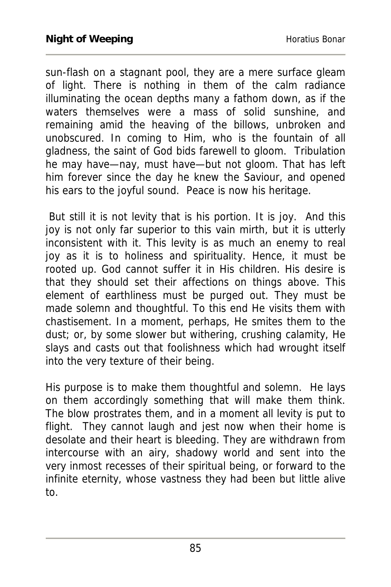sun-flash on a stagnant pool, they are a mere surface gleam of light. There is nothing in them of the calm radiance illuminating the ocean depths many a fathom down, as if the waters themselves were a mass of solid sunshine, and remaining amid the heaving of the billows, unbroken and unobscured. In coming to Him, who is the fountain of all gladness, the saint of God bids farewell to gloom. Tribulation he may have—nay, must have—but not gloom. That has left him forever since the day he knew the Saviour, and opened his ears to the joyful sound. Peace is now his heritage.

 But still it is not levity that is his portion. It is joy. And this joy is not only far superior to this vain mirth, but it is utterly inconsistent with it. This levity is as much an enemy to real joy as it is to holiness and spirituality. Hence, it must be rooted up. God cannot suffer it in His children. His desire is that they should set their affections on things above. This element of earthliness must be purged out. They must be made solemn and thoughtful. To this end He visits them with chastisement. In a moment, perhaps, He smites them to the dust; or, by some slower but withering, crushing calamity, He slays and casts out that foolishness which had wrought itself into the very texture of their being.

His purpose is to make them thoughtful and solemn. He lays on them accordingly something that will make them think. The blow prostrates them, and in a moment all levity is put to flight. They cannot laugh and jest now when their home is desolate and their heart is bleeding. They are withdrawn from intercourse with an airy, shadowy world and sent into the very inmost recesses of their spiritual being, or forward to the infinite eternity, whose vastness they had been but little alive to.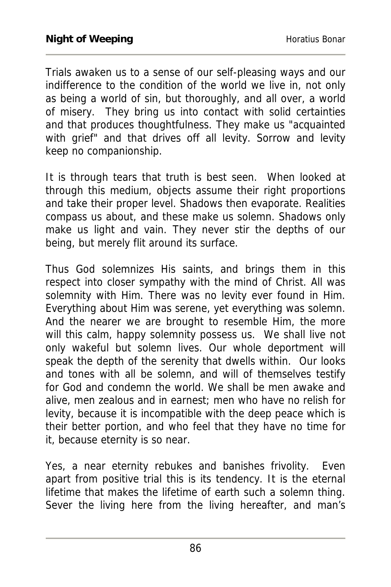Trials awaken us to a sense of our self-pleasing ways and our indifference to the condition of the world we live in, not only as being a world of sin, but thoroughly, and all over, a world of misery. They bring us into contact with solid certainties and that produces thoughtfulness. They make us "acquainted with grief" and that drives off all levity. Sorrow and levity keep no companionship.

It is through tears that truth is best seen. When looked at through this medium, objects assume their right proportions and take their proper level. Shadows then evaporate. Realities compass us about, and these make us solemn. Shadows only make us light and vain. They never stir the depths of our being, but merely flit around its surface.

Thus God solemnizes His saints, and brings them in this respect into closer sympathy with the mind of Christ. All was solemnity with Him. There was no levity ever found in Him. Everything about Him was serene, yet everything was solemn. And the nearer we are brought to resemble Him, the more will this calm, happy solemnity possess us. We shall live not only wakeful but solemn lives. Our whole deportment will speak the depth of the serenity that dwells within. Our looks and tones with all be solemn, and will of themselves testify for God and condemn the world. We shall be men awake and alive, men zealous and in earnest; men who have no relish for levity, because it is incompatible with the deep peace which is their better portion, and who feel that they have no time for it, because eternity is so near.

Yes, a near eternity rebukes and banishes frivolity. Even apart from positive trial this is its tendency. It is the eternal lifetime that makes the lifetime of earth such a solemn thing. Sever the living here from the living hereafter, and man's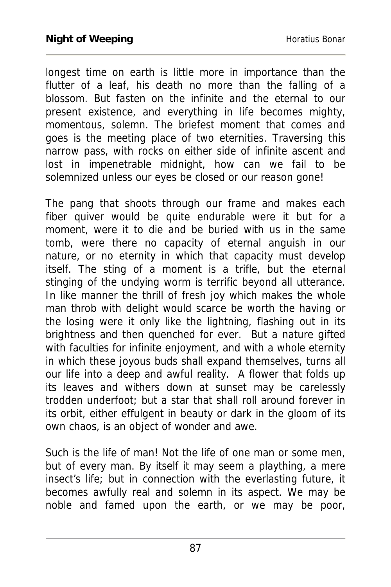longest time on earth is little more in importance than the flutter of a leaf, his death no more than the falling of a blossom. But fasten on the infinite and the eternal to our present existence, and everything in life becomes mighty, momentous, solemn. The briefest moment that comes and goes is the meeting place of two eternities. Traversing this narrow pass, with rocks on either side of infinite ascent and lost in impenetrable midnight, how can we fail to be solemnized unless our eyes be closed or our reason gone!

The pang that shoots through our frame and makes each fiber quiver would be quite endurable were it but for a moment, were it to die and be buried with us in the same tomb, were there no capacity of eternal anguish in our nature, or no eternity in which that capacity must develop itself. The sting of a moment is a trifle, but the eternal stinging of the undying worm is terrific beyond all utterance. In like manner the thrill of fresh joy which makes the whole man throb with delight would scarce be worth the having or the losing were it only like the lightning, flashing out in its brightness and then quenched for ever. But a nature gifted with faculties for infinite enjoyment, and with a whole eternity in which these joyous buds shall expand themselves, turns all our life into a deep and awful reality. A flower that folds up its leaves and withers down at sunset may be carelessly trodden underfoot; but a star that shall roll around forever in its orbit, either effulgent in beauty or dark in the gloom of its own chaos, is an object of wonder and awe.

Such is the life of man! Not the life of one man or some men, but of every man. By itself it may seem a plaything, a mere insect's life; but in connection with the everlasting future, it becomes awfully real and solemn in its aspect. We may be noble and famed upon the earth, or we may be poor,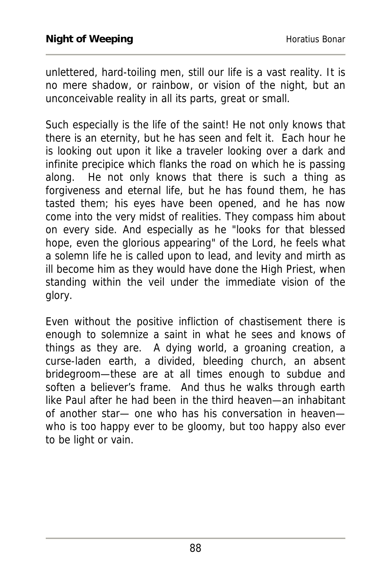unlettered, hard-toiling men, still our life is a vast reality. It is no mere shadow, or rainbow, or vision of the night, but an unconceivable reality in all its parts, great or small.

Such especially is the life of the saint! He not only knows that there is an eternity, but he has seen and felt it. Each hour he is looking out upon it like a traveler looking over a dark and infinite precipice which flanks the road on which he is passing along. He not only knows that there is such a thing as forgiveness and eternal life, but he has found them, he has tasted them; his eyes have been opened, and he has now come into the very midst of realities. They compass him about on every side. And especially as he "looks for that blessed hope, even the glorious appearing" of the Lord, he feels what a solemn life he is called upon to lead, and levity and mirth as ill become him as they would have done the High Priest, when standing within the veil under the immediate vision of the glory.

Even without the positive infliction of chastisement there is enough to solemnize a saint in what he sees and knows of things as they are. A dying world, a groaning creation, a curse-laden earth, a divided, bleeding church, an absent bridegroom—these are at all times enough to subdue and soften a believer's frame. And thus he walks through earth like Paul after he had been in the third heaven—an inhabitant of another star— one who has his conversation in heaven who is too happy ever to be gloomy, but too happy also ever to be light or vain.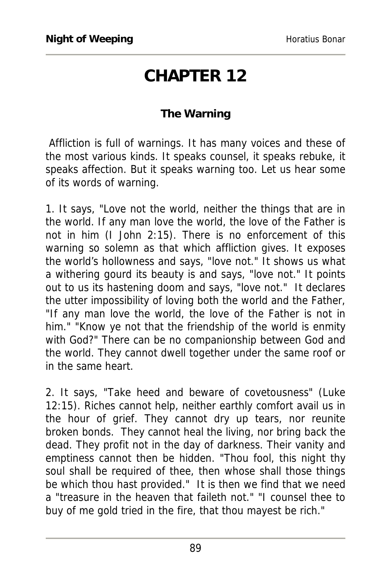# **CHAPTER 12**

#### **The Warning**

 Affliction is full of warnings. It has many voices and these of the most various kinds. It speaks counsel, it speaks rebuke, it speaks affection. But it speaks warning too. Let us hear some of its words of warning.

1. It says, "Love not the world, neither the things that are in the world. If any man love the world, the love of the Father is not in him (I John 2:15). There is no enforcement of this warning so solemn as that which affliction gives. It exposes the world's hollowness and says, "love not." It shows us what a withering gourd its beauty is and says, "love not." It points out to us its hastening doom and says, "love not." It declares the utter impossibility of loving both the world and the Father, "If any man love the world, the love of the Father is not in him." "Know ye not that the friendship of the world is enmity with God?" There can be no companionship between God and the world. They cannot dwell together under the same roof or in the same heart.

2. It says, "Take heed and beware of covetousness" (Luke 12:15). Riches cannot help, neither earthly comfort avail us in the hour of grief. They cannot dry up tears, nor reunite broken bonds. They cannot heal the living, nor bring back the dead. They profit not in the day of darkness. Their vanity and emptiness cannot then be hidden. "Thou fool, this night thy soul shall be required of thee, then whose shall those things be which thou hast provided." It is then we find that we need a "treasure in the heaven that faileth not." "I counsel thee to buy of me gold tried in the fire, that thou mayest be rich."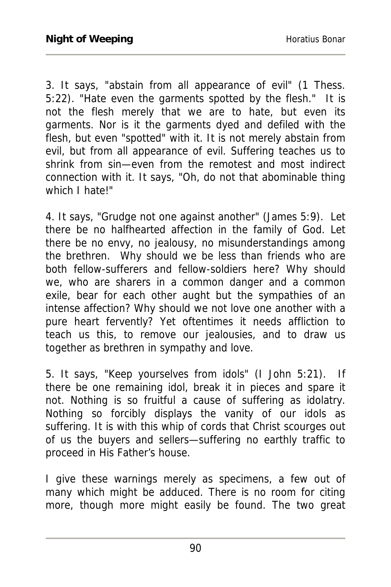3. It says, "abstain from all appearance of evil" (1 Thess. 5:22). "Hate even the garments spotted by the flesh." It is not the flesh merely that we are to hate, but even its garments. Nor is it the garments dyed and defiled with the flesh, but even "spotted" with it. It is not merely abstain from evil, but from all appearance of evil. Suffering teaches us to shrink from sin—even from the remotest and most indirect connection with it. It says, "Oh, do not that abominable thing which I hate!"

4. It says, "Grudge not one against another" (James 5:9). Let there be no halfhearted affection in the family of God. Let there be no envy, no jealousy, no misunderstandings among the brethren. Why should we be less than friends who are both fellow-sufferers and fellow-soldiers here? Why should we, who are sharers in a common danger and a common exile, bear for each other aught but the sympathies of an intense affection? Why should we not love one another with a pure heart fervently? Yet oftentimes it needs affliction to teach us this, to remove our jealousies, and to draw us together as brethren in sympathy and love.

5. It says, "Keep yourselves from idols" (I John 5:21). If there be one remaining idol, break it in pieces and spare it not. Nothing is so fruitful a cause of suffering as idolatry. Nothing so forcibly displays the vanity of our idols as suffering. It is with this whip of cords that Christ scourges out of us the buyers and sellers—suffering no earthly traffic to proceed in His Father's house.

I give these warnings merely as specimens, a few out of many which might be adduced. There is no room for citing more, though more might easily be found. The two great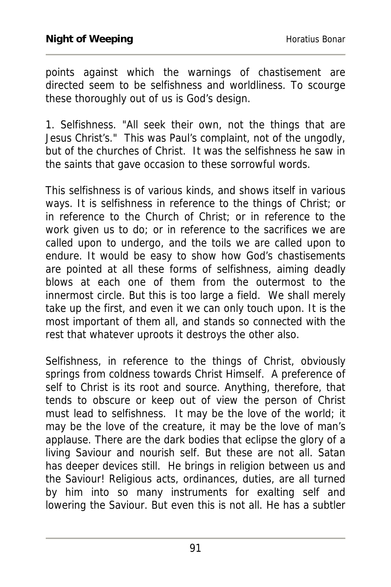points against which the warnings of chastisement are directed seem to be selfishness and worldliness. To scourge these thoroughly out of us is God's design.

1. Selfishness. "All seek their own, not the things that are Jesus Christ's." This was Paul's complaint, not of the ungodly, but of the churches of Christ. It was the selfishness he saw in the saints that gave occasion to these sorrowful words.

This selfishness is of various kinds, and shows itself in various ways. It is selfishness in reference to the things of Christ; or in reference to the Church of Christ; or in reference to the work given us to do; or in reference to the sacrifices we are called upon to undergo, and the toils we are called upon to endure. It would be easy to show how God's chastisements are pointed at all these forms of selfishness, aiming deadly blows at each one of them from the outermost to the innermost circle. But this is too large a field. We shall merely take up the first, and even it we can only touch upon. It is the most important of them all, and stands so connected with the rest that whatever uproots it destroys the other also.

Selfishness, in reference to the things of Christ, obviously springs from coldness towards Christ Himself. A preference of self to Christ is its root and source. Anything, therefore, that tends to obscure or keep out of view the person of Christ must lead to selfishness. It may be the love of the world; it may be the love of the creature, it may be the love of man's applause. There are the dark bodies that eclipse the glory of a living Saviour and nourish self. But these are not all. Satan has deeper devices still. He brings in religion between us and the Saviour! Religious acts, ordinances, duties, are all turned by him into so many instruments for exalting self and lowering the Saviour. But even this is not all. He has a subtler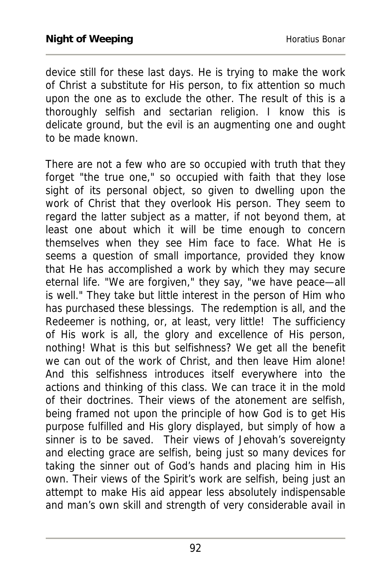device still for these last days. He is trying to make the work of Christ a substitute for His person, to fix attention so much upon the one as to exclude the other. The result of this is a thoroughly selfish and sectarian religion. I know this is delicate ground, but the evil is an augmenting one and ought to be made known.

There are not a few who are so occupied with truth that they forget "the true one," so occupied with faith that they lose sight of its personal object, so given to dwelling upon the work of Christ that they overlook His person. They seem to regard the latter subject as a matter, if not beyond them, at least one about which it will be time enough to concern themselves when they see Him face to face. What He is seems a question of small importance, provided they know that He has accomplished a work by which they may secure eternal life. "We are forgiven," they say, "we have peace—all is well." They take but little interest in the person of Him who has purchased these blessings. The redemption is all, and the Redeemer is nothing, or, at least, very little! The sufficiency of His work is all, the glory and excellence of His person, nothing! What is this but selfishness? We get all the benefit we can out of the work of Christ, and then leave Him alone! And this selfishness introduces itself everywhere into the actions and thinking of this class. We can trace it in the mold of their doctrines. Their views of the atonement are selfish, being framed not upon the principle of how God is to get His purpose fulfilled and His glory displayed, but simply of how a sinner is to be saved. Their views of Jehovah's sovereignty and electing grace are selfish, being just so many devices for taking the sinner out of God's hands and placing him in His own. Their views of the Spirit's work are selfish, being just an attempt to make His aid appear less absolutely indispensable and man's own skill and strength of very considerable avail in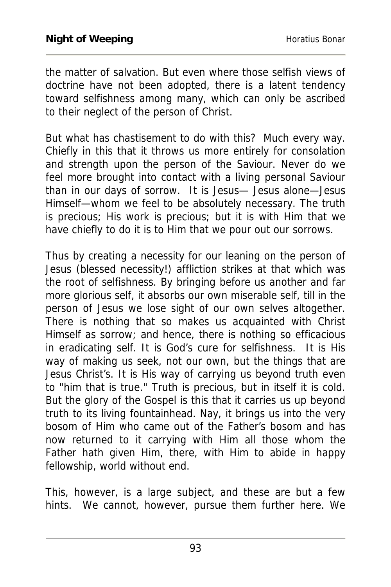the matter of salvation. But even where those selfish views of doctrine have not been adopted, there is a latent tendency toward selfishness among many, which can only be ascribed to their neglect of the person of Christ.

But what has chastisement to do with this? Much every way. Chiefly in this that it throws us more entirely for consolation and strength upon the person of the Saviour. Never do we feel more brought into contact with a living personal Saviour than in our days of sorrow. It is Jesus— Jesus alone—Jesus Himself—whom we feel to be absolutely necessary. The truth is precious; His work is precious; but it is with Him that we have chiefly to do it is to Him that we pour out our sorrows.

Thus by creating a necessity for our leaning on the person of Jesus (blessed necessity!) affliction strikes at that which was the root of selfishness. By bringing before us another and far more glorious self, it absorbs our own miserable self, till in the person of Jesus we lose sight of our own selves altogether. There is nothing that so makes us acquainted with Christ Himself as sorrow; and hence, there is nothing so efficacious in eradicating self. It is God's cure for selfishness. It is His way of making us seek, not our own, but the things that are Jesus Christ's. It is His way of carrying us beyond truth even to "him that is true." Truth is precious, but in itself it is cold. But the glory of the Gospel is this that it carries us up beyond truth to its living fountainhead. Nay, it brings us into the very bosom of Him who came out of the Father's bosom and has now returned to it carrying with Him all those whom the Father hath given Him, there, with Him to abide in happy fellowship, world without end.

This, however, is a large subject, and these are but a few hints. We cannot, however, pursue them further here. We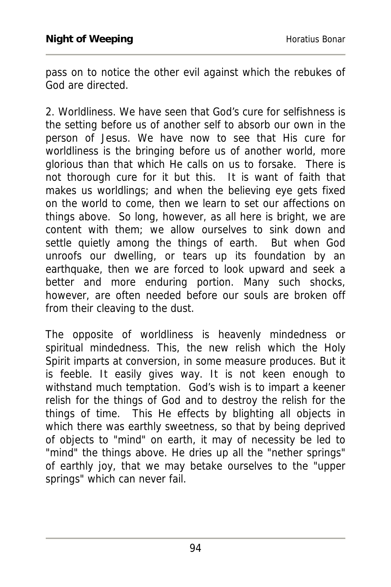pass on to notice the other evil against which the rebukes of God are directed.

2. Worldliness. We have seen that God's cure for selfishness is the setting before us of another self to absorb our own in the person of Jesus. We have now to see that His cure for worldliness is the bringing before us of another world, more glorious than that which He calls on us to forsake. There is not thorough cure for it but this. It is want of faith that makes us worldlings; and when the believing eye gets fixed on the world to come, then we learn to set our affections on things above. So long, however, as all here is bright, we are content with them; we allow ourselves to sink down and settle quietly among the things of earth. But when God unroofs our dwelling, or tears up its foundation by an earthquake, then we are forced to look upward and seek a better and more enduring portion. Many such shocks, however, are often needed before our souls are broken off from their cleaving to the dust.

The opposite of worldliness is heavenly mindedness or spiritual mindedness. This, the new relish which the Holy Spirit imparts at conversion, in some measure produces. But it is feeble. It easily gives way. It is not keen enough to withstand much temptation. God's wish is to impart a keener relish for the things of God and to destroy the relish for the things of time. This He effects by blighting all objects in which there was earthly sweetness, so that by being deprived of objects to "mind" on earth, it may of necessity be led to "mind" the things above. He dries up all the "nether springs" of earthly joy, that we may betake ourselves to the "upper springs" which can never fail.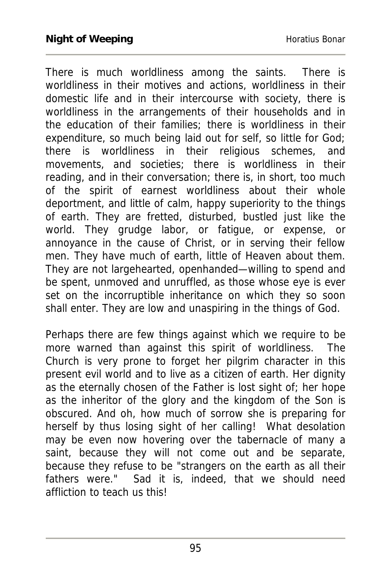There is much worldliness among the saints. There is worldliness in their motives and actions, worldliness in their domestic life and in their intercourse with society, there is worldliness in the arrangements of their households and in the education of their families; there is worldliness in their expenditure, so much being laid out for self, so little for God; there is worldliness in their religious schemes, and movements, and societies; there is worldliness in their reading, and in their conversation; there is, in short, too much of the spirit of earnest worldliness about their whole deportment, and little of calm, happy superiority to the things of earth. They are fretted, disturbed, bustled just like the world. They grudge labor, or fatigue, or expense, or annoyance in the cause of Christ, or in serving their fellow men. They have much of earth, little of Heaven about them. They are not largehearted, openhanded—willing to spend and be spent, unmoved and unruffled, as those whose eye is ever set on the incorruptible inheritance on which they so soon shall enter. They are low and unaspiring in the things of God.

Perhaps there are few things against which we require to be more warned than against this spirit of worldliness. The Church is very prone to forget her pilgrim character in this present evil world and to live as a citizen of earth. Her dignity as the eternally chosen of the Father is lost sight of; her hope as the inheritor of the glory and the kingdom of the Son is obscured. And oh, how much of sorrow she is preparing for herself by thus losing sight of her calling! What desolation may be even now hovering over the tabernacle of many a saint, because they will not come out and be separate, because they refuse to be "strangers on the earth as all their fathers were." Sad it is, indeed, that we should need affliction to teach us this!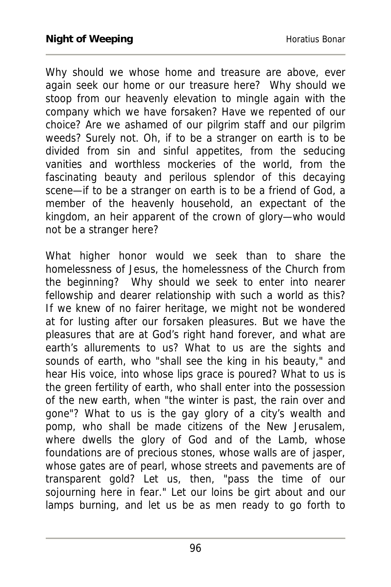Why should we whose home and treasure are above, ever again seek our home or our treasure here? Why should we stoop from our heavenly elevation to mingle again with the company which we have forsaken? Have we repented of our choice? Are we ashamed of our pilgrim staff and our pilgrim weeds? Surely not. Oh, if to be a stranger on earth is to be divided from sin and sinful appetites, from the seducing vanities and worthless mockeries of the world, from the fascinating beauty and perilous splendor of this decaying scene—if to be a stranger on earth is to be a friend of God, a member of the heavenly household, an expectant of the kingdom, an heir apparent of the crown of glory—who would not be a stranger here?

What higher honor would we seek than to share the homelessness of Jesus, the homelessness of the Church from the beginning? Why should we seek to enter into nearer fellowship and dearer relationship with such a world as this? If we knew of no fairer heritage, we might not be wondered at for lusting after our forsaken pleasures. But we have the pleasures that are at God's right hand forever, and what are earth's allurements to us? What to us are the sights and sounds of earth, who "shall see the king in his beauty," and hear His voice, into whose lips grace is poured? What to us is the green fertility of earth, who shall enter into the possession of the new earth, when "the winter is past, the rain over and gone"? What to us is the gay glory of a city's wealth and pomp, who shall be made citizens of the New Jerusalem, where dwells the glory of God and of the Lamb, whose foundations are of precious stones, whose walls are of jasper, whose gates are of pearl, whose streets and pavements are of transparent gold? Let us, then, "pass the time of our sojourning here in fear." Let our loins be girt about and our lamps burning, and let us be as men ready to go forth to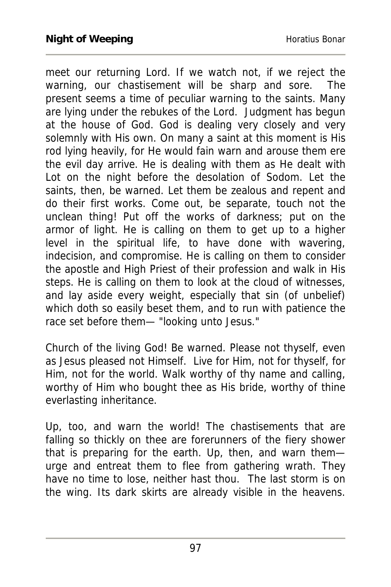meet our returning Lord. If we watch not, if we reject the warning, our chastisement will be sharp and sore. The present seems a time of peculiar warning to the saints. Many are lying under the rebukes of the Lord. Judgment has begun at the house of God. God is dealing very closely and very solemnly with His own. On many a saint at this moment is His rod lying heavily, for He would fain warn and arouse them ere the evil day arrive. He is dealing with them as He dealt with Lot on the night before the desolation of Sodom. Let the saints, then, be warned. Let them be zealous and repent and do their first works. Come out, be separate, touch not the unclean thing! Put off the works of darkness; put on the armor of light. He is calling on them to get up to a higher level in the spiritual life, to have done with wavering, indecision, and compromise. He is calling on them to consider the apostle and High Priest of their profession and walk in His steps. He is calling on them to look at the cloud of witnesses, and lay aside every weight, especially that sin (of unbelief) which doth so easily beset them, and to run with patience the race set before them— "looking unto Jesus."

Church of the living God! Be warned. Please not thyself, even as Jesus pleased not Himself. Live for Him, not for thyself, for Him, not for the world. Walk worthy of thy name and calling, worthy of Him who bought thee as His bride, worthy of thine everlasting inheritance.

Up, too, and warn the world! The chastisements that are falling so thickly on thee are forerunners of the fiery shower that is preparing for the earth. Up, then, and warn them urge and entreat them to flee from gathering wrath. They have no time to lose, neither hast thou. The last storm is on the wing. Its dark skirts are already visible in the heavens.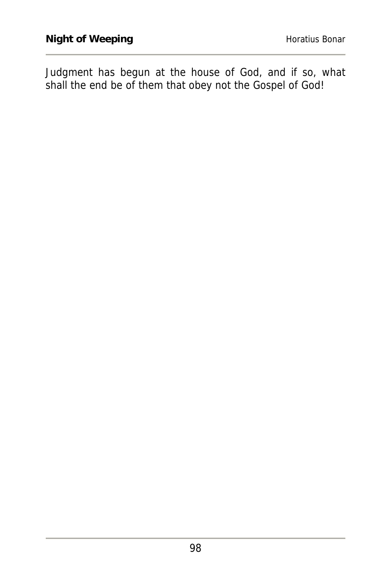Judgment has begun at the house of God, and if so, what shall the end be of them that obey not the Gospel of God!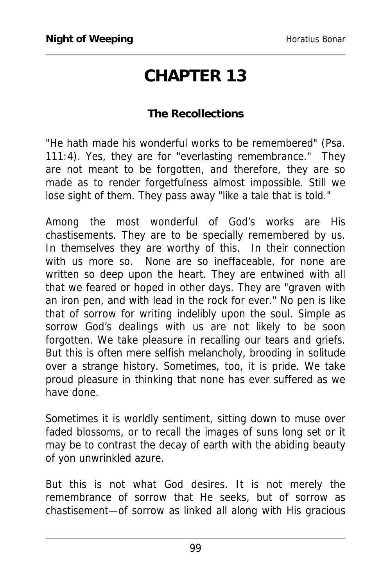# **CHAPTER 13**

### **The Recollections**

"He hath made his wonderful works to be remembered" (Psa. 111:4). Yes, they are for "everlasting remembrance." They are not meant to be forgotten, and therefore, they are so made as to render forgetfulness almost impossible. Still we lose sight of them. They pass away "like a tale that is told."

Among the most wonderful of God's works are His chastisements. They are to be specially remembered by us. In themselves they are worthy of this. In their connection with us more so. None are so ineffaceable, for none are written so deep upon the heart. They are entwined with all that we feared or hoped in other days. They are "graven with an iron pen, and with lead in the rock for ever." No pen is like that of sorrow for writing indelibly upon the soul. Simple as sorrow God's dealings with us are not likely to be soon forgotten. We take pleasure in recalling our tears and griefs. But this is often mere selfish melancholy, brooding in solitude over a strange history. Sometimes, too, it is pride. We take proud pleasure in thinking that none has ever suffered as we have done.

Sometimes it is worldly sentiment, sitting down to muse over faded blossoms, or to recall the images of suns long set or it may be to contrast the decay of earth with the abiding beauty of yon unwrinkled azure.

But this is not what God desires. It is not merely the remembrance of sorrow that He seeks, but of sorrow as chastisement—of sorrow as linked all along with His gracious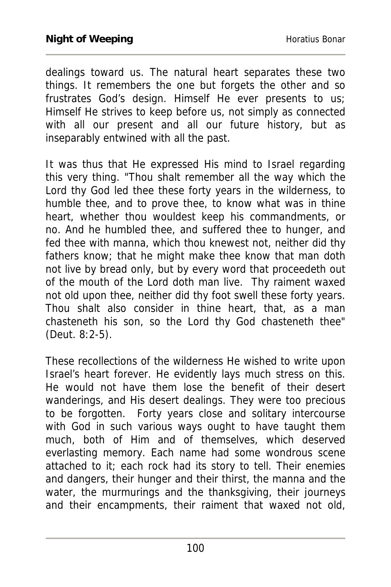dealings toward us. The natural heart separates these two things. It remembers the one but forgets the other and so frustrates God's design. Himself He ever presents to us; Himself He strives to keep before us, not simply as connected with all our present and all our future history, but as inseparably entwined with all the past.

It was thus that He expressed His mind to Israel regarding this very thing. "Thou shalt remember all the way which the Lord thy God led thee these forty years in the wilderness, to humble thee, and to prove thee, to know what was in thine heart, whether thou wouldest keep his commandments, or no. And he humbled thee, and suffered thee to hunger, and fed thee with manna, which thou knewest not, neither did thy fathers know; that he might make thee know that man doth not live by bread only, but by every word that proceedeth out of the mouth of the Lord doth man live. Thy raiment waxed not old upon thee, neither did thy foot swell these forty years. Thou shalt also consider in thine heart, that, as a man chasteneth his son, so the Lord thy God chasteneth thee" (Deut. 8:2-5).

These recollections of the wilderness He wished to write upon Israel's heart forever. He evidently lays much stress on this. He would not have them lose the benefit of their desert wanderings, and His desert dealings. They were too precious to be forgotten. Forty years close and solitary intercourse with God in such various ways ought to have taught them much, both of Him and of themselves, which deserved everlasting memory. Each name had some wondrous scene attached to it; each rock had its story to tell. Their enemies and dangers, their hunger and their thirst, the manna and the water, the murmurings and the thanksgiving, their journeys and their encampments, their raiment that waxed not old,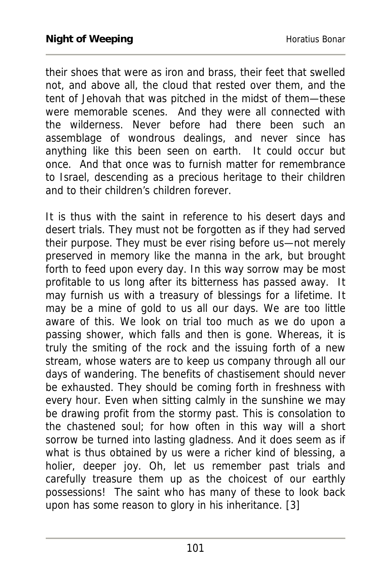their shoes that were as iron and brass, their feet that swelled not, and above all, the cloud that rested over them, and the tent of Jehovah that was pitched in the midst of them—these were memorable scenes. And they were all connected with the wilderness. Never before had there been such an assemblage of wondrous dealings, and never since has anything like this been seen on earth. It could occur but once. And that once was to furnish matter for remembrance to Israel, descending as a precious heritage to their children and to their children's children forever.

It is thus with the saint in reference to his desert days and desert trials. They must not be forgotten as if they had served their purpose. They must be ever rising before us—not merely preserved in memory like the manna in the ark, but brought forth to feed upon every day. In this way sorrow may be most profitable to us long after its bitterness has passed away. It may furnish us with a treasury of blessings for a lifetime. It may be a mine of gold to us all our days. We are too little aware of this. We look on trial too much as we do upon a passing shower, which falls and then is gone. Whereas, it is truly the smiting of the rock and the issuing forth of a new stream, whose waters are to keep us company through all our days of wandering. The benefits of chastisement should never be exhausted. They should be coming forth in freshness with every hour. Even when sitting calmly in the sunshine we may be drawing profit from the stormy past. This is consolation to the chastened soul; for how often in this way will a short sorrow be turned into lasting gladness. And it does seem as if what is thus obtained by us were a richer kind of blessing, a holier, deeper joy. Oh, let us remember past trials and carefully treasure them up as the choicest of our earthly possessions! The saint who has many of these to look back upon has some reason to glory in his inheritance. [3]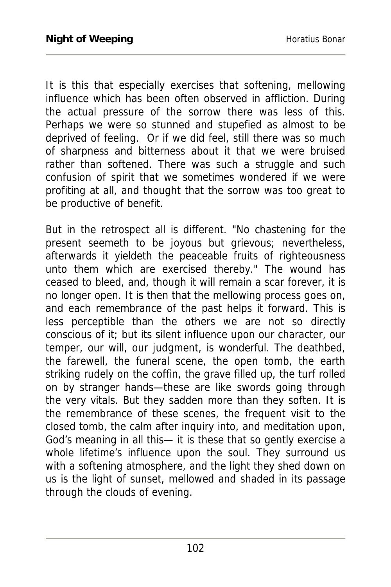It is this that especially exercises that softening, mellowing influence which has been often observed in affliction. During the actual pressure of the sorrow there was less of this. Perhaps we were so stunned and stupefied as almost to be deprived of feeling. Or if we did feel, still there was so much of sharpness and bitterness about it that we were bruised rather than softened. There was such a struggle and such confusion of spirit that we sometimes wondered if we were profiting at all, and thought that the sorrow was too great to be productive of benefit.

But in the retrospect all is different. "No chastening for the present seemeth to be joyous but grievous; nevertheless, afterwards it yieldeth the peaceable fruits of righteousness unto them which are exercised thereby." The wound has ceased to bleed, and, though it will remain a scar forever, it is no longer open. It is then that the mellowing process goes on, and each remembrance of the past helps it forward. This is less perceptible than the others we are not so directly conscious of it; but its silent influence upon our character, our temper, our will, our judgment, is wonderful. The deathbed, the farewell, the funeral scene, the open tomb, the earth striking rudely on the coffin, the grave filled up, the turf rolled on by stranger hands—these are like swords going through the very vitals. But they sadden more than they soften. It is the remembrance of these scenes, the frequent visit to the closed tomb, the calm after inquiry into, and meditation upon, God's meaning in all this— it is these that so gently exercise a whole lifetime's influence upon the soul. They surround us with a softening atmosphere, and the light they shed down on us is the light of sunset, mellowed and shaded in its passage through the clouds of evening.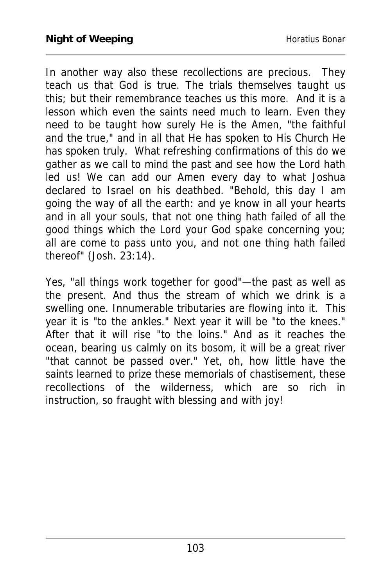In another way also these recollections are precious. They teach us that God is true. The trials themselves taught us this; but their remembrance teaches us this more. And it is a lesson which even the saints need much to learn. Even they need to be taught how surely He is the Amen, "the faithful and the true," and in all that He has spoken to His Church He has spoken truly. What refreshing confirmations of this do we gather as we call to mind the past and see how the Lord hath led us! We can add our Amen every day to what Joshua declared to Israel on his deathbed. "Behold, this day I am going the way of all the earth: and ye know in all your hearts and in all your souls, that not one thing hath failed of all the good things which the Lord your God spake concerning you; all are come to pass unto you, and not one thing hath failed thereof" (Josh. 23:14).

Yes, "all things work together for good"—the past as well as the present. And thus the stream of which we drink is a swelling one. Innumerable tributaries are flowing into it. This year it is "to the ankles." Next year it will be "to the knees." After that it will rise "to the loins." And as it reaches the ocean, bearing us calmly on its bosom, it will be a great river "that cannot be passed over." Yet, oh, how little have the saints learned to prize these memorials of chastisement, these recollections of the wilderness, which are so rich in instruction, so fraught with blessing and with joy!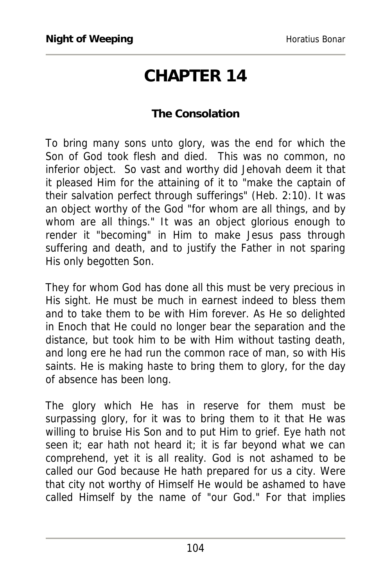# **CHAPTER 14**

### **The Consolation**

To bring many sons unto glory, was the end for which the Son of God took flesh and died. This was no common, no inferior object. So vast and worthy did Jehovah deem it that it pleased Him for the attaining of it to "make the captain of their salvation perfect through sufferings" (Heb. 2:10). It was an object worthy of the God "for whom are all things, and by whom are all things." It was an object glorious enough to render it "becoming" in Him to make Jesus pass through suffering and death, and to justify the Father in not sparing His only begotten Son.

They for whom God has done all this must be very precious in His sight. He must be much in earnest indeed to bless them and to take them to be with Him forever. As He so delighted in Enoch that He could no longer bear the separation and the distance, but took him to be with Him without tasting death, and long ere he had run the common race of man, so with His saints. He is making haste to bring them to glory, for the day of absence has been long.

The glory which He has in reserve for them must be surpassing glory, for it was to bring them to it that He was willing to bruise His Son and to put Him to grief. Eye hath not seen it; ear hath not heard it; it is far beyond what we can comprehend, yet it is all reality. God is not ashamed to be called our God because He hath prepared for us a city. Were that city not worthy of Himself He would be ashamed to have called Himself by the name of "our God." For that implies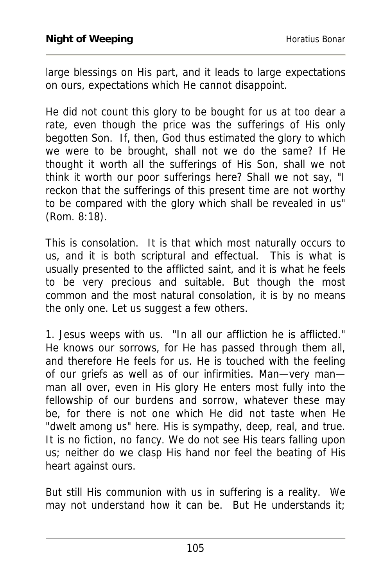large blessings on His part, and it leads to large expectations on ours, expectations which He cannot disappoint.

He did not count this glory to be bought for us at too dear a rate, even though the price was the sufferings of His only begotten Son. If, then, God thus estimated the glory to which we were to be brought, shall not we do the same? If He thought it worth all the sufferings of His Son, shall we not think it worth our poor sufferings here? Shall we not say, "I reckon that the sufferings of this present time are not worthy to be compared with the glory which shall be revealed in us" (Rom. 8:18).

This is consolation. It is that which most naturally occurs to us, and it is both scriptural and effectual. This is what is usually presented to the afflicted saint, and it is what he feels to be very precious and suitable. But though the most common and the most natural consolation, it is by no means the only one. Let us suggest a few others.

1. Jesus weeps with us. "In all our affliction he is afflicted." He knows our sorrows, for He has passed through them all, and therefore He feels for us. He is touched with the feeling of our griefs as well as of our infirmities. Man—very man man all over, even in His glory He enters most fully into the fellowship of our burdens and sorrow, whatever these may be, for there is not one which He did not taste when He "dwelt among us" here. His is sympathy, deep, real, and true. It is no fiction, no fancy. We do not see His tears falling upon us; neither do we clasp His hand nor feel the beating of His heart against ours.

But still His communion with us in suffering is a reality. We may not understand how it can be. But He understands it;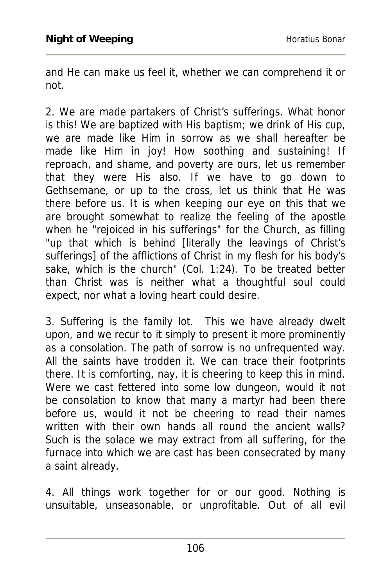and He can make us feel it, whether we can comprehend it or not.

2. We are made partakers of Christ's sufferings. What honor is this! We are baptized with His baptism; we drink of His cup, we are made like Him in sorrow as we shall hereafter be made like Him in joy! How soothing and sustaining! If reproach, and shame, and poverty are ours, let us remember that they were His also. If we have to go down to Gethsemane, or up to the cross, let us think that He was there before us. It is when keeping our eye on this that we are brought somewhat to realize the feeling of the apostle when he "rejoiced in his sufferings" for the Church, as filling "up that which is behind [literally the leavings of Christ's sufferings] of the afflictions of Christ in my flesh for his body's sake, which is the church" (Col. 1:24). To be treated better than Christ was is neither what a thoughtful soul could expect, nor what a loving heart could desire.

3. Suffering is the family lot. This we have already dwelt upon, and we recur to it simply to present it more prominently as a consolation. The path of sorrow is no unfrequented way. All the saints have trodden it. We can trace their footprints there. It is comforting, nay, it is cheering to keep this in mind. Were we cast fettered into some low dungeon, would it not be consolation to know that many a martyr had been there before us, would it not be cheering to read their names written with their own hands all round the ancient walls? Such is the solace we may extract from all suffering, for the furnace into which we are cast has been consecrated by many a saint already.

4. All things work together for or our good. Nothing is unsuitable, unseasonable, or unprofitable. Out of all evil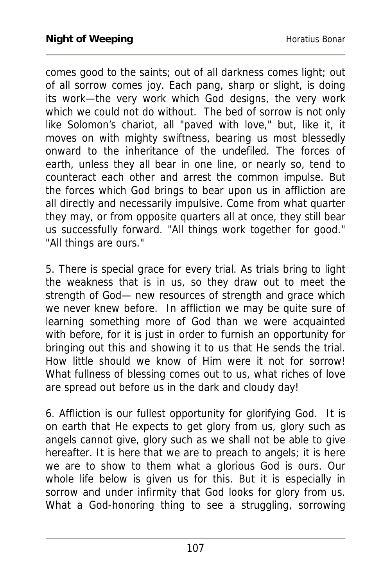comes good to the saints; out of all darkness comes light; out of all sorrow comes joy. Each pang, sharp or slight, is doing its work—the very work which God designs, the very work which we could not do without. The bed of sorrow is not only like Solomon's chariot, all "paved with love," but, like it, it moves on with mighty swiftness, bearing us most blessedly onward to the inheritance of the undefiled. The forces of earth, unless they all bear in one line, or nearly so, tend to counteract each other and arrest the common impulse. But the forces which God brings to bear upon us in affliction are all directly and necessarily impulsive. Come from what quarter they may, or from opposite quarters all at once, they still bear us successfully forward. "All things work together for good." "All things are ours."

5. There is special grace for every trial. As trials bring to light the weakness that is in us, so they draw out to meet the strength of God— new resources of strength and grace which we never knew before. In affliction we may be quite sure of learning something more of God than we were acquainted with before, for it is just in order to furnish an opportunity for bringing out this and showing it to us that He sends the trial. How little should we know of Him were it not for sorrow! What fullness of blessing comes out to us, what riches of love are spread out before us in the dark and cloudy day!

6. Affliction is our fullest opportunity for glorifying God. It is on earth that He expects to get glory from us, glory such as angels cannot give, glory such as we shall not be able to give hereafter. It is here that we are to preach to angels; it is here we are to show to them what a glorious God is ours. Our whole life below is given us for this. But it is especially in sorrow and under infirmity that God looks for glory from us. What a God-honoring thing to see a struggling, sorrowing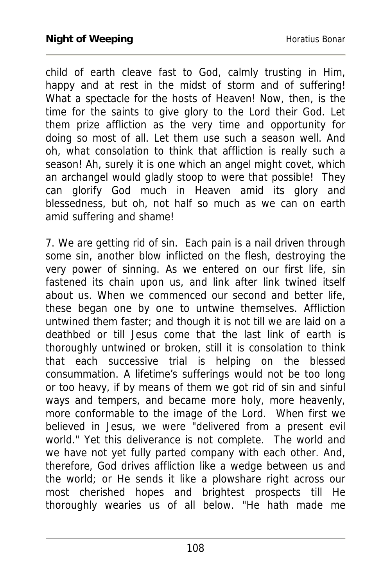child of earth cleave fast to God, calmly trusting in Him, happy and at rest in the midst of storm and of suffering! What a spectacle for the hosts of Heaven! Now, then, is the time for the saints to give glory to the Lord their God. Let them prize affliction as the very time and opportunity for doing so most of all. Let them use such a season well. And oh, what consolation to think that affliction is really such a season! Ah, surely it is one which an angel might covet, which an archangel would gladly stoop to were that possible! They can glorify God much in Heaven amid its glory and blessedness, but oh, not half so much as we can on earth amid suffering and shame!

7. We are getting rid of sin. Each pain is a nail driven through some sin, another blow inflicted on the flesh, destroying the very power of sinning. As we entered on our first life, sin fastened its chain upon us, and link after link twined itself about us. When we commenced our second and better life, these began one by one to untwine themselves. Affliction untwined them faster; and though it is not till we are laid on a deathbed or till Jesus come that the last link of earth is thoroughly untwined or broken, still it is consolation to think that each successive trial is helping on the blessed consummation. A lifetime's sufferings would not be too long or too heavy, if by means of them we got rid of sin and sinful ways and tempers, and became more holy, more heavenly, more conformable to the image of the Lord. When first we believed in Jesus, we were "delivered from a present evil world." Yet this deliverance is not complete. The world and we have not yet fully parted company with each other. And, therefore, God drives affliction like a wedge between us and the world; or He sends it like a plowshare right across our most cherished hopes and brightest prospects till He thoroughly wearies us of all below. "He hath made me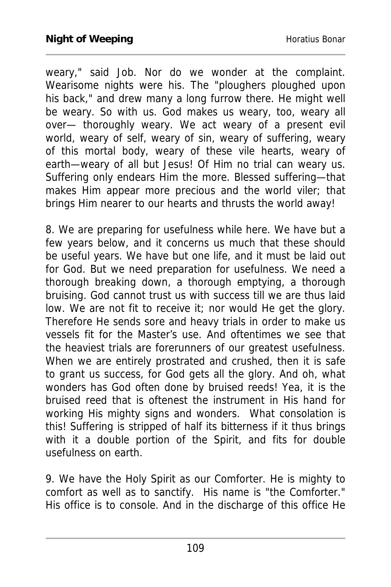weary," said Job. Nor do we wonder at the complaint. Wearisome nights were his. The "ploughers ploughed upon his back," and drew many a long furrow there. He might well be weary. So with us. God makes us weary, too, weary all over— thoroughly weary. We act weary of a present evil world, weary of self, weary of sin, weary of suffering, weary of this mortal body, weary of these vile hearts, weary of earth—weary of all but Jesus! Of Him no trial can weary us. Suffering only endears Him the more. Blessed suffering—that makes Him appear more precious and the world viler; that brings Him nearer to our hearts and thrusts the world away!

8. We are preparing for usefulness while here. We have but a few years below, and it concerns us much that these should be useful years. We have but one life, and it must be laid out for God. But we need preparation for usefulness. We need a thorough breaking down, a thorough emptying, a thorough bruising. God cannot trust us with success till we are thus laid low. We are not fit to receive it; nor would He get the glory. Therefore He sends sore and heavy trials in order to make us vessels fit for the Master's use. And oftentimes we see that the heaviest trials are forerunners of our greatest usefulness. When we are entirely prostrated and crushed, then it is safe to grant us success, for God gets all the glory. And oh, what wonders has God often done by bruised reeds! Yea, it is the bruised reed that is oftenest the instrument in His hand for working His mighty signs and wonders. What consolation is this! Suffering is stripped of half its bitterness if it thus brings with it a double portion of the Spirit, and fits for double usefulness on earth.

9. We have the Holy Spirit as our Comforter. He is mighty to comfort as well as to sanctify. His name is "the Comforter." His office is to console. And in the discharge of this office He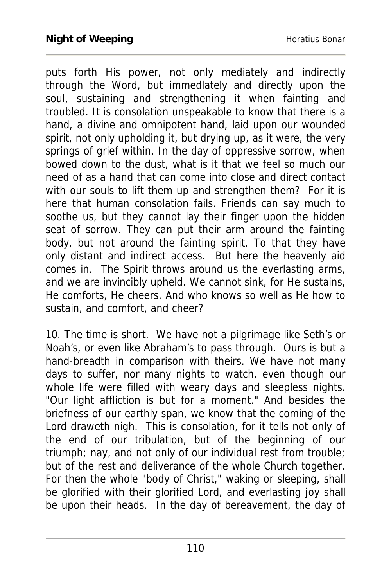puts forth His power, not only mediately and indirectly through the Word, but immedlately and directly upon the soul, sustaining and strengthening it when fainting and troubled. It is consolation unspeakable to know that there is a hand, a divine and omnipotent hand, laid upon our wounded spirit, not only upholding it, but drying up, as it were, the very springs of grief within. In the day of oppressive sorrow, when bowed down to the dust, what is it that we feel so much our need of as a hand that can come into close and direct contact with our souls to lift them up and strengthen them? For it is here that human consolation fails. Friends can say much to soothe us, but they cannot lay their finger upon the hidden seat of sorrow. They can put their arm around the fainting body, but not around the fainting spirit. To that they have only distant and indirect access. But here the heavenly aid comes in. The Spirit throws around us the everlasting arms, and we are invincibly upheld. We cannot sink, for He sustains, He comforts, He cheers. And who knows so well as He how to sustain, and comfort, and cheer?

10. The time is short. We have not a pilgrimage like Seth's or Noah's, or even like Abraham's to pass through. Ours is but a hand-breadth in comparison with theirs. We have not many days to suffer, nor many nights to watch, even though our whole life were filled with weary days and sleepless nights. "Our light affliction is but for a moment." And besides the briefness of our earthly span, we know that the coming of the Lord draweth nigh. This is consolation, for it tells not only of the end of our tribulation, but of the beginning of our triumph; nay, and not only of our individual rest from trouble; but of the rest and deliverance of the whole Church together. For then the whole "body of Christ," waking or sleeping, shall be glorified with their glorified Lord, and everlasting joy shall be upon their heads. In the day of bereavement, the day of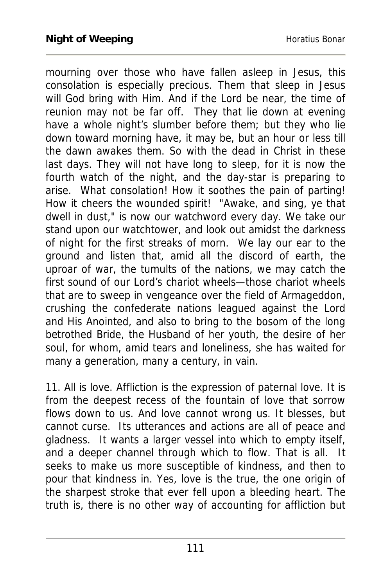mourning over those who have fallen asleep in Jesus, this consolation is especially precious. Them that sleep in Jesus will God bring with Him. And if the Lord be near, the time of reunion may not be far off. They that lie down at evening have a whole night's slumber before them; but they who lie down toward morning have, it may be, but an hour or less till the dawn awakes them. So with the dead in Christ in these last days. They will not have long to sleep, for it is now the fourth watch of the night, and the day-star is preparing to arise. What consolation! How it soothes the pain of parting! How it cheers the wounded spirit! "Awake, and sing, ye that dwell in dust," is now our watchword every day. We take our stand upon our watchtower, and look out amidst the darkness of night for the first streaks of morn. We lay our ear to the ground and listen that, amid all the discord of earth, the uproar of war, the tumults of the nations, we may catch the first sound of our Lord's chariot wheels—those chariot wheels that are to sweep in vengeance over the field of Armageddon, crushing the confederate nations leagued against the Lord and His Anointed, and also to bring to the bosom of the long betrothed Bride, the Husband of her youth, the desire of her soul, for whom, amid tears and loneliness, she has waited for many a generation, many a century, in vain.

11. All is love. Affliction is the expression of paternal love. It is from the deepest recess of the fountain of love that sorrow flows down to us. And love cannot wrong us. It blesses, but cannot curse. Its utterances and actions are all of peace and gladness. It wants a larger vessel into which to empty itself, and a deeper channel through which to flow. That is all. It seeks to make us more susceptible of kindness, and then to pour that kindness in. Yes, love is the true, the one origin of the sharpest stroke that ever fell upon a bleeding heart. The truth is, there is no other way of accounting for affliction but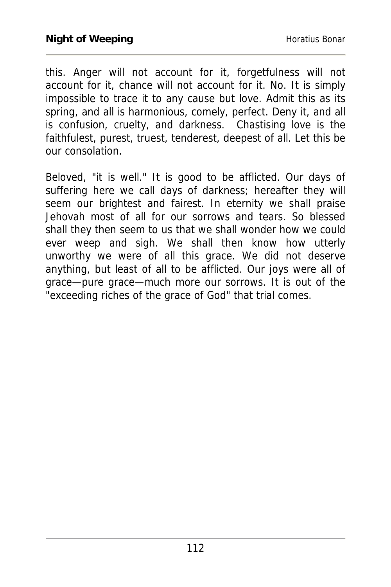this. Anger will not account for it, forgetfulness will not account for it, chance will not account for it. No. It is simply impossible to trace it to any cause but love. Admit this as its spring, and all is harmonious, comely, perfect. Deny it, and all is confusion, cruelty, and darkness. Chastising love is the faithfulest, purest, truest, tenderest, deepest of all. Let this be our consolation.

Beloved, "it is well." It is good to be afflicted. Our days of suffering here we call days of darkness; hereafter they will seem our brightest and fairest. In eternity we shall praise Jehovah most of all for our sorrows and tears. So blessed shall they then seem to us that we shall wonder how we could ever weep and sigh. We shall then know how utterly unworthy we were of all this grace. We did not deserve anything, but least of all to be afflicted. Our joys were all of grace—pure grace—much more our sorrows. It is out of the "exceeding riches of the grace of God" that trial comes.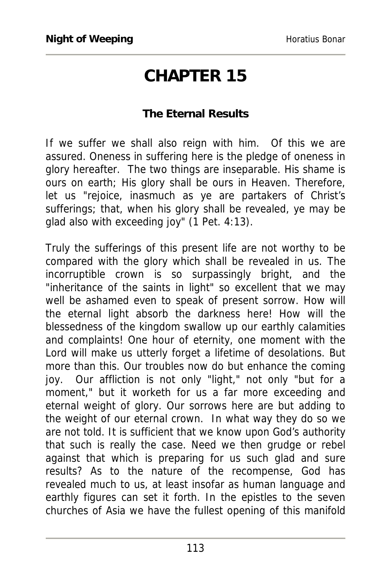## **CHAPTER 15**

## **The Eternal Results**

If we suffer we shall also reign with him. Of this we are assured. Oneness in suffering here is the pledge of oneness in glory hereafter. The two things are inseparable. His shame is ours on earth; His glory shall be ours in Heaven. Therefore, let us "rejoice, inasmuch as ye are partakers of Christ's sufferings; that, when his glory shall be revealed, ye may be glad also with exceeding joy" (1 Pet. 4:13).

Truly the sufferings of this present life are not worthy to be compared with the glory which shall be revealed in us. The incorruptible crown is so surpassingly bright, and the "inheritance of the saints in light" so excellent that we may well be ashamed even to speak of present sorrow. How will the eternal light absorb the darkness here! How will the blessedness of the kingdom swallow up our earthly calamities and complaints! One hour of eternity, one moment with the Lord will make us utterly forget a lifetime of desolations. But more than this. Our troubles now do but enhance the coming joy. Our affliction is not only "light," not only "but for a moment," but it worketh for us a far more exceeding and eternal weight of glory. Our sorrows here are but adding to the weight of our eternal crown. In what way they do so we are not told. It is sufficient that we know upon God's authority that such is really the case. Need we then grudge or rebel against that which is preparing for us such glad and sure results? As to the nature of the recompense, God has revealed much to us, at least insofar as human language and earthly figures can set it forth. In the epistles to the seven churches of Asia we have the fullest opening of this manifold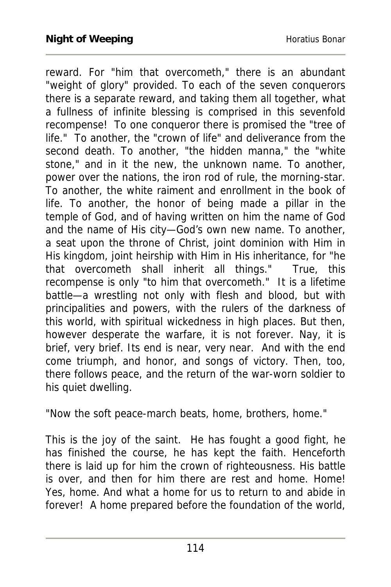reward. For "him that overcometh," there is an abundant "weight of glory" provided. To each of the seven conquerors there is a separate reward, and taking them all together, what a fullness of infinite blessing is comprised in this sevenfold recompense! To one conqueror there is promised the "tree of life." To another, the "crown of life" and deliverance from the second death. To another, "the hidden manna," the "white stone," and in it the new, the unknown name. To another, power over the nations, the iron rod of rule, the morning-star. To another, the white raiment and enrollment in the book of life. To another, the honor of being made a pillar in the temple of God, and of having written on him the name of God and the name of His city—God's own new name. To another, a seat upon the throne of Christ, joint dominion with Him in His kingdom, joint heirship with Him in His inheritance, for "he that overcometh shall inherit all things." True, this recompense is only "to him that overcometh." It is a lifetime battle—a wrestling not only with flesh and blood, but with principalities and powers, with the rulers of the darkness of this world, with spiritual wickedness in high places. But then, however desperate the warfare, it is not forever. Nay, it is brief, very brief. Its end is near, very near. And with the end come triumph, and honor, and songs of victory. Then, too, there follows peace, and the return of the war-worn soldier to his quiet dwelling.

"Now the soft peace-march beats, home, brothers, home."

This is the joy of the saint. He has fought a good fight, he has finished the course, he has kept the faith. Henceforth there is laid up for him the crown of righteousness. His battle is over, and then for him there are rest and home. Home! Yes, home. And what a home for us to return to and abide in forever! A home prepared before the foundation of the world,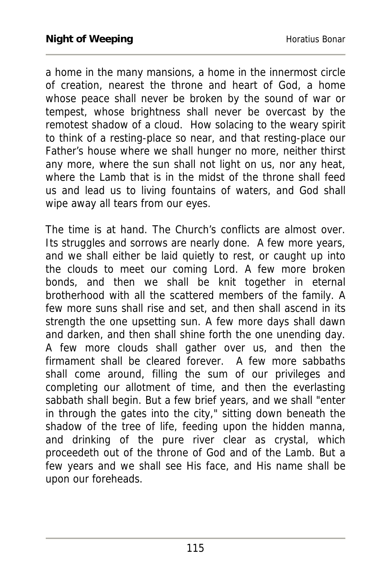a home in the many mansions, a home in the innermost circle of creation, nearest the throne and heart of God, a home whose peace shall never be broken by the sound of war or tempest, whose brightness shall never be overcast by the remotest shadow of a cloud. How solacing to the weary spirit to think of a resting-place so near, and that resting-place our Father's house where we shall hunger no more, neither thirst any more, where the sun shall not light on us, nor any heat, where the Lamb that is in the midst of the throne shall feed us and lead us to living fountains of waters, and God shall wipe away all tears from our eyes.

The time is at hand. The Church's conflicts are almost over. Its struggles and sorrows are nearly done. A few more years, and we shall either be laid quietly to rest, or caught up into the clouds to meet our coming Lord. A few more broken bonds, and then we shall be knit together in eternal brotherhood with all the scattered members of the family. A few more suns shall rise and set, and then shall ascend in its strength the one upsetting sun. A few more days shall dawn and darken, and then shall shine forth the one unending day. A few more clouds shall gather over us, and then the firmament shall be cleared forever. A few more sabbaths shall come around, filling the sum of our privileges and completing our allotment of time, and then the everlasting sabbath shall begin. But a few brief years, and we shall "enter in through the gates into the city," sitting down beneath the shadow of the tree of life, feeding upon the hidden manna, and drinking of the pure river clear as crystal, which proceedeth out of the throne of God and of the Lamb. But a few years and we shall see His face, and His name shall be upon our foreheads.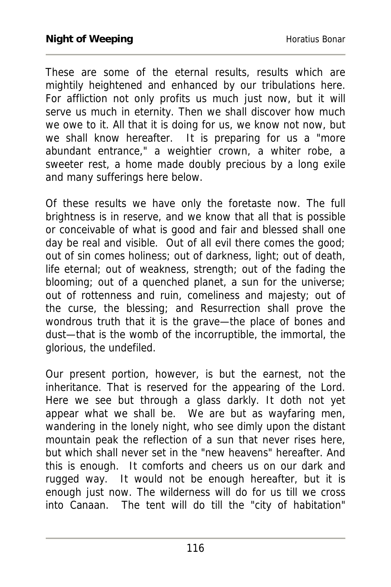These are some of the eternal results, results which are mightily heightened and enhanced by our tribulations here. For affliction not only profits us much just now, but it will serve us much in eternity. Then we shall discover how much we owe to it. All that it is doing for us, we know not now, but we shall know hereafter. It is preparing for us a "more abundant entrance," a weightier crown, a whiter robe, a sweeter rest, a home made doubly precious by a long exile and many sufferings here below.

Of these results we have only the foretaste now. The full brightness is in reserve, and we know that all that is possible or conceivable of what is good and fair and blessed shall one day be real and visible. Out of all evil there comes the good; out of sin comes holiness; out of darkness, light; out of death, life eternal; out of weakness, strength; out of the fading the blooming; out of a quenched planet, a sun for the universe; out of rottenness and ruin, comeliness and majesty; out of the curse, the blessing; and Resurrection shall prove the wondrous truth that it is the grave—the place of bones and dust—that is the womb of the incorruptible, the immortal, the glorious, the undefiled.

Our present portion, however, is but the earnest, not the inheritance. That is reserved for the appearing of the Lord. Here we see but through a glass darkly. It doth not yet appear what we shall be. We are but as wayfaring men, wandering in the lonely night, who see dimly upon the distant mountain peak the reflection of a sun that never rises here, but which shall never set in the "new heavens" hereafter. And this is enough. It comforts and cheers us on our dark and rugged way. It would not be enough hereafter, but it is enough just now. The wilderness will do for us till we cross into Canaan. The tent will do till the "city of habitation"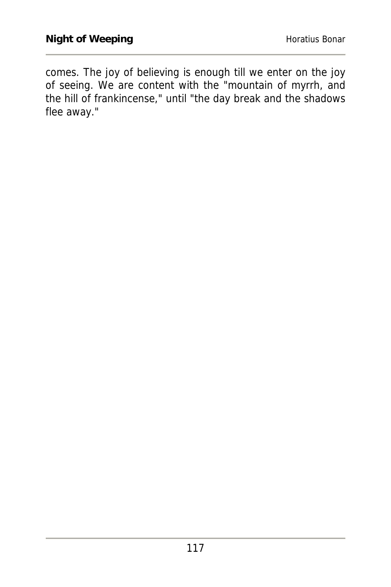comes. The joy of believing is enough till we enter on the joy of seeing. We are content with the "mountain of myrrh, and the hill of frankincense," until "the day break and the shadows flee away."